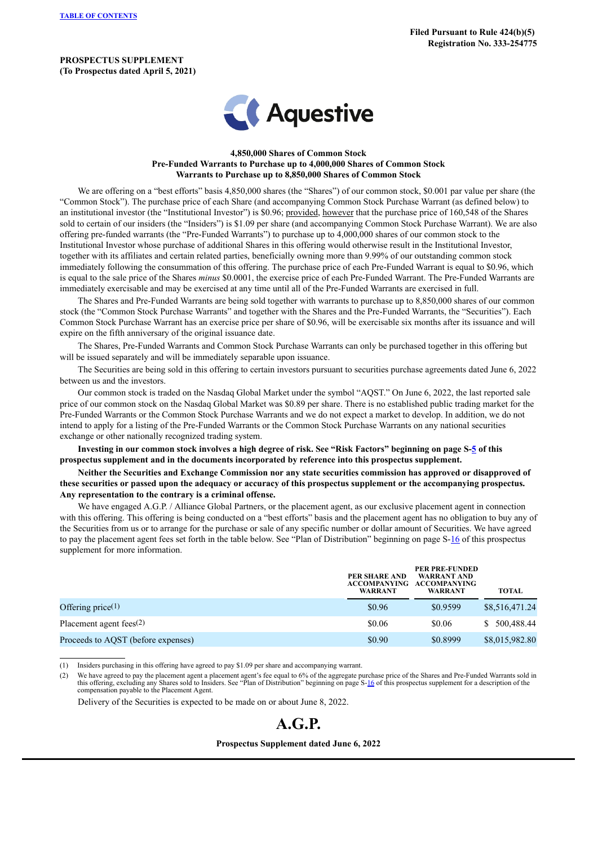**PROSPECTUS SUPPLEMENT (To Prospectus dated April 5, 2021)**



## **4,850,000 Shares of Common Stock Pre-Funded Warrants to Purchase up to 4,000,000 Shares of Common Stock Warrants to Purchase up to 8,850,000 Shares of Common Stock**

We are offering on a "best efforts" basis 4,850,000 shares (the "Shares") of our common stock, \$0.001 par value per share (the "Common Stock"). The purchase price of each Share (and accompanying Common Stock Purchase Warrant (as defined below) to an institutional investor (the "Institutional Investor") is \$0.96; provided, however that the purchase price of 160,548 of the Shares sold to certain of our insiders (the "Insiders") is \$1.09 per share (and accompanying Common Stock Purchase Warrant). We are also offering pre-funded warrants (the "Pre-Funded Warrants") to purchase up to 4,000,000 shares of our common stock to the Institutional Investor whose purchase of additional Shares in this offering would otherwise result in the Institutional Investor, together with its affiliates and certain related parties, beneficially owning more than 9.99% of our outstanding common stock immediately following the consummation of this offering. The purchase price of each Pre-Funded Warrant is equal to \$0.96, which is equal to the sale price of the Shares *minus* \$0.0001, the exercise price of each Pre-Funded Warrant. The Pre-Funded Warrants are immediately exercisable and may be exercised at any time until all of the Pre-Funded Warrants are exercised in full.

The Shares and Pre-Funded Warrants are being sold together with warrants to purchase up to 8,850,000 shares of our common stock (the "Common Stock Purchase Warrants" and together with the Shares and the Pre-Funded Warrants, the "Securities"). Each Common Stock Purchase Warrant has an exercise price per share of \$0.96, will be exercisable six months after its issuance and will expire on the fifth anniversary of the original issuance date.

The Shares, Pre-Funded Warrants and Common Stock Purchase Warrants can only be purchased together in this offering but will be issued separately and will be immediately separable upon issuance.

The Securities are being sold in this offering to certain investors pursuant to securities purchase agreements dated June 6, 2022 between us and the investors.

Our common stock is traded on the Nasdaq Global Market under the symbol "AQST." On June 6, 2022, the last reported sale price of our common stock on the Nasdaq Global Market was \$0.89 per share. There is no established public trading market for the Pre-Funded Warrants or the Common Stock Purchase Warrants and we do not expect a market to develop. In addition, we do not intend to apply for a listing of the Pre-Funded Warrants or the Common Stock Purchase Warrants on any national securities exchange or other nationally recognized trading system.

Investing in our common stock involves a high degree of risk. See "Risk Factors" beginning on page S-[5](#page-6-0) of this **prospectus supplement and in the documents incorporated by reference into this prospectus supplement.**

Neither the Securities and Exchange Commission nor any state securities commission has approved or disapproved of these securities or passed upon the adequacy or accuracy of this prospectus supplement or the accompanying prospectus. **Any representation to the contrary is a criminal offense.**

We have engaged A.G.P. / Alliance Global Partners, or the placement agent, as our exclusive placement agent in connection with this offering. This offering is being conducted on a "best efforts" basis and the placement agent has no obligation to buy any of the Securities from us or to arrange for the purchase or sale of any specific number or dollar amount of Securities. We have agreed to pay the placement agent fees set forth in the table below. See "Plan of Distribution" beginning on page S-[16](#page-17-0) of this prospectus supplement for more information.

|                                    | PER SHARE AND<br>WARRANT | <b>PER PRE-FUNDED</b><br>WARRANT AND<br>ACCOMPANYING ACCOMPANYING<br>WARRANT | <b>TOTAL</b>     |
|------------------------------------|--------------------------|------------------------------------------------------------------------------|------------------|
| Offering price $(1)$               | \$0.96                   | \$0.9599                                                                     | \$8,516,471.24   |
| Placement agent fees $(2)$         | \$0.06                   | \$0.06                                                                       | 500,488.44<br>S. |
| Proceeds to AQST (before expenses) | \$0.90                   | \$0.8999                                                                     | \$8,015,982.80   |

(1) Insiders purchasing in this offering have agreed to pay \$1.09 per share and accompanying warrant.

(2) We have agreed to pay the placement agent a placement agent's fee equal to 6% of the aggregate purchase price of the Shares and Pre-Funded Warrants sold in this offering, excluding any Shares sold to Insiders. See "Plan of Distribution" beginning on page S[-16](#page-17-0) of this prospectus supplement for a description of the compensation payable to the Placement Agent.

Delivery of the Securities is expected to be made on or about June 8, 2022.

# **A.G.P.**

#### **Prospectus Supplement dated June 6, 2022**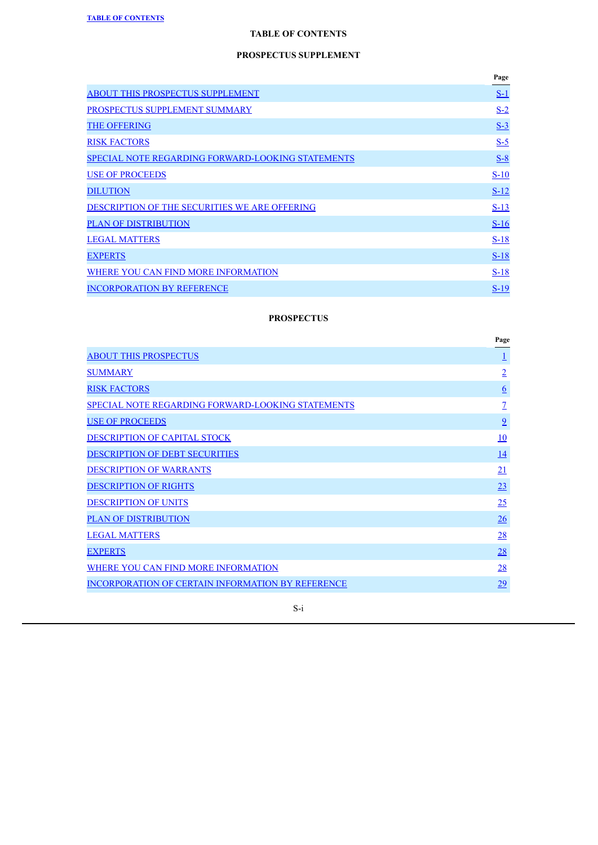## **PROSPECTUS SUPPLEMENT**

<span id="page-1-0"></span>

|                                                   | Page   |
|---------------------------------------------------|--------|
| <b>ABOUT THIS PROSPECTUS SUPPLEMENT</b>           | $S-1$  |
| PROSPECTUS SUPPLEMENT SUMMARY                     | $S-2$  |
| <b>THE OFFERING</b>                               | $S-3$  |
| <b>RISK FACTORS</b>                               | $S-5$  |
| SPECIAL NOTE REGARDING FORWARD-LOOKING STATEMENTS | $S-8$  |
| <b>USE OF PROCEEDS</b>                            | $S-10$ |
| <b>DILUTION</b>                                   | $S-12$ |
| DESCRIPTION OF THE SECURITIES WE ARE OFFERING     | $S-13$ |
| <b>PLAN OF DISTRIBUTION</b>                       | $S-16$ |
| <b>LEGAL MATTERS</b>                              | $S-18$ |
| <b>EXPERTS</b>                                    | $S-18$ |
| WHERE YOU CAN FIND MORE INFORMATION               | $S-18$ |
| <b>INCORPORATION BY REFERENCE</b>                 | $S-19$ |

## **PROSPECTUS**

|                                                          | Page            |
|----------------------------------------------------------|-----------------|
| <b>ABOUT THIS PROSPECTUS</b>                             | $\overline{1}$  |
| <b>SUMMARY</b>                                           | $\overline{2}$  |
| <b>RISK FACTORS</b>                                      | $6\overline{6}$ |
| <b>SPECIAL NOTE REGARDING FORWARD-LOOKING STATEMENTS</b> | $\overline{1}$  |
| <b>USE OF PROCEEDS</b>                                   | $\overline{9}$  |
| <b>DESCRIPTION OF CAPITAL STOCK</b>                      | 10              |
| <b>DESCRIPTION OF DEBT SECURITIES</b>                    | <u>14</u>       |
| <b>DESCRIPTION OF WARRANTS</b>                           | 21              |
| <b>DESCRIPTION OF RIGHTS</b>                             | 23              |
| <b>DESCRIPTION OF UNITS</b>                              | 25              |
| <b>PLAN OF DISTRIBUTION</b>                              | $\frac{26}{5}$  |
| <b>LEGAL MATTERS</b>                                     | 28              |
| <b>EXPERTS</b>                                           | 28              |
| WHERE YOU CAN FIND MORE INFORMATION                      | 28              |
| <b>INCORPORATION OF CERTAIN INFORMATION BY REFERENCE</b> | 29              |

## S-i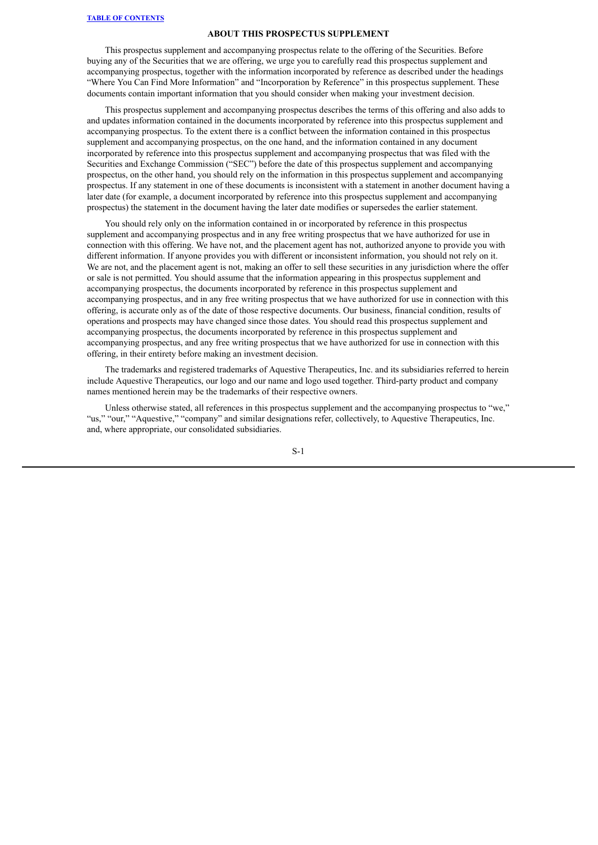#### **ABOUT THIS PROSPECTUS SUPPLEMENT**

<span id="page-2-0"></span>This prospectus supplement and accompanying prospectus relate to the offering of the Securities. Before buying any of the Securities that we are offering, we urge you to carefully read this prospectus supplement and accompanying prospectus, together with the information incorporated by reference as described under the headings "Where You Can Find More Information" and "Incorporation by Reference" in this prospectus supplement. These documents contain important information that you should consider when making your investment decision.

This prospectus supplement and accompanying prospectus describes the terms of this offering and also adds to and updates information contained in the documents incorporated by reference into this prospectus supplement and accompanying prospectus. To the extent there is a conflict between the information contained in this prospectus supplement and accompanying prospectus, on the one hand, and the information contained in any document incorporated by reference into this prospectus supplement and accompanying prospectus that was filed with the Securities and Exchange Commission ("SEC") before the date of this prospectus supplement and accompanying prospectus, on the other hand, you should rely on the information in this prospectus supplement and accompanying prospectus. If any statement in one of these documents is inconsistent with a statement in another document having a later date (for example, a document incorporated by reference into this prospectus supplement and accompanying prospectus) the statement in the document having the later date modifies or supersedes the earlier statement.

You should rely only on the information contained in or incorporated by reference in this prospectus supplement and accompanying prospectus and in any free writing prospectus that we have authorized for use in connection with this offering. We have not, and the placement agent has not, authorized anyone to provide you with different information. If anyone provides you with different or inconsistent information, you should not rely on it. We are not, and the placement agent is not, making an offer to sell these securities in any jurisdiction where the offer or sale is not permitted. You should assume that the information appearing in this prospectus supplement and accompanying prospectus, the documents incorporated by reference in this prospectus supplement and accompanying prospectus, and in any free writing prospectus that we have authorized for use in connection with this offering, is accurate only as of the date of those respective documents. Our business, financial condition, results of operations and prospects may have changed since those dates. You should read this prospectus supplement and accompanying prospectus, the documents incorporated by reference in this prospectus supplement and accompanying prospectus, and any free writing prospectus that we have authorized for use in connection with this offering, in their entirety before making an investment decision.

The trademarks and registered trademarks of Aquestive Therapeutics, Inc. and its subsidiaries referred to herein include Aquestive Therapeutics, our logo and our name and logo used together. Third-party product and company names mentioned herein may be the trademarks of their respective owners.

Unless otherwise stated, all references in this prospectus supplement and the accompanying prospectus to "we," "us," "our," "Aquestive," "company" and similar designations refer, collectively, to Aquestive Therapeutics, Inc. and, where appropriate, our consolidated subsidiaries.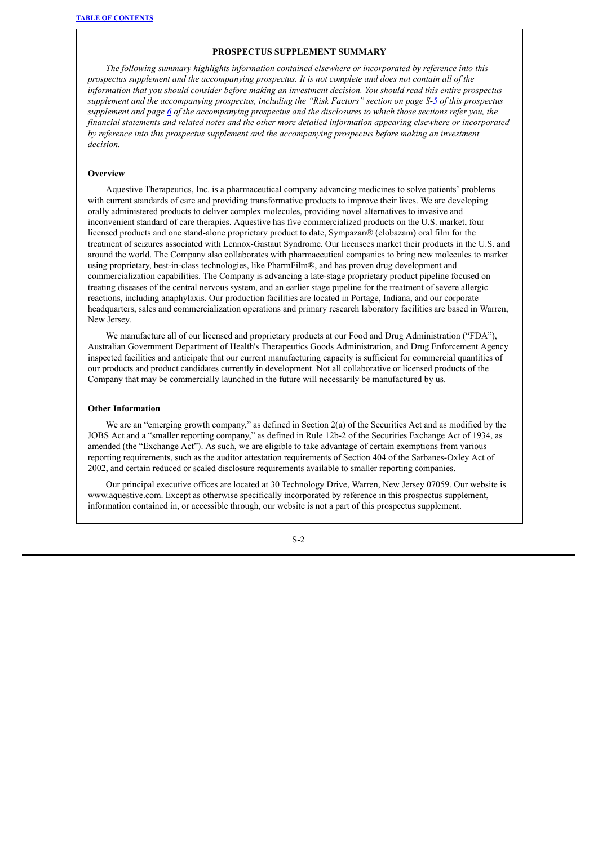## **PROSPECTUS SUPPLEMENT SUMMARY**

<span id="page-3-0"></span>*The following summary highlights information contained elsewhere or incorporated by reference into this prospectus supplement and the accompanying prospectus. It is not complete and does not contain all of the* information that you should consider before making an investment decision. You should read this entire prospectus supplement and the accompanying prospectus, including the "Risk Factors" section on page S-[5](#page-6-0) of this prospectus supplement and page [6](#page-28-0) of the accompanying prospectus and the disclosures to which those sections refer you, the *financial statements and related notes and the other more detailed information appearing elsewhere or incorporated by reference into this prospectus supplement and the accompanying prospectus before making an investment decision.*

## **Overview**

Aquestive Therapeutics, Inc. is a pharmaceutical company advancing medicines to solve patients' problems with current standards of care and providing transformative products to improve their lives. We are developing orally administered products to deliver complex molecules, providing novel alternatives to invasive and inconvenient standard of care therapies. Aquestive has five commercialized products on the U.S. market, four licensed products and one stand-alone proprietary product to date, Sympazan® (clobazam) oral film for the treatment of seizures associated with Lennox-Gastaut Syndrome. Our licensees market their products in the U.S. and around the world. The Company also collaborates with pharmaceutical companies to bring new molecules to market using proprietary, best-in-class technologies, like PharmFilm®, and has proven drug development and commercialization capabilities. The Company is advancing a late-stage proprietary product pipeline focused on treating diseases of the central nervous system, and an earlier stage pipeline for the treatment of severe allergic reactions, including anaphylaxis. Our production facilities are located in Portage, Indiana, and our corporate headquarters, sales and commercialization operations and primary research laboratory facilities are based in Warren, New Jersey.

We manufacture all of our licensed and proprietary products at our Food and Drug Administration ("FDA"), Australian Government Department of Health's Therapeutics Goods Administration, and Drug Enforcement Agency inspected facilities and anticipate that our current manufacturing capacity is sufficient for commercial quantities of our products and product candidates currently in development. Not all collaborative or licensed products of the Company that may be commercially launched in the future will necessarily be manufactured by us.

#### **Other Information**

We are an "emerging growth company," as defined in Section 2(a) of the Securities Act and as modified by the JOBS Act and a "smaller reporting company," as defined in Rule 12b-2 of the Securities Exchange Act of 1934, as amended (the "Exchange Act"). As such, we are eligible to take advantage of certain exemptions from various reporting requirements, such as the auditor attestation requirements of Section 404 of the Sarbanes-Oxley Act of 2002, and certain reduced or scaled disclosure requirements available to smaller reporting companies.

Our principal executive offices are located at 30 Technology Drive, Warren, New Jersey 07059. Our website is www.aquestive.com. Except as otherwise specifically incorporated by reference in this prospectus supplement, information contained in, or accessible through, our website is not a part of this prospectus supplement.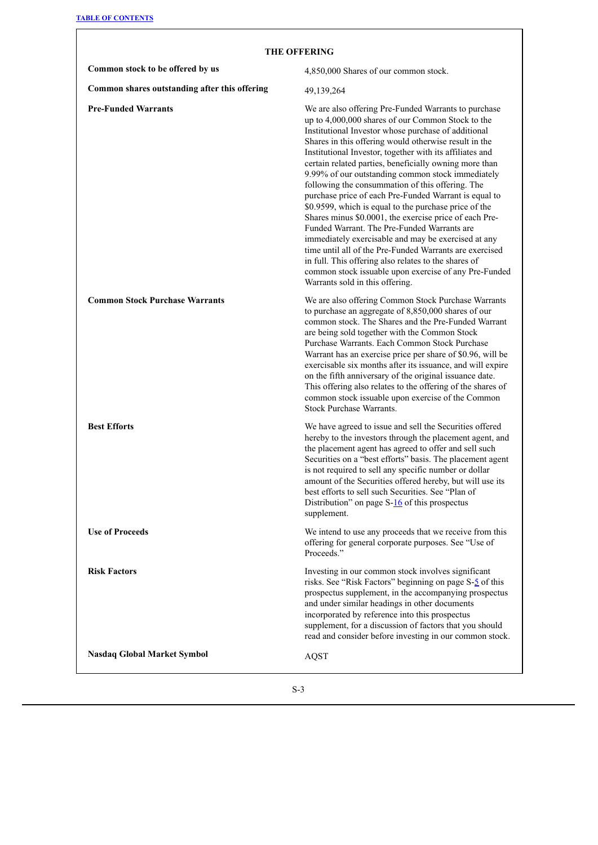$\Gamma$ 

<span id="page-4-0"></span>

| Common stock to be offered by us<br>4,850,000 Shares of our common stock.<br>Common shares outstanding after this offering<br>49,139,264<br><b>Pre-Funded Warrants</b><br>We are also offering Pre-Funded Warrants to purchase<br>up to 4,000,000 shares of our Common Stock to the<br>Institutional Investor whose purchase of additional<br>Shares in this offering would otherwise result in the<br>Institutional Investor, together with its affiliates and<br>certain related parties, beneficially owning more than<br>9.99% of our outstanding common stock immediately<br>following the consummation of this offering. The<br>purchase price of each Pre-Funded Warrant is equal to<br>\$0.9599, which is equal to the purchase price of the<br>Shares minus \$0.0001, the exercise price of each Pre-<br>Funded Warrant. The Pre-Funded Warrants are<br>immediately exercisable and may be exercised at any<br>time until all of the Pre-Funded Warrants are exercised<br>in full. This offering also relates to the shares of<br>common stock issuable upon exercise of any Pre-Funded<br>Warrants sold in this offering.<br><b>Common Stock Purchase Warrants</b><br>We are also offering Common Stock Purchase Warrants<br>to purchase an aggregate of 8,850,000 shares of our<br>common stock. The Shares and the Pre-Funded Warrant<br>are being sold together with the Common Stock<br>Purchase Warrants. Each Common Stock Purchase<br>Warrant has an exercise price per share of \$0.96, will be<br>exercisable six months after its issuance, and will expire<br>on the fifth anniversary of the original issuance date.<br>This offering also relates to the offering of the shares of<br>common stock issuable upon exercise of the Common<br><b>Stock Purchase Warrants.</b><br><b>Best Efforts</b><br>We have agreed to issue and sell the Securities offered<br>hereby to the investors through the placement agent, and<br>the placement agent has agreed to offer and sell such<br>Securities on a "best efforts" basis. The placement agent<br>is not required to sell any specific number or dollar<br>amount of the Securities offered hereby, but will use its<br>best efforts to sell such Securities. See "Plan of<br>Distribution" on page $S-16$ of this prospectus<br>supplement.<br><b>Use of Proceeds</b><br>We intend to use any proceeds that we receive from this<br>offering for general corporate purposes. See "Use of<br>Proceeds."<br><b>Risk Factors</b><br>Investing in our common stock involves significant<br>risks. See "Risk Factors" beginning on page S-5 of this<br>prospectus supplement, in the accompanying prospectus<br>and under similar headings in other documents<br>incorporated by reference into this prospectus<br>supplement, for a discussion of factors that you should<br>read and consider before investing in our common stock.<br><b>Nasdaq Global Market Symbol</b> | <b>THE OFFERING</b> |             |  |
|------------------------------------------------------------------------------------------------------------------------------------------------------------------------------------------------------------------------------------------------------------------------------------------------------------------------------------------------------------------------------------------------------------------------------------------------------------------------------------------------------------------------------------------------------------------------------------------------------------------------------------------------------------------------------------------------------------------------------------------------------------------------------------------------------------------------------------------------------------------------------------------------------------------------------------------------------------------------------------------------------------------------------------------------------------------------------------------------------------------------------------------------------------------------------------------------------------------------------------------------------------------------------------------------------------------------------------------------------------------------------------------------------------------------------------------------------------------------------------------------------------------------------------------------------------------------------------------------------------------------------------------------------------------------------------------------------------------------------------------------------------------------------------------------------------------------------------------------------------------------------------------------------------------------------------------------------------------------------------------------------------------------------------------------------------------------------------------------------------------------------------------------------------------------------------------------------------------------------------------------------------------------------------------------------------------------------------------------------------------------------------------------------------------------------------------------------------------------------------------------------------------------------------------------------------------------------------------------------------------------------------------------------------------------------------------------------------------------------------------------------------------------------------------------------------------------------------------------------------------------------------------------------------------------------------------------|---------------------|-------------|--|
|                                                                                                                                                                                                                                                                                                                                                                                                                                                                                                                                                                                                                                                                                                                                                                                                                                                                                                                                                                                                                                                                                                                                                                                                                                                                                                                                                                                                                                                                                                                                                                                                                                                                                                                                                                                                                                                                                                                                                                                                                                                                                                                                                                                                                                                                                                                                                                                                                                                                                                                                                                                                                                                                                                                                                                                                                                                                                                                                                |                     |             |  |
|                                                                                                                                                                                                                                                                                                                                                                                                                                                                                                                                                                                                                                                                                                                                                                                                                                                                                                                                                                                                                                                                                                                                                                                                                                                                                                                                                                                                                                                                                                                                                                                                                                                                                                                                                                                                                                                                                                                                                                                                                                                                                                                                                                                                                                                                                                                                                                                                                                                                                                                                                                                                                                                                                                                                                                                                                                                                                                                                                |                     |             |  |
|                                                                                                                                                                                                                                                                                                                                                                                                                                                                                                                                                                                                                                                                                                                                                                                                                                                                                                                                                                                                                                                                                                                                                                                                                                                                                                                                                                                                                                                                                                                                                                                                                                                                                                                                                                                                                                                                                                                                                                                                                                                                                                                                                                                                                                                                                                                                                                                                                                                                                                                                                                                                                                                                                                                                                                                                                                                                                                                                                |                     |             |  |
|                                                                                                                                                                                                                                                                                                                                                                                                                                                                                                                                                                                                                                                                                                                                                                                                                                                                                                                                                                                                                                                                                                                                                                                                                                                                                                                                                                                                                                                                                                                                                                                                                                                                                                                                                                                                                                                                                                                                                                                                                                                                                                                                                                                                                                                                                                                                                                                                                                                                                                                                                                                                                                                                                                                                                                                                                                                                                                                                                |                     |             |  |
|                                                                                                                                                                                                                                                                                                                                                                                                                                                                                                                                                                                                                                                                                                                                                                                                                                                                                                                                                                                                                                                                                                                                                                                                                                                                                                                                                                                                                                                                                                                                                                                                                                                                                                                                                                                                                                                                                                                                                                                                                                                                                                                                                                                                                                                                                                                                                                                                                                                                                                                                                                                                                                                                                                                                                                                                                                                                                                                                                |                     |             |  |
|                                                                                                                                                                                                                                                                                                                                                                                                                                                                                                                                                                                                                                                                                                                                                                                                                                                                                                                                                                                                                                                                                                                                                                                                                                                                                                                                                                                                                                                                                                                                                                                                                                                                                                                                                                                                                                                                                                                                                                                                                                                                                                                                                                                                                                                                                                                                                                                                                                                                                                                                                                                                                                                                                                                                                                                                                                                                                                                                                |                     |             |  |
|                                                                                                                                                                                                                                                                                                                                                                                                                                                                                                                                                                                                                                                                                                                                                                                                                                                                                                                                                                                                                                                                                                                                                                                                                                                                                                                                                                                                                                                                                                                                                                                                                                                                                                                                                                                                                                                                                                                                                                                                                                                                                                                                                                                                                                                                                                                                                                                                                                                                                                                                                                                                                                                                                                                                                                                                                                                                                                                                                |                     |             |  |
|                                                                                                                                                                                                                                                                                                                                                                                                                                                                                                                                                                                                                                                                                                                                                                                                                                                                                                                                                                                                                                                                                                                                                                                                                                                                                                                                                                                                                                                                                                                                                                                                                                                                                                                                                                                                                                                                                                                                                                                                                                                                                                                                                                                                                                                                                                                                                                                                                                                                                                                                                                                                                                                                                                                                                                                                                                                                                                                                                |                     | <b>AQST</b> |  |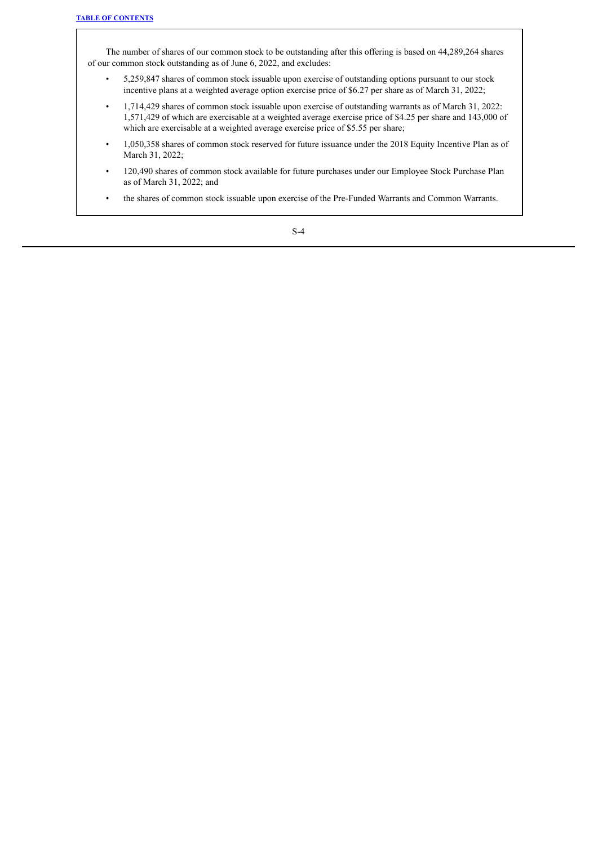The number of shares of our common stock to be outstanding after this offering is based on 44,289,264 shares of our common stock outstanding as of June 6, 2022, and excludes:

- 5,259,847 shares of common stock issuable upon exercise of outstanding options pursuant to our stock incentive plans at a weighted average option exercise price of \$6.27 per share as of March 31, 2022;
- 1,714,429 shares of common stock issuable upon exercise of outstanding warrants as of March 31, 2022: 1,571,429 of which are exercisable at a weighted average exercise price of \$4.25 per share and 143,000 of which are exercisable at a weighted average exercise price of \$5.55 per share;
- 1,050,358 shares of common stock reserved for future issuance under the 2018 Equity Incentive Plan as of March 31, 2022;
- 120,490 shares of common stock available for future purchases under our Employee Stock Purchase Plan as of March 31, 2022; and
- the shares of common stock issuable upon exercise of the Pre-Funded Warrants and Common Warrants.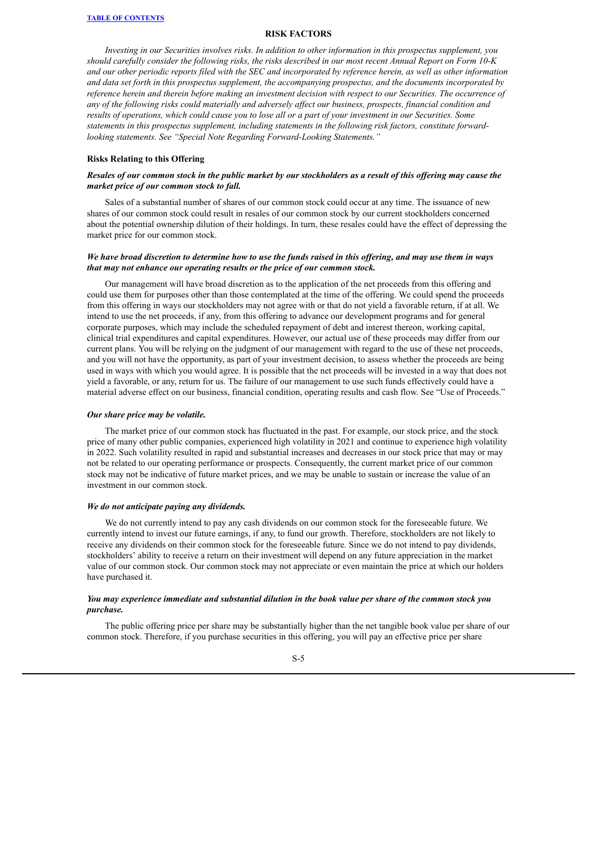#### **RISK FACTORS**

<span id="page-6-0"></span>*Investing in our Securities involves risks. In addition to other information in this prospectus supplement, you* should carefully consider the following risks, the risks described in our most recent Annual Report on Form 10-K and our other periodic reports filed with the SEC and incorporated by reference herein, as well as other information *and data set forth in this prospectus supplement, the accompanying prospectus, and the documents incorporated by* reference herein and therein before making an investment decision with respect to our Securities. The occurrence of any of the following risks could materially and adversely affect our business, prospects, financial condition and results of operations, which could cause you to lose all or a part of your investment in our Securities. Some *statements in this prospectus supplement, including statements in the following risk factors, constitute forwardlooking statements. See "Special Note Regarding Forward-Looking Statements."*

#### **Risks Relating to this Offering**

## Resales of our common stock in the public market by our stockholders as a result of this offering may cause the *market price of our common stock to fall.*

Sales of a substantial number of shares of our common stock could occur at any time. The issuance of new shares of our common stock could result in resales of our common stock by our current stockholders concerned about the potential ownership dilution of their holdings. In turn, these resales could have the effect of depressing the market price for our common stock.

## We have broad discretion to determine how to use the funds raised in this offering, and may use them in ways *that may not enhance our operating results or the price of our common stock.*

Our management will have broad discretion as to the application of the net proceeds from this offering and could use them for purposes other than those contemplated at the time of the offering. We could spend the proceeds from this offering in ways our stockholders may not agree with or that do not yield a favorable return, if at all. We intend to use the net proceeds, if any, from this offering to advance our development programs and for general corporate purposes, which may include the scheduled repayment of debt and interest thereon, working capital, clinical trial expenditures and capital expenditures. However, our actual use of these proceeds may differ from our current plans. You will be relying on the judgment of our management with regard to the use of these net proceeds, and you will not have the opportunity, as part of your investment decision, to assess whether the proceeds are being used in ways with which you would agree. It is possible that the net proceeds will be invested in a way that does not yield a favorable, or any, return for us. The failure of our management to use such funds effectively could have a material adverse effect on our business, financial condition, operating results and cash flow. See "Use of Proceeds."

#### *Our share price may be volatile.*

The market price of our common stock has fluctuated in the past. For example, our stock price, and the stock price of many other public companies, experienced high volatility in 2021 and continue to experience high volatility in 2022. Such volatility resulted in rapid and substantial increases and decreases in our stock price that may or may not be related to our operating performance or prospects. Consequently, the current market price of our common stock may not be indicative of future market prices, and we may be unable to sustain or increase the value of an investment in our common stock.

#### *We do not anticipate paying any dividends.*

We do not currently intend to pay any cash dividends on our common stock for the foreseeable future. We currently intend to invest our future earnings, if any, to fund our growth. Therefore, stockholders are not likely to receive any dividends on their common stock for the foreseeable future. Since we do not intend to pay dividends, stockholders' ability to receive a return on their investment will depend on any future appreciation in the market value of our common stock. Our common stock may not appreciate or even maintain the price at which our holders have purchased it.

## You may experience immediate and substantial dilution in the book value per share of the common stock you *purchase.*

The public offering price per share may be substantially higher than the net tangible book value per share of our common stock. Therefore, if you purchase securities in this offering, you will pay an effective price per share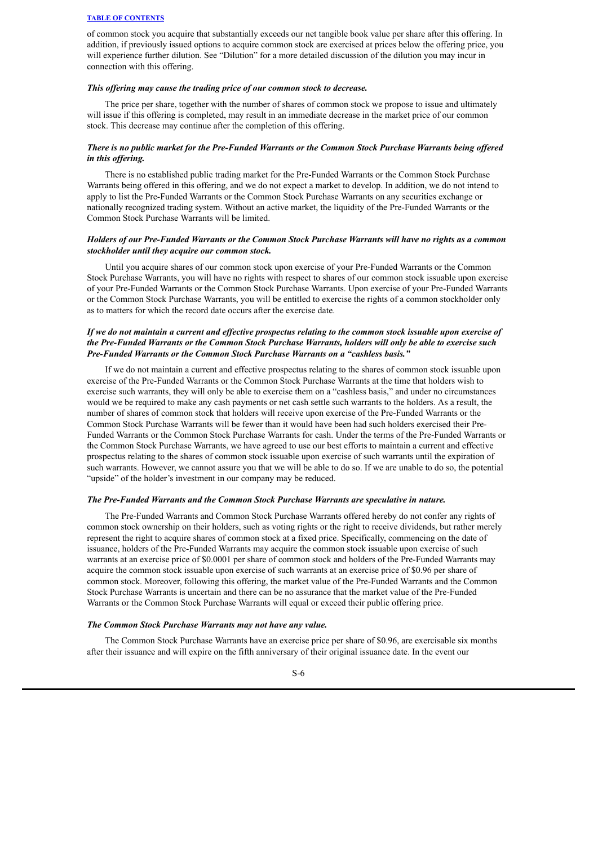of common stock you acquire that substantially exceeds our net tangible book value per share after this offering. In addition, if previously issued options to acquire common stock are exercised at prices below the offering price, you will experience further dilution. See "Dilution" for a more detailed discussion of the dilution you may incur in connection with this offering.

#### *This of ering may cause the trading price of our common stock to decrease.*

The price per share, together with the number of shares of common stock we propose to issue and ultimately will issue if this offering is completed, may result in an immediate decrease in the market price of our common stock. This decrease may continue after the completion of this offering.

## There is no public market for the Pre-Funded Warrants or the Common Stock Purchase Warrants being offered *in this of ering.*

There is no established public trading market for the Pre-Funded Warrants or the Common Stock Purchase Warrants being offered in this offering, and we do not expect a market to develop. In addition, we do not intend to apply to list the Pre-Funded Warrants or the Common Stock Purchase Warrants on any securities exchange or nationally recognized trading system. Without an active market, the liquidity of the Pre-Funded Warrants or the Common Stock Purchase Warrants will be limited.

## Holders of our Pre-Funded Warrants or the Common Stock Purchase Warrants will have no rights as a common *stockholder until they acquire our common stock.*

Until you acquire shares of our common stock upon exercise of your Pre-Funded Warrants or the Common Stock Purchase Warrants, you will have no rights with respect to shares of our common stock issuable upon exercise of your Pre-Funded Warrants or the Common Stock Purchase Warrants. Upon exercise of your Pre-Funded Warrants or the Common Stock Purchase Warrants, you will be entitled to exercise the rights of a common stockholder only as to matters for which the record date occurs after the exercise date.

## If we do not maintain a current and effective prospectus relating to the common stock issuable upon exercise of *the Pre-Funded Warrants or the Common Stock Purchase Warrants, holders will only be able to exercise such Pre-Funded Warrants or the Common Stock Purchase Warrants on a "cashless basis."*

If we do not maintain a current and effective prospectus relating to the shares of common stock issuable upon exercise of the Pre-Funded Warrants or the Common Stock Purchase Warrants at the time that holders wish to exercise such warrants, they will only be able to exercise them on a "cashless basis," and under no circumstances would we be required to make any cash payments or net cash settle such warrants to the holders. As a result, the number of shares of common stock that holders will receive upon exercise of the Pre-Funded Warrants or the Common Stock Purchase Warrants will be fewer than it would have been had such holders exercised their Pre-Funded Warrants or the Common Stock Purchase Warrants for cash. Under the terms of the Pre-Funded Warrants or the Common Stock Purchase Warrants, we have agreed to use our best efforts to maintain a current and effective prospectus relating to the shares of common stock issuable upon exercise of such warrants until the expiration of such warrants. However, we cannot assure you that we will be able to do so. If we are unable to do so, the potential "upside" of the holder's investment in our company may be reduced.

## *The Pre-Funded Warrants and the Common Stock Purchase Warrants are speculative in nature.*

The Pre-Funded Warrants and Common Stock Purchase Warrants offered hereby do not confer any rights of common stock ownership on their holders, such as voting rights or the right to receive dividends, but rather merely represent the right to acquire shares of common stock at a fixed price. Specifically, commencing on the date of issuance, holders of the Pre-Funded Warrants may acquire the common stock issuable upon exercise of such warrants at an exercise price of \$0.0001 per share of common stock and holders of the Pre-Funded Warrants may acquire the common stock issuable upon exercise of such warrants at an exercise price of \$0.96 per share of common stock. Moreover, following this offering, the market value of the Pre-Funded Warrants and the Common Stock Purchase Warrants is uncertain and there can be no assurance that the market value of the Pre-Funded Warrants or the Common Stock Purchase Warrants will equal or exceed their public offering price.

#### *The Common Stock Purchase Warrants may not have any value.*

The Common Stock Purchase Warrants have an exercise price per share of \$0.96, are exercisable six months after their issuance and will expire on the fifth anniversary of their original issuance date. In the event our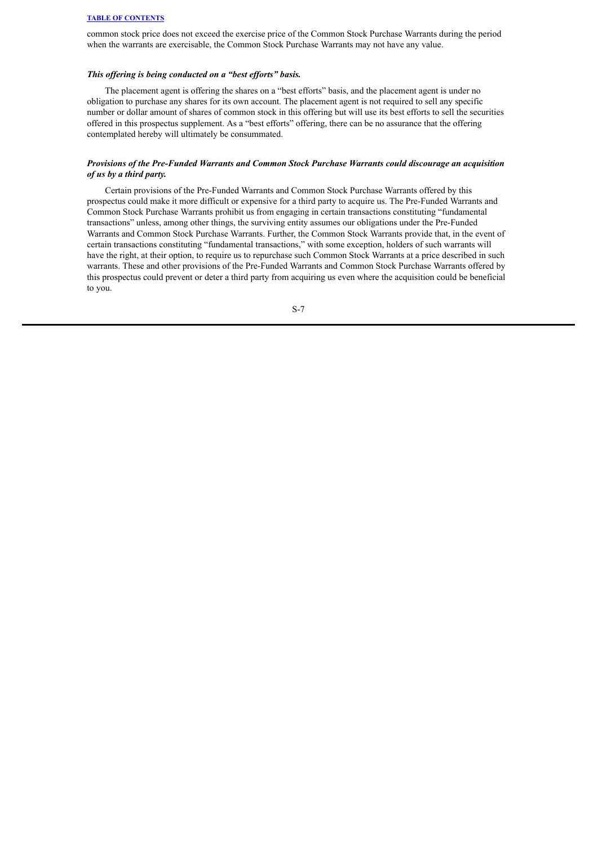common stock price does not exceed the exercise price of the Common Stock Purchase Warrants during the period when the warrants are exercisable, the Common Stock Purchase Warrants may not have any value.

#### *This of ering is being conducted on a "best ef orts" basis.*

The placement agent is offering the shares on a "best efforts" basis, and the placement agent is under no obligation to purchase any shares for its own account. The placement agent is not required to sell any specific number or dollar amount of shares of common stock in this offering but will use its best efforts to sell the securities offered in this prospectus supplement. As a "best efforts" offering, there can be no assurance that the offering contemplated hereby will ultimately be consummated.

## *Provisions of the Pre-Funded Warrants and Common Stock Purchase Warrants could discourage an acquisition of us by a third party.*

Certain provisions of the Pre-Funded Warrants and Common Stock Purchase Warrants offered by this prospectus could make it more difficult or expensive for a third party to acquire us. The Pre-Funded Warrants and Common Stock Purchase Warrants prohibit us from engaging in certain transactions constituting "fundamental transactions" unless, among other things, the surviving entity assumes our obligations under the Pre-Funded Warrants and Common Stock Purchase Warrants. Further, the Common Stock Warrants provide that, in the event of certain transactions constituting "fundamental transactions," with some exception, holders of such warrants will have the right, at their option, to require us to repurchase such Common Stock Warrants at a price described in such warrants. These and other provisions of the Pre-Funded Warrants and Common Stock Purchase Warrants offered by this prospectus could prevent or deter a third party from acquiring us even where the acquisition could be beneficial to you.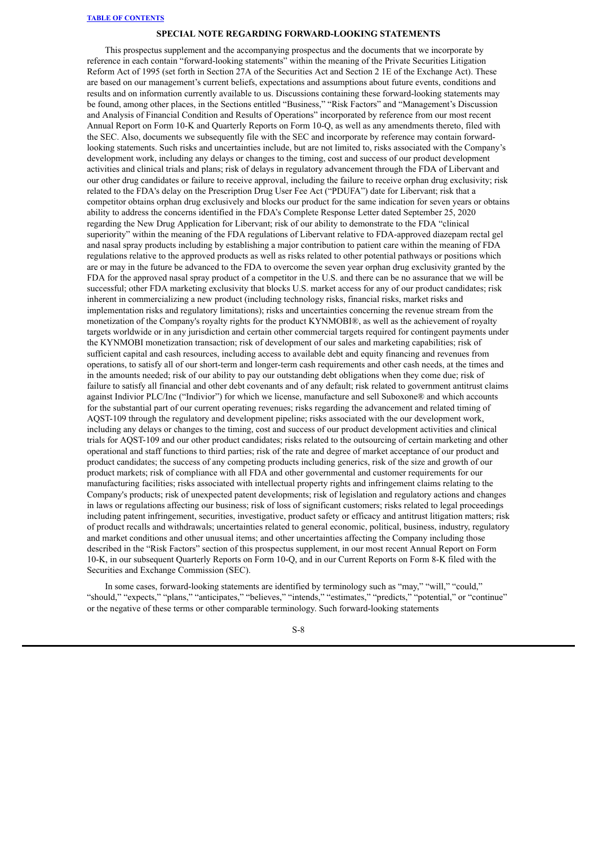#### **SPECIAL NOTE REGARDING FORWARD-LOOKING STATEMENTS**

<span id="page-9-0"></span>This prospectus supplement and the accompanying prospectus and the documents that we incorporate by reference in each contain "forward-looking statements" within the meaning of the Private Securities Litigation Reform Act of 1995 (set forth in Section 27A of the Securities Act and Section 2 1E of the Exchange Act). These are based on our management's current beliefs, expectations and assumptions about future events, conditions and results and on information currently available to us. Discussions containing these forward-looking statements may be found, among other places, in the Sections entitled "Business," "Risk Factors" and "Management's Discussion and Analysis of Financial Condition and Results of Operations" incorporated by reference from our most recent Annual Report on Form 10-K and Quarterly Reports on Form 10-Q, as well as any amendments thereto, filed with the SEC. Also, documents we subsequently file with the SEC and incorporate by reference may contain forwardlooking statements. Such risks and uncertainties include, but are not limited to, risks associated with the Company's development work, including any delays or changes to the timing, cost and success of our product development activities and clinical trials and plans; risk of delays in regulatory advancement through the FDA of Libervant and our other drug candidates or failure to receive approval, including the failure to receive orphan drug exclusivity; risk related to the FDA's delay on the Prescription Drug User Fee Act ("PDUFA") date for Libervant; risk that a competitor obtains orphan drug exclusively and blocks our product for the same indication for seven years or obtains ability to address the concerns identified in the FDA's Complete Response Letter dated September 25, 2020 regarding the New Drug Application for Libervant; risk of our ability to demonstrate to the FDA "clinical superiority" within the meaning of the FDA regulations of Libervant relative to FDA-approved diazepam rectal gel and nasal spray products including by establishing a major contribution to patient care within the meaning of FDA regulations relative to the approved products as well as risks related to other potential pathways or positions which are or may in the future be advanced to the FDA to overcome the seven year orphan drug exclusivity granted by the FDA for the approved nasal spray product of a competitor in the U.S. and there can be no assurance that we will be successful; other FDA marketing exclusivity that blocks U.S. market access for any of our product candidates; risk inherent in commercializing a new product (including technology risks, financial risks, market risks and implementation risks and regulatory limitations); risks and uncertainties concerning the revenue stream from the monetization of the Company's royalty rights for the product KYNMOBI®, as well as the achievement of royalty targets worldwide or in any jurisdiction and certain other commercial targets required for contingent payments under the KYNMOBI monetization transaction; risk of development of our sales and marketing capabilities; risk of sufficient capital and cash resources, including access to available debt and equity financing and revenues from operations, to satisfy all of our short-term and longer-term cash requirements and other cash needs, at the times and in the amounts needed; risk of our ability to pay our outstanding debt obligations when they come due; risk of failure to satisfy all financial and other debt covenants and of any default; risk related to government antitrust claims against Indivior PLC/Inc ("Indivior") for which we license, manufacture and sell Suboxone® and which accounts for the substantial part of our current operating revenues; risks regarding the advancement and related timing of AQST-109 through the regulatory and development pipeline; risks associated with the our development work, including any delays or changes to the timing, cost and success of our product development activities and clinical trials for AQST-109 and our other product candidates; risks related to the outsourcing of certain marketing and other operational and staff functions to third parties; risk of the rate and degree of market acceptance of our product and product candidates; the success of any competing products including generics, risk of the size and growth of our product markets; risk of compliance with all FDA and other governmental and customer requirements for our manufacturing facilities; risks associated with intellectual property rights and infringement claims relating to the Company's products; risk of unexpected patent developments; risk of legislation and regulatory actions and changes in laws or regulations affecting our business; risk of loss of significant customers; risks related to legal proceedings including patent infringement, securities, investigative, product safety or efficacy and antitrust litigation matters; risk of product recalls and withdrawals; uncertainties related to general economic, political, business, industry, regulatory and market conditions and other unusual items; and other uncertainties affecting the Company including those described in the "Risk Factors" section of this prospectus supplement, in our most recent Annual Report on Form 10-K, in our subsequent Quarterly Reports on Form 10-Q, and in our Current Reports on Form 8-K filed with the Securities and Exchange Commission (SEC).

In some cases, forward-looking statements are identified by terminology such as "may," "will," "could," "should," "expects," "plans," "anticipates," "believes," "intends," "estimates," "predicts," "potential," or "continue" or the negative of these terms or other comparable terminology. Such forward-looking statements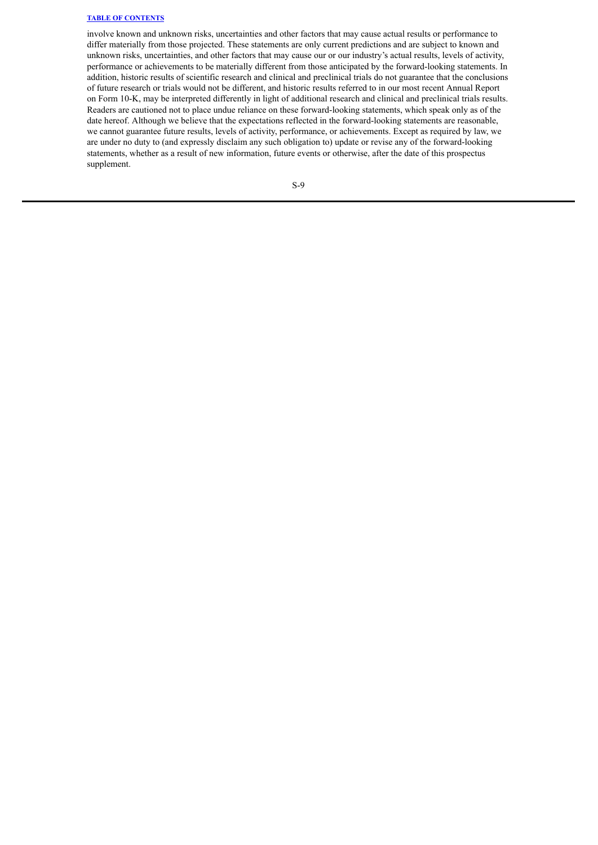involve known and unknown risks, uncertainties and other factors that may cause actual results or performance to differ materially from those projected. These statements are only current predictions and are subject to known and unknown risks, uncertainties, and other factors that may cause our or our industry's actual results, levels of activity, performance or achievements to be materially different from those anticipated by the forward-looking statements. In addition, historic results of scientific research and clinical and preclinical trials do not guarantee that the conclusions of future research or trials would not be different, and historic results referred to in our most recent Annual Report on Form 10-K, may be interpreted differently in light of additional research and clinical and preclinical trials results. Readers are cautioned not to place undue reliance on these forward-looking statements, which speak only as of the date hereof. Although we believe that the expectations reflected in the forward-looking statements are reasonable, we cannot guarantee future results, levels of activity, performance, or achievements. Except as required by law, we are under no duty to (and expressly disclaim any such obligation to) update or revise any of the forward-looking statements, whether as a result of new information, future events or otherwise, after the date of this prospectus supplement.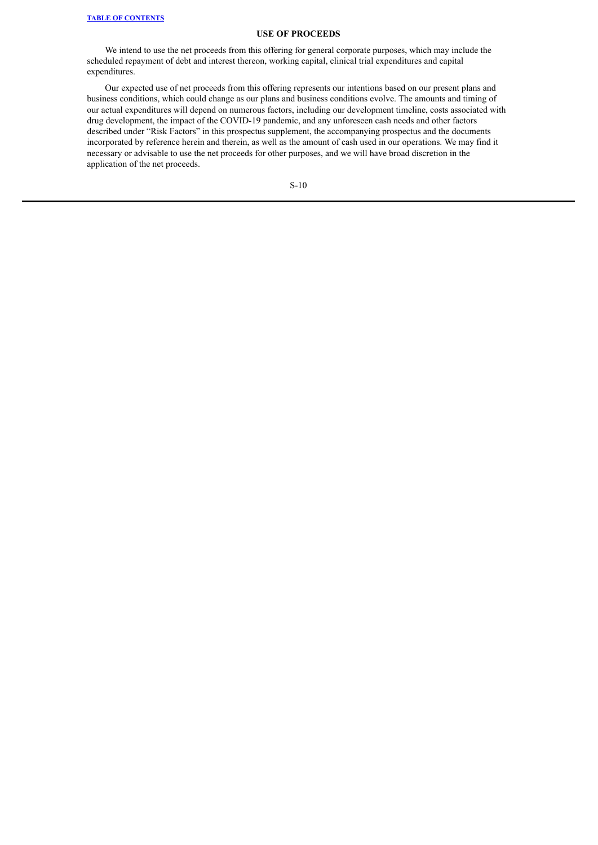## **USE OF PROCEEDS**

<span id="page-11-0"></span>We intend to use the net proceeds from this offering for general corporate purposes, which may include the scheduled repayment of debt and interest thereon, working capital, clinical trial expenditures and capital expenditures.

Our expected use of net proceeds from this offering represents our intentions based on our present plans and business conditions, which could change as our plans and business conditions evolve. The amounts and timing of our actual expenditures will depend on numerous factors, including our development timeline, costs associated with drug development, the impact of the COVID-19 pandemic, and any unforeseen cash needs and other factors described under "Risk Factors" in this prospectus supplement, the accompanying prospectus and the documents incorporated by reference herein and therein, as well as the amount of cash used in our operations. We may find it necessary or advisable to use the net proceeds for other purposes, and we will have broad discretion in the application of the net proceeds.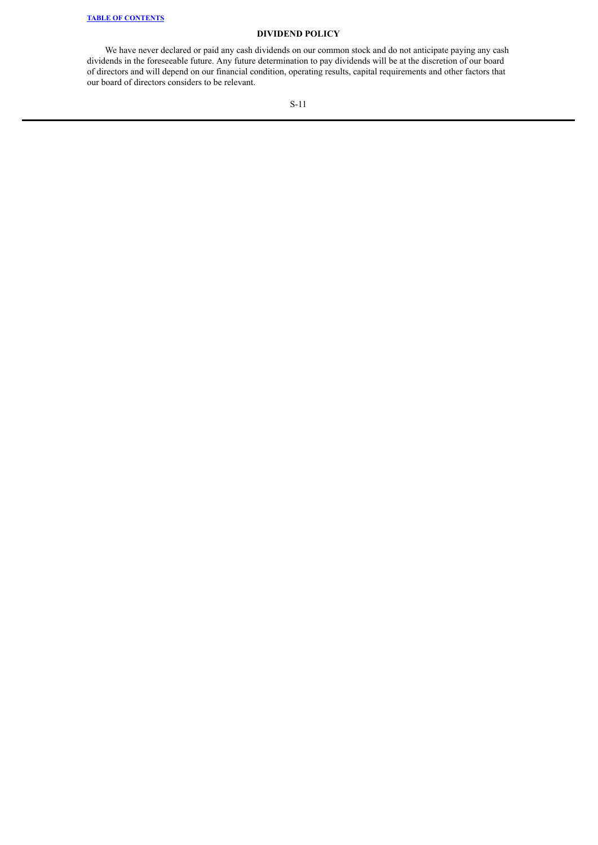## **DIVIDEND POLICY**

We have never declared or paid any cash dividends on our common stock and do not anticipate paying any cash dividends in the foreseeable future. Any future determination to pay dividends will be at the discretion of our board of directors and will depend on our financial condition, operating results, capital requirements and other factors that our board of directors considers to be relevant.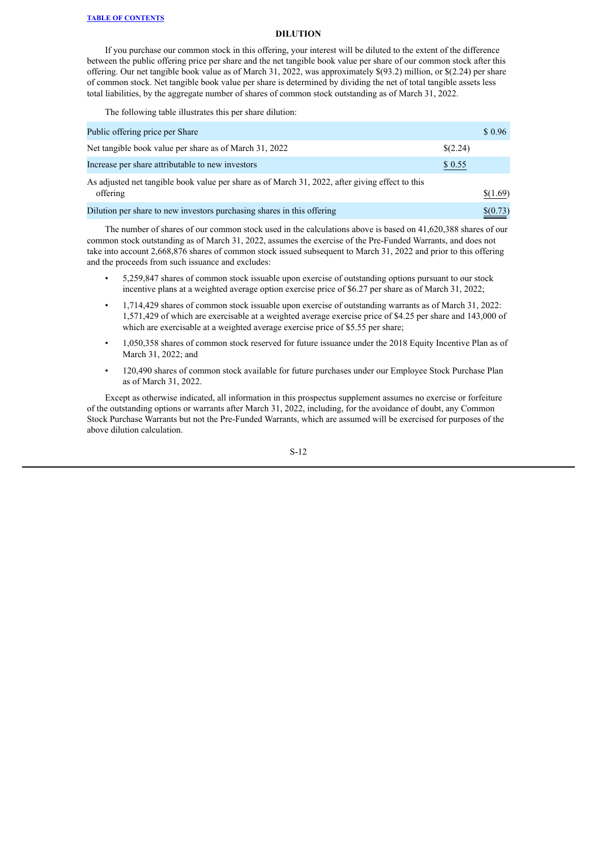#### **DILUTION**

<span id="page-13-0"></span>If you purchase our common stock in this offering, your interest will be diluted to the extent of the difference between the public offering price per share and the net tangible book value per share of our common stock after this offering. Our net tangible book value as of March 31, 2022, was approximately \$(93.2) million, or \$(2.24) per share of common stock. Net tangible book value per share is determined by dividing the net of total tangible assets less total liabilities, by the aggregate number of shares of common stock outstanding as of March 31, 2022.

The following table illustrates this per share dilution:

| Public offering price per Share                                                                             |          | \$0.96   |
|-------------------------------------------------------------------------------------------------------------|----------|----------|
| Net tangible book value per share as of March 31, 2022                                                      | \$(2.24) |          |
| Increase per share attributable to new investors                                                            | \$0.55   |          |
| As adjusted net tangible book value per share as of March 31, 2022, after giving effect to this<br>offering |          | \$(1.69) |
| Dilution per share to new investors purchasing shares in this offering                                      |          | \$(0.73) |

The number of shares of our common stock used in the calculations above is based on 41,620,388 shares of our common stock outstanding as of March 31, 2022, assumes the exercise of the Pre-Funded Warrants, and does not take into account 2,668,876 shares of common stock issued subsequent to March 31, 2022 and prior to this offering and the proceeds from such issuance and excludes:

- 5,259,847 shares of common stock issuable upon exercise of outstanding options pursuant to our stock incentive plans at a weighted average option exercise price of \$6.27 per share as of March 31, 2022;
- 1,714,429 shares of common stock issuable upon exercise of outstanding warrants as of March 31, 2022: 1,571,429 of which are exercisable at a weighted average exercise price of \$4.25 per share and 143,000 of which are exercisable at a weighted average exercise price of \$5.55 per share;
- 1,050,358 shares of common stock reserved for future issuance under the 2018 Equity Incentive Plan as of March 31, 2022; and
- 120,490 shares of common stock available for future purchases under our Employee Stock Purchase Plan as of March 31, 2022.

Except as otherwise indicated, all information in this prospectus supplement assumes no exercise or forfeiture of the outstanding options or warrants after March 31, 2022, including, for the avoidance of doubt, any Common Stock Purchase Warrants but not the Pre-Funded Warrants, which are assumed will be exercised for purposes of the above dilution calculation.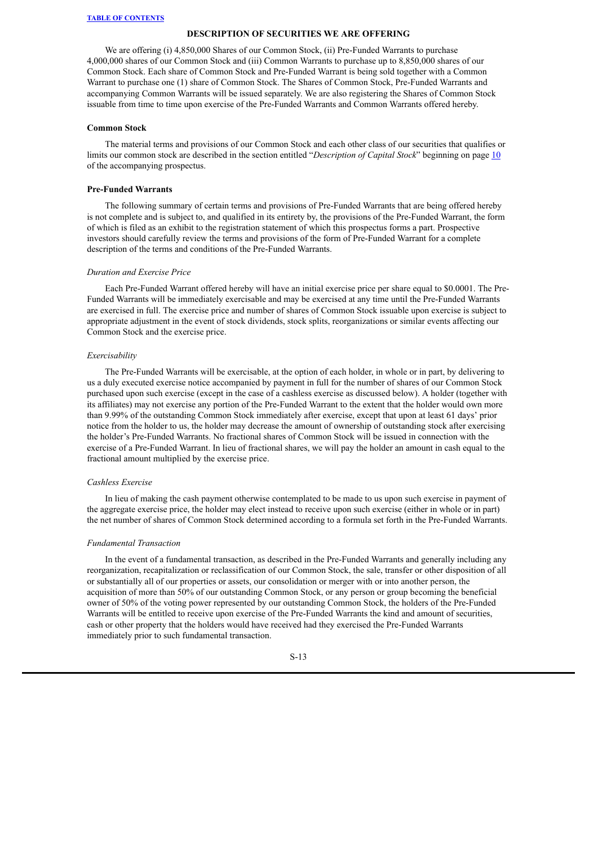#### **DESCRIPTION OF SECURITIES WE ARE OFFERING**

<span id="page-14-0"></span>We are offering (i) 4,850,000 Shares of our Common Stock, (ii) Pre-Funded Warrants to purchase 4,000,000 shares of our Common Stock and (iii) Common Warrants to purchase up to 8,850,000 shares of our Common Stock. Each share of Common Stock and Pre-Funded Warrant is being sold together with a Common Warrant to purchase one (1) share of Common Stock. The Shares of Common Stock, Pre-Funded Warrants and accompanying Common Warrants will be issued separately. We are also registering the Shares of Common Stock issuable from time to time upon exercise of the Pre-Funded Warrants and Common Warrants offered hereby.

#### **Common Stock**

The material terms and provisions of our Common Stock and each other class of our securities that qualifies or limits our common stock are described in the section entitled "*Description of Capital Stock*" beginning on page [10](#page-32-0) of the accompanying prospectus.

## **Pre-Funded Warrants**

The following summary of certain terms and provisions of Pre-Funded Warrants that are being offered hereby is not complete and is subject to, and qualified in its entirety by, the provisions of the Pre-Funded Warrant, the form of which is filed as an exhibit to the registration statement of which this prospectus forms a part. Prospective investors should carefully review the terms and provisions of the form of Pre-Funded Warrant for a complete description of the terms and conditions of the Pre-Funded Warrants.

#### *Duration and Exercise Price*

Each Pre-Funded Warrant offered hereby will have an initial exercise price per share equal to \$0.0001. The Pre-Funded Warrants will be immediately exercisable and may be exercised at any time until the Pre-Funded Warrants are exercised in full. The exercise price and number of shares of Common Stock issuable upon exercise is subject to appropriate adjustment in the event of stock dividends, stock splits, reorganizations or similar events affecting our Common Stock and the exercise price.

#### *Exercisability*

The Pre-Funded Warrants will be exercisable, at the option of each holder, in whole or in part, by delivering to us a duly executed exercise notice accompanied by payment in full for the number of shares of our Common Stock purchased upon such exercise (except in the case of a cashless exercise as discussed below). A holder (together with its affiliates) may not exercise any portion of the Pre-Funded Warrant to the extent that the holder would own more than 9.99% of the outstanding Common Stock immediately after exercise, except that upon at least 61 days' prior notice from the holder to us, the holder may decrease the amount of ownership of outstanding stock after exercising the holder's Pre-Funded Warrants. No fractional shares of Common Stock will be issued in connection with the exercise of a Pre-Funded Warrant. In lieu of fractional shares, we will pay the holder an amount in cash equal to the fractional amount multiplied by the exercise price.

## *Cashless Exercise*

In lieu of making the cash payment otherwise contemplated to be made to us upon such exercise in payment of the aggregate exercise price, the holder may elect instead to receive upon such exercise (either in whole or in part) the net number of shares of Common Stock determined according to a formula set forth in the Pre-Funded Warrants.

## *Fundamental Transaction*

In the event of a fundamental transaction, as described in the Pre-Funded Warrants and generally including any reorganization, recapitalization or reclassification of our Common Stock, the sale, transfer or other disposition of all or substantially all of our properties or assets, our consolidation or merger with or into another person, the acquisition of more than 50% of our outstanding Common Stock, or any person or group becoming the beneficial owner of 50% of the voting power represented by our outstanding Common Stock, the holders of the Pre-Funded Warrants will be entitled to receive upon exercise of the Pre-Funded Warrants the kind and amount of securities, cash or other property that the holders would have received had they exercised the Pre-Funded Warrants immediately prior to such fundamental transaction.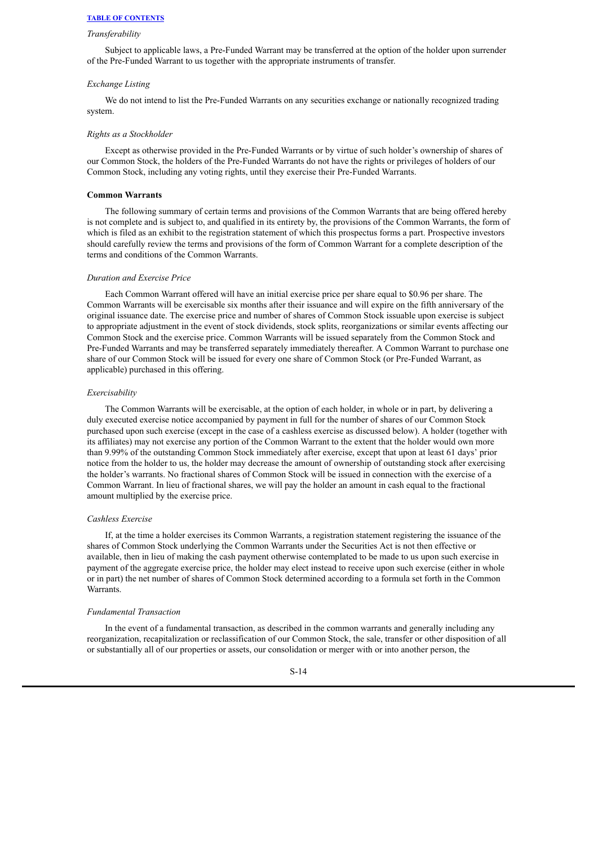#### *Transferability*

Subject to applicable laws, a Pre-Funded Warrant may be transferred at the option of the holder upon surrender of the Pre-Funded Warrant to us together with the appropriate instruments of transfer.

#### *Exchange Listing*

We do not intend to list the Pre-Funded Warrants on any securities exchange or nationally recognized trading system.

#### *Rights as a Stockholder*

Except as otherwise provided in the Pre-Funded Warrants or by virtue of such holder's ownership of shares of our Common Stock, the holders of the Pre-Funded Warrants do not have the rights or privileges of holders of our Common Stock, including any voting rights, until they exercise their Pre-Funded Warrants.

## **Common Warrants**

The following summary of certain terms and provisions of the Common Warrants that are being offered hereby is not complete and is subject to, and qualified in its entirety by, the provisions of the Common Warrants, the form of which is filed as an exhibit to the registration statement of which this prospectus forms a part. Prospective investors should carefully review the terms and provisions of the form of Common Warrant for a complete description of the terms and conditions of the Common Warrants.

#### *Duration and Exercise Price*

Each Common Warrant offered will have an initial exercise price per share equal to \$0.96 per share. The Common Warrants will be exercisable six months after their issuance and will expire on the fifth anniversary of the original issuance date. The exercise price and number of shares of Common Stock issuable upon exercise is subject to appropriate adjustment in the event of stock dividends, stock splits, reorganizations or similar events affecting our Common Stock and the exercise price. Common Warrants will be issued separately from the Common Stock and Pre-Funded Warrants and may be transferred separately immediately thereafter. A Common Warrant to purchase one share of our Common Stock will be issued for every one share of Common Stock (or Pre-Funded Warrant, as applicable) purchased in this offering.

#### *Exercisability*

The Common Warrants will be exercisable, at the option of each holder, in whole or in part, by delivering a duly executed exercise notice accompanied by payment in full for the number of shares of our Common Stock purchased upon such exercise (except in the case of a cashless exercise as discussed below). A holder (together with its affiliates) may not exercise any portion of the Common Warrant to the extent that the holder would own more than 9.99% of the outstanding Common Stock immediately after exercise, except that upon at least 61 days' prior notice from the holder to us, the holder may decrease the amount of ownership of outstanding stock after exercising the holder's warrants. No fractional shares of Common Stock will be issued in connection with the exercise of a Common Warrant. In lieu of fractional shares, we will pay the holder an amount in cash equal to the fractional amount multiplied by the exercise price.

#### *Cashless Exercise*

If, at the time a holder exercises its Common Warrants, a registration statement registering the issuance of the shares of Common Stock underlying the Common Warrants under the Securities Act is not then effective or available, then in lieu of making the cash payment otherwise contemplated to be made to us upon such exercise in payment of the aggregate exercise price, the holder may elect instead to receive upon such exercise (either in whole or in part) the net number of shares of Common Stock determined according to a formula set forth in the Common Warrants.

#### *Fundamental Transaction*

In the event of a fundamental transaction, as described in the common warrants and generally including any reorganization, recapitalization or reclassification of our Common Stock, the sale, transfer or other disposition of all or substantially all of our properties or assets, our consolidation or merger with or into another person, the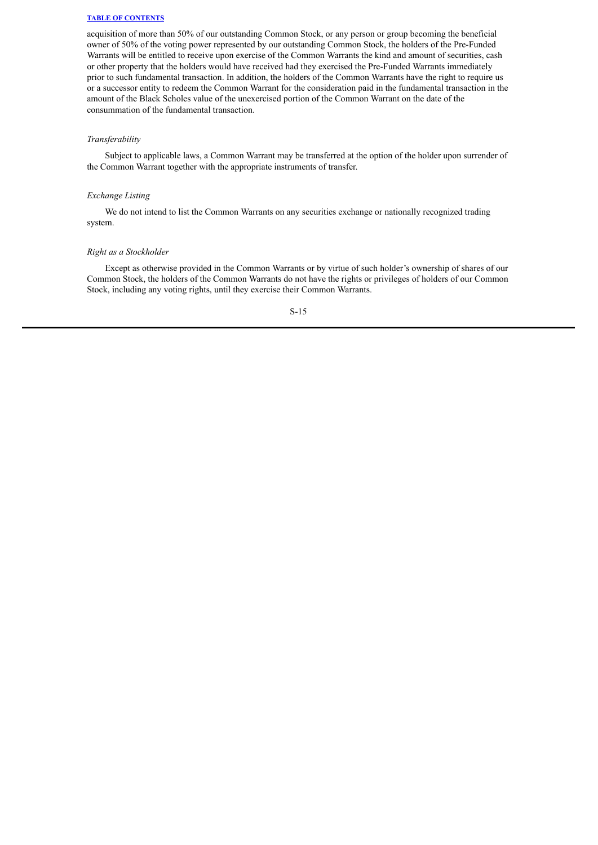acquisition of more than 50% of our outstanding Common Stock, or any person or group becoming the beneficial owner of 50% of the voting power represented by our outstanding Common Stock, the holders of the Pre-Funded Warrants will be entitled to receive upon exercise of the Common Warrants the kind and amount of securities, cash or other property that the holders would have received had they exercised the Pre-Funded Warrants immediately prior to such fundamental transaction. In addition, the holders of the Common Warrants have the right to require us or a successor entity to redeem the Common Warrant for the consideration paid in the fundamental transaction in the amount of the Black Scholes value of the unexercised portion of the Common Warrant on the date of the consummation of the fundamental transaction.

## *Transferability*

Subject to applicable laws, a Common Warrant may be transferred at the option of the holder upon surrender of the Common Warrant together with the appropriate instruments of transfer.

#### *Exchange Listing*

We do not intend to list the Common Warrants on any securities exchange or nationally recognized trading system.

#### *Right as a Stockholder*

Except as otherwise provided in the Common Warrants or by virtue of such holder's ownership of shares of our Common Stock, the holders of the Common Warrants do not have the rights or privileges of holders of our Common Stock, including any voting rights, until they exercise their Common Warrants.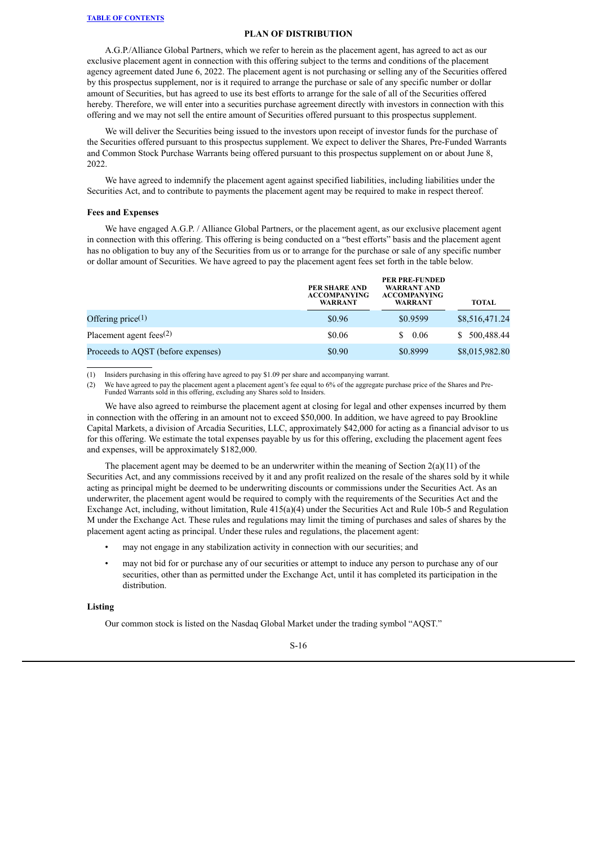#### **PLAN OF DISTRIBUTION**

<span id="page-17-0"></span>A.G.P./Alliance Global Partners, which we refer to herein as the placement agent, has agreed to act as our exclusive placement agent in connection with this offering subject to the terms and conditions of the placement agency agreement dated June 6, 2022. The placement agent is not purchasing or selling any of the Securities offered by this prospectus supplement, nor is it required to arrange the purchase or sale of any specific number or dollar amount of Securities, but has agreed to use its best efforts to arrange for the sale of all of the Securities offered hereby. Therefore, we will enter into a securities purchase agreement directly with investors in connection with this offering and we may not sell the entire amount of Securities offered pursuant to this prospectus supplement.

We will deliver the Securities being issued to the investors upon receipt of investor funds for the purchase of the Securities offered pursuant to this prospectus supplement. We expect to deliver the Shares, Pre-Funded Warrants and Common Stock Purchase Warrants being offered pursuant to this prospectus supplement on or about June 8, 2022.

We have agreed to indemnify the placement agent against specified liabilities, including liabilities under the Securities Act, and to contribute to payments the placement agent may be required to make in respect thereof.

#### **Fees and Expenses**

We have engaged A.G.P. / Alliance Global Partners, or the placement agent, as our exclusive placement agent in connection with this offering. This offering is being conducted on a "best efforts" basis and the placement agent has no obligation to buy any of the Securities from us or to arrange for the purchase or sale of any specific number or dollar amount of Securities. We have agreed to pay the placement agent fees set forth in the table below.

|                                    | PER SHARE AND<br><b>ACCOMPANYING</b><br>WARRANT | <b>PER PRE-FUNDED</b><br>WARRANT AND<br><b>ACCOMPANYING</b><br><b>WARRANT</b> | TOTAL          |
|------------------------------------|-------------------------------------------------|-------------------------------------------------------------------------------|----------------|
| Offering price $(1)$               | \$0.96                                          | \$0.9599                                                                      | \$8,516,471.24 |
| Placement agent fees $(2)$         | \$0.06                                          | 0.06<br>S.                                                                    | \$ 500,488.44  |
| Proceeds to AQST (before expenses) | \$0.90                                          | \$0.8999                                                                      | \$8,015,982.80 |

(1) Insiders purchasing in this offering have agreed to pay \$1.09 per share and accompanying warrant.

(2) We have agreed to pay the placement agent a placement agent's fee equal to 6% of the aggregate purchase price of the Shares and Pre-Funded Warrants sold in this offering, excluding any Shares sold to Insiders.

We have also agreed to reimburse the placement agent at closing for legal and other expenses incurred by them in connection with the offering in an amount not to exceed \$50,000. In addition, we have agreed to pay Brookline Capital Markets, a division of Arcadia Securities, LLC, approximately \$42,000 for acting as a financial advisor to us for this offering. We estimate the total expenses payable by us for this offering, excluding the placement agent fees and expenses, will be approximately \$182,000.

The placement agent may be deemed to be an underwriter within the meaning of Section  $2(a)(11)$  of the Securities Act, and any commissions received by it and any profit realized on the resale of the shares sold by it while acting as principal might be deemed to be underwriting discounts or commissions under the Securities Act. As an underwriter, the placement agent would be required to comply with the requirements of the Securities Act and the Exchange Act, including, without limitation, Rule 415(a)(4) under the Securities Act and Rule 10b-5 and Regulation M under the Exchange Act. These rules and regulations may limit the timing of purchases and sales of shares by the placement agent acting as principal. Under these rules and regulations, the placement agent:

- may not engage in any stabilization activity in connection with our securities; and
- may not bid for or purchase any of our securities or attempt to induce any person to purchase any of our securities, other than as permitted under the Exchange Act, until it has completed its participation in the distribution.

#### **Listing**

Our common stock is listed on the Nasdaq Global Market under the trading symbol "AQST."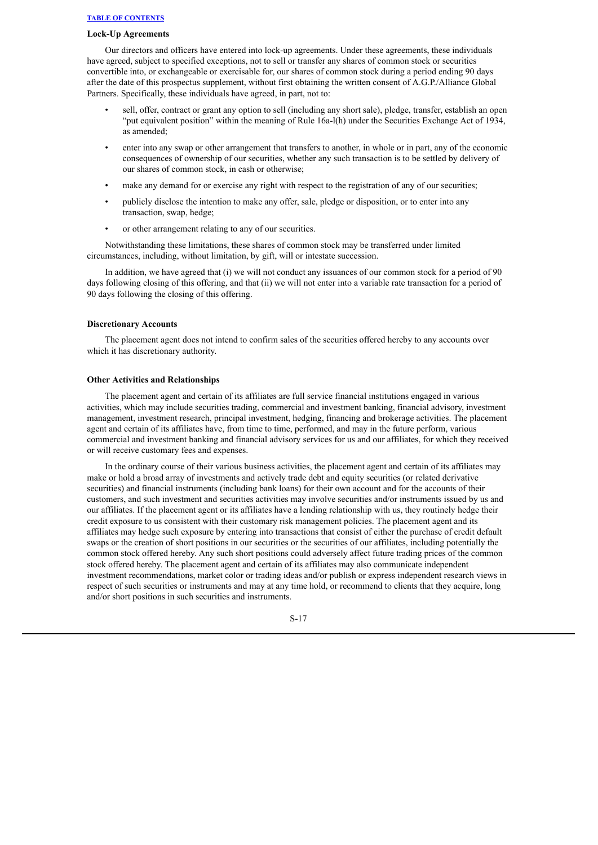#### **Lock-Up Agreements**

Our directors and officers have entered into lock-up agreements. Under these agreements, these individuals have agreed, subject to specified exceptions, not to sell or transfer any shares of common stock or securities convertible into, or exchangeable or exercisable for, our shares of common stock during a period ending 90 days after the date of this prospectus supplement, without first obtaining the written consent of A.G.P./Alliance Global Partners. Specifically, these individuals have agreed, in part, not to:

- sell, offer, contract or grant any option to sell (including any short sale), pledge, transfer, establish an open "put equivalent position" within the meaning of Rule 16a-l(h) under the Securities Exchange Act of 1934, as amended;
- enter into any swap or other arrangement that transfers to another, in whole or in part, any of the economic consequences of ownership of our securities, whether any such transaction is to be settled by delivery of our shares of common stock, in cash or otherwise;
- make any demand for or exercise any right with respect to the registration of any of our securities;
- publicly disclose the intention to make any offer, sale, pledge or disposition, or to enter into any transaction, swap, hedge;
- or other arrangement relating to any of our securities.

Notwithstanding these limitations, these shares of common stock may be transferred under limited circumstances, including, without limitation, by gift, will or intestate succession.

In addition, we have agreed that (i) we will not conduct any issuances of our common stock for a period of 90 days following closing of this offering, and that (ii) we will not enter into a variable rate transaction for a period of 90 days following the closing of this offering.

## **Discretionary Accounts**

The placement agent does not intend to confirm sales of the securities offered hereby to any accounts over which it has discretionary authority.

## **Other Activities and Relationships**

The placement agent and certain of its affiliates are full service financial institutions engaged in various activities, which may include securities trading, commercial and investment banking, financial advisory, investment management, investment research, principal investment, hedging, financing and brokerage activities. The placement agent and certain of its affiliates have, from time to time, performed, and may in the future perform, various commercial and investment banking and financial advisory services for us and our affiliates, for which they received or will receive customary fees and expenses.

In the ordinary course of their various business activities, the placement agent and certain of its affiliates may make or hold a broad array of investments and actively trade debt and equity securities (or related derivative securities) and financial instruments (including bank loans) for their own account and for the accounts of their customers, and such investment and securities activities may involve securities and/or instruments issued by us and our affiliates. If the placement agent or its affiliates have a lending relationship with us, they routinely hedge their credit exposure to us consistent with their customary risk management policies. The placement agent and its affiliates may hedge such exposure by entering into transactions that consist of either the purchase of credit default swaps or the creation of short positions in our securities or the securities of our affiliates, including potentially the common stock offered hereby. Any such short positions could adversely affect future trading prices of the common stock offered hereby. The placement agent and certain of its affiliates may also communicate independent investment recommendations, market color or trading ideas and/or publish or express independent research views in respect of such securities or instruments and may at any time hold, or recommend to clients that they acquire, long and/or short positions in such securities and instruments.

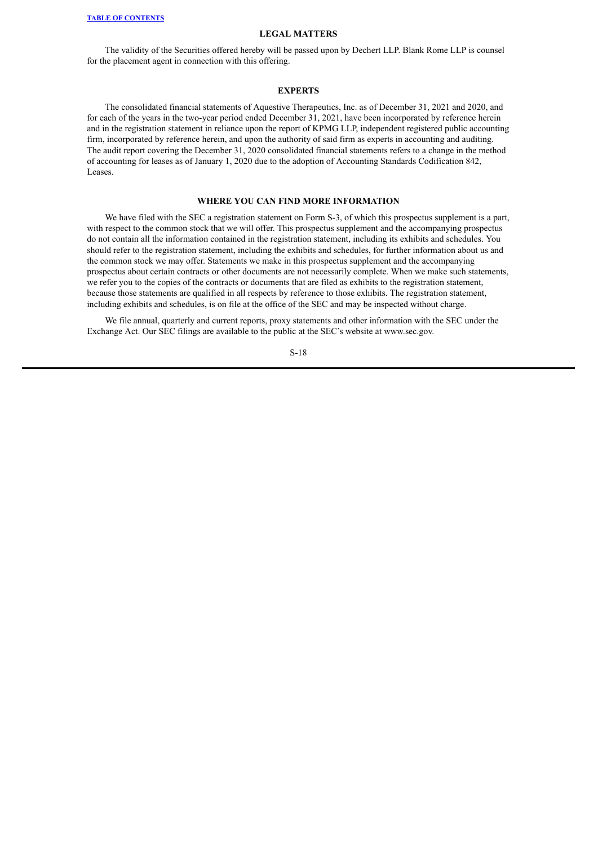#### **LEGAL MATTERS**

<span id="page-19-0"></span>The validity of the Securities offered hereby will be passed upon by Dechert LLP. Blank Rome LLP is counsel for the placement agent in connection with this offering.

#### **EXPERTS**

<span id="page-19-1"></span>The consolidated financial statements of Aquestive Therapeutics, Inc. as of December 31, 2021 and 2020, and for each of the years in the two-year period ended December 31, 2021, have been incorporated by reference herein and in the registration statement in reliance upon the report of KPMG LLP, independent registered public accounting firm, incorporated by reference herein, and upon the authority of said firm as experts in accounting and auditing. The audit report covering the December 31, 2020 consolidated financial statements refers to a change in the method of accounting for leases as of January 1, 2020 due to the adoption of Accounting Standards Codification 842, Leases.

#### **WHERE YOU CAN FIND MORE INFORMATION**

<span id="page-19-2"></span>We have filed with the SEC a registration statement on Form S-3, of which this prospectus supplement is a part, with respect to the common stock that we will offer. This prospectus supplement and the accompanying prospectus do not contain all the information contained in the registration statement, including its exhibits and schedules. You should refer to the registration statement, including the exhibits and schedules, for further information about us and the common stock we may offer. Statements we make in this prospectus supplement and the accompanying prospectus about certain contracts or other documents are not necessarily complete. When we make such statements, we refer you to the copies of the contracts or documents that are filed as exhibits to the registration statement, because those statements are qualified in all respects by reference to those exhibits. The registration statement, including exhibits and schedules, is on file at the office of the SEC and may be inspected without charge.

We file annual, quarterly and current reports, proxy statements and other information with the SEC under the Exchange Act. Our SEC filings are available to the public at the SEC's website at www.sec.gov.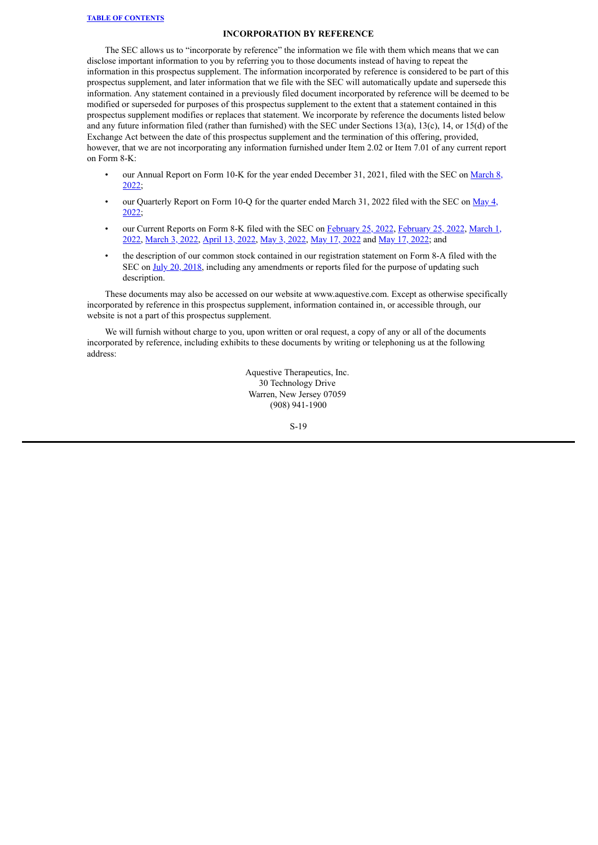## **INCORPORATION BY REFERENCE**

<span id="page-20-0"></span>The SEC allows us to "incorporate by reference" the information we file with them which means that we can disclose important information to you by referring you to those documents instead of having to repeat the information in this prospectus supplement. The information incorporated by reference is considered to be part of this prospectus supplement, and later information that we file with the SEC will automatically update and supersede this information. Any statement contained in a previously filed document incorporated by reference will be deemed to be modified or superseded for purposes of this prospectus supplement to the extent that a statement contained in this prospectus supplement modifies or replaces that statement. We incorporate by reference the documents listed below and any future information filed (rather than furnished) with the SEC under Sections 13(a), 13(c), 14, or 15(d) of the Exchange Act between the date of this prospectus supplement and the termination of this offering, provided, however, that we are not incorporating any information furnished under Item 2.02 or Item 7.01 of any current report on Form 8-K:

- our Annual Report on Form 10-K for the year ended [December](https://www.sec.gov/ix?doc=/Archives/edgar/data/1398733/000162828022005393/aqst-20211231.htm) 31, 2021, filed with the SEC on March 8, 2022;
- our [Quarterly](https://www.sec.gov/ix?doc=/Archives/edgar/data/1398733/000162828022012115/aqst-20220331.htm) Report on Form 10-Q for the quarter ended March 31, 2022 filed with the SEC on May 4, 2022;
- our Current Reports on Form 8-K filed with the SEC on [F](https://www.sec.gov/ix?doc=/Archives/edgar/data/1398733/000117184322001488/f8k_030122.htm)[ebruary](https://www.sec.gov/ix?doc=/Archives/edgar/data/1398733/000117184322001397/f8k_022522.htm) 25, 2022, [February](https://www.sec.gov/ix?doc=/Archives/edgar/data/1398733/000117184322001396/f8k_022522.htm) 25, 2022, March 1, 2022, [March](https://www.sec.gov/ix?doc=/Archives/edgar/data/1398733/000117184322001598/f8k_030322.htm) 3, 2022, [April](https://www.sec.gov/ix?doc=/Archives/edgar/data/1398733/000162828022009093/aqst-20220412.htm) 13, 2022, May 3, [2022,](https://www.sec.gov/ix?doc=/Archives/edgar/data/1398733/000162828022012052/aqst-20220503.htm) May 17, [2022](https://www.sec.gov/ix?doc=/Archives/edgar/data/1398733/000114036122019495/brhc10037825_8k.htm) and May 17, [2022](https://www.sec.gov/ix?doc=/Archives/edgar/data/1398733/000114036122019590/brhc10037837_8k.htm); and
- the description of our common stock contained in our registration statement on Form 8-A filed with the SEC on July 20, [2018,](https://www.sec.gov/Archives/edgar/data/1398733/000114036118033010/s002128x10_8a12b.htm) including any amendments or reports filed for the purpose of updating such description.

These documents may also be accessed on our website at www.aquestive.com. Except as otherwise specifically incorporated by reference in this prospectus supplement, information contained in, or accessible through, our website is not a part of this prospectus supplement.

We will furnish without charge to you, upon written or oral request, a copy of any or all of the documents incorporated by reference, including exhibits to these documents by writing or telephoning us at the following address:

> Aquestive Therapeutics, Inc. 30 Technology Drive Warren, New Jersey 07059 (908) 941-1900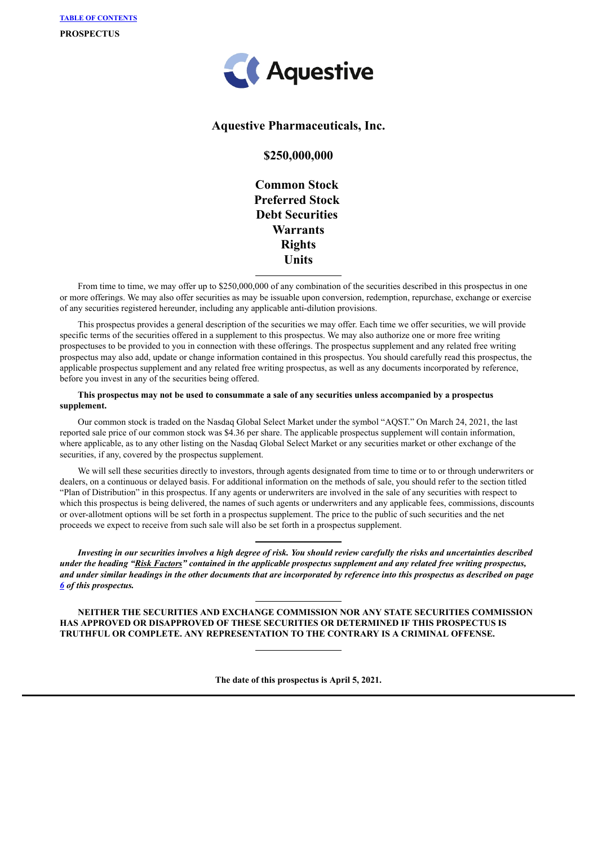

## **Aquestive Pharmaceuticals, Inc.**

## **\$250,000,000**

**Common Stock Preferred Stock Debt Securities Warrants Rights Units**

From time to time, we may offer up to \$250,000,000 of any combination of the securities described in this prospectus in one or more offerings. We may also offer securities as may be issuable upon conversion, redemption, repurchase, exchange or exercise of any securities registered hereunder, including any applicable anti-dilution provisions.

This prospectus provides a general description of the securities we may offer. Each time we offer securities, we will provide specific terms of the securities offered in a supplement to this prospectus. We may also authorize one or more free writing prospectuses to be provided to you in connection with these offerings. The prospectus supplement and any related free writing prospectus may also add, update or change information contained in this prospectus. You should carefully read this prospectus, the applicable prospectus supplement and any related free writing prospectus, as well as any documents incorporated by reference, before you invest in any of the securities being offered.

## This prospectus may not be used to consummate a sale of any securities unless accompanied by a prospectus **supplement.**

Our common stock is traded on the Nasdaq Global Select Market under the symbol "AQST." On March 24, 2021, the last reported sale price of our common stock was \$4.36 per share. The applicable prospectus supplement will contain information, where applicable, as to any other listing on the Nasdaq Global Select Market or any securities market or other exchange of the securities, if any, covered by the prospectus supplement.

We will sell these securities directly to investors, through agents designated from time to time or to or through underwriters or dealers, on a continuous or delayed basis. For additional information on the methods of sale, you should refer to the section titled "Plan of Distribution" in this prospectus. If any agents or underwriters are involved in the sale of any securities with respect to which this prospectus is being delivered, the names of such agents or underwriters and any applicable fees, commissions, discounts or over-allotment options will be set forth in a prospectus supplement. The price to the public of such securities and the net proceeds we expect to receive from such sale will also be set forth in a prospectus supplement.

Investing in our securities involves a high degree of risk. You should review carefully the risks and uncertainties described under the heading "Risk Factors" contained in the applicable prospectus supplement and any related free writing prospectus, and under similar headings in the other documents that are incorporated by reference into this prospectus as described on page *[6](#page-28-0) of this prospectus.*

**NEITHER THE SECURITIES AND EXCHANGE COMMISSION NOR ANY STATE SECURITIES COMMISSION HAS APPROVED OR DISAPPROVED OF THESE SECURITIES OR DETERMINED IF THIS PROSPECTUS IS TRUTHFUL OR COMPLETE. ANY REPRESENTATION TO THE CONTRARY IS A CRIMINAL OFFENSE.**

**The date of this prospectus is April 5, 2021.**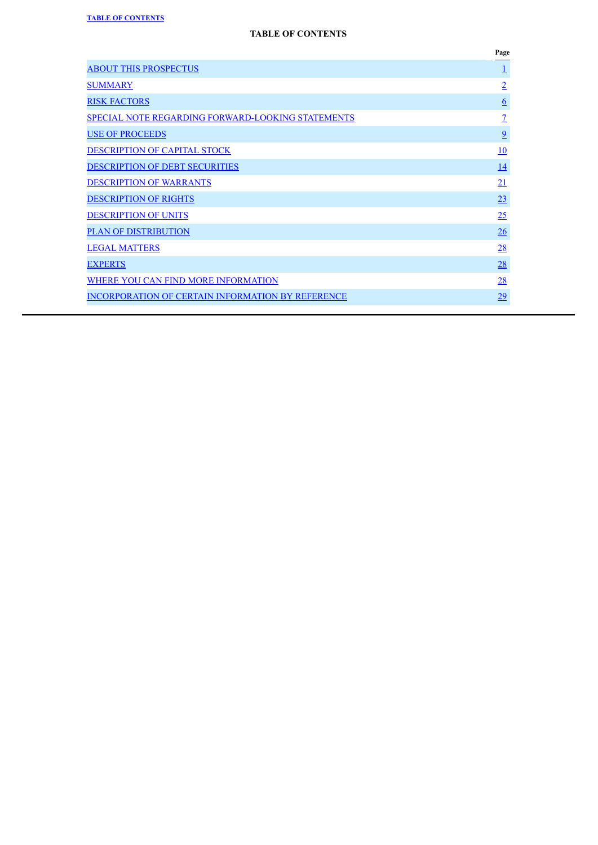|                                                          | Page            |
|----------------------------------------------------------|-----------------|
| <b>ABOUT THIS PROSPECTUS</b>                             | <u>1</u>        |
| <b>SUMMARY</b>                                           | $\overline{2}$  |
| <b>RISK FACTORS</b>                                      | $6\overline{6}$ |
| <b>SPECIAL NOTE REGARDING FORWARD-LOOKING STATEMENTS</b> | $\overline{1}$  |
| <b>USE OF PROCEEDS</b>                                   | $\overline{9}$  |
| <b>DESCRIPTION OF CAPITAL STOCK</b>                      | <u>10</u>       |
| <b>DESCRIPTION OF DEBT SECURITIES</b>                    | <u>14</u>       |
| <b>DESCRIPTION OF WARRANTS</b>                           | <u>21</u>       |
| <b>DESCRIPTION OF RIGHTS</b>                             | 23              |
| <b>DESCRIPTION OF UNITS</b>                              | 25              |
| <b>PLAN OF DISTRIBUTION</b>                              | 26              |
| <b>LEGAL MATTERS</b>                                     | 28              |
| <b>EXPERTS</b>                                           | 28              |
| WHERE YOU CAN FIND MORE INFORMATION                      | 28              |
| <b>INCORPORATION OF CERTAIN INFORMATION BY REFERENCE</b> | 29              |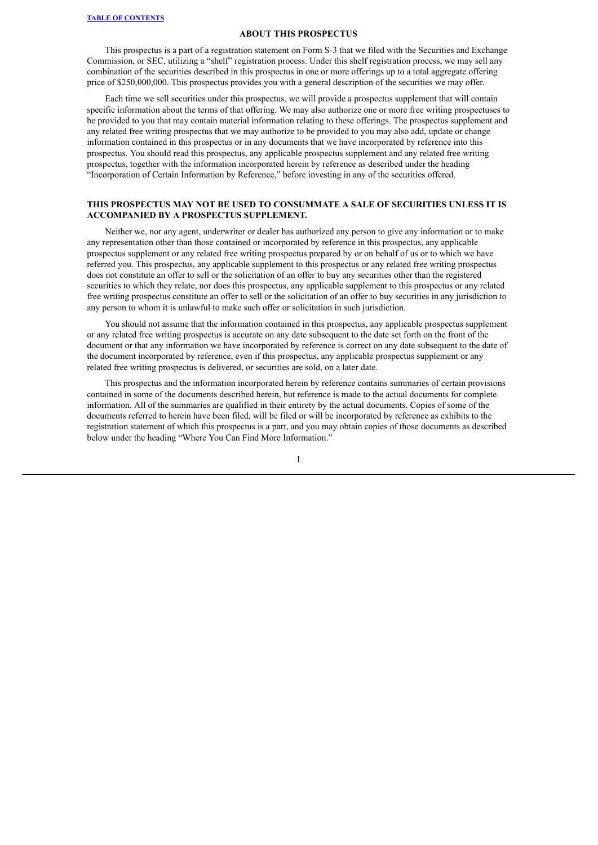#### **ABOUT THIS PROSPECTUS**

<span id="page-23-0"></span>This prospectus is a part of a registration statement on Form S-3 that we filed with the Securities and Exchange Commission, or SEC, utilizing a "shelf" registration process. Under this shelf registration process, we may sell any combination of the securities described in this prospectus in one or more offerings up to a total aggregate offering price of \$250,000,000. This prospectus provides you with a general description of the securities we may offer.

Each time we sell securities under this prospectus, we will provide a prospectus supplement that will contain specific information about the terms of that offering. We may also authorize one or more free writing prospectuses to be provided to you that may contain material information relating to these offerings. The prospectus supplement and any related free writing prospectus that we may authorize to be provided to you may also add, update or change information contained in this prospectus or in any documents that we have incorporated by reference into this prospectus. You should read this prospectus, any applicable prospectus supplement and any related free writing prospectus, together with the information incorporated herein by reference as described under the heading "Incorporation of Certain Information by Reference," before investing in any of the securities offered.

## **THIS PROSPECTUS MAY NOT BE USED TO CONSUMMATE A SALE OF SECURITIES UNLESS IT IS ACCOMPANIED BY A PROSPECTUS SUPPLEMENT.**

Neither we, nor any agent, underwriter or dealer has authorized any person to give any information or to make any representation other than those contained or incorporated by reference in this prospectus, any applicable prospectus supplement or any related free writing prospectus prepared by or on behalf of us or to which we have referred you. This prospectus, any applicable supplement to this prospectus or any related free writing prospectus does not constitute an offer to sell or the solicitation of an offer to buy any securities other than the registered securities to which they relate, nor does this prospectus, any applicable supplement to this prospectus or any related free writing prospectus constitute an offer to sell or the solicitation of an offer to buy securities in any jurisdiction to any person to whom it is unlawful to make such offer or solicitation in such jurisdiction.

You should not assume that the information contained in this prospectus, any applicable prospectus supplement or any related free writing prospectus is accurate on any date subsequent to the date set forth on the front of the document or that any information we have incorporated by reference is correct on any date subsequent to the date of the document incorporated by reference, even if this prospectus, any applicable prospectus supplement or any related free writing prospectus is delivered, or securities are sold, on a later date.

This prospectus and the information incorporated herein by reference contains summaries of certain provisions contained in some of the documents described herein, but reference is made to the actual documents for complete information. All of the summaries are qualified in their entirety by the actual documents. Copies of some of the documents referred to herein have been filed, will be filed or will be incorporated by reference as exhibits to the registration statement of which this prospectus is a part, and you may obtain copies of those documents as described below under the heading "Where You Can Find More Information."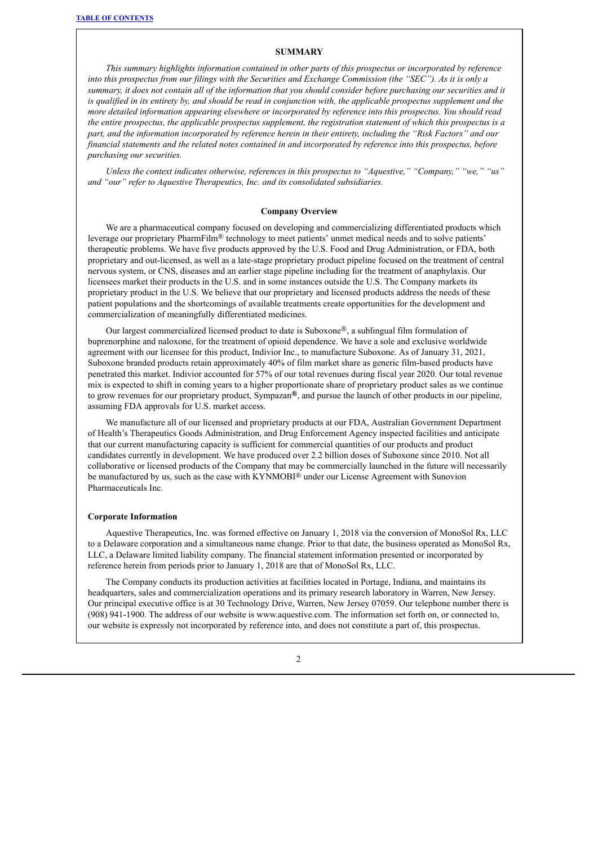## **SUMMARY**

<span id="page-24-0"></span>*This summary highlights information contained in other parts of this prospectus or incorporated by reference* into this prospectus from our filings with the Securities and Exchange Commission (the "SEC"). As it is only a summary, it does not contain all of the information that you should consider before purchasing our securities and it is qualified in its entirety by, and should be read in conjunction with, the applicable prospectus supplement and the *more detailed information appearing elsewhere or incorporated by reference into this prospectus. You should read* the entire prospectus, the applicable prospectus supplement, the registration statement of which this prospectus is a part, and the information incorporated by reference herein in their entirety, including the "Risk Factors" and our financial statements and the related notes contained in and incorporated by reference into this prospectus, before *purchasing our securities.*

*Unless the context indicates otherwise, references in this prospectus to "Aquestive," "Company," "we," "us" and "our" refer to Aquestive Therapeutics, Inc. and its consolidated subsidiaries.*

#### **Company Overview**

We are a pharmaceutical company focused on developing and commercializing differentiated products which leverage our proprietary PharmFilm® technology to meet patients' unmet medical needs and to solve patients' therapeutic problems. We have five products approved by the U.S. Food and Drug Administration, or FDA, both proprietary and out-licensed, as well as a late-stage proprietary product pipeline focused on the treatment of central nervous system, or CNS, diseases and an earlier stage pipeline including for the treatment of anaphylaxis. Our licensees market their products in the U.S. and in some instances outside the U.S. The Company markets its proprietary product in the U.S. We believe that our proprietary and licensed products address the needs of these patient populations and the shortcomings of available treatments create opportunities for the development and commercialization of meaningfully differentiated medicines.

Our largest commercialized licensed product to date is Suboxone®, a sublingual film formulation of buprenorphine and naloxone, for the treatment of opioid dependence. We have a sole and exclusive worldwide agreement with our licensee for this product, Indivior Inc., to manufacture Suboxone. As of January 31, 2021, Suboxone branded products retain approximately 40% of film market share as generic film-based products have penetrated this market. Indivior accounted for 57% of our total revenues during fiscal year 2020. Our total revenue mix is expected to shift in coming years to a higher proportionate share of proprietary product sales as we continue to grow revenues for our proprietary product, Sympazan**®**, and pursue the launch of other products in our pipeline, assuming FDA approvals for U.S. market access.

We manufacture all of our licensed and proprietary products at our FDA, Australian Government Department of Health's Therapeutics Goods Administration, and Drug Enforcement Agency inspected facilities and anticipate that our current manufacturing capacity is sufficient for commercial quantities of our products and product candidates currently in development. We have produced over 2.2 billion doses of Suboxone since 2010. Not all collaborative or licensed products of the Company that may be commercially launched in the future will necessarily be manufactured by us, such as the case with KYNMOBI® under our License Agreement with Sunovion Pharmaceuticals Inc.

#### **Corporate Information**

Aquestive Therapeutics, Inc. was formed effective on January 1, 2018 via the conversion of MonoSol Rx, LLC to a Delaware corporation and a simultaneous name change. Prior to that date, the business operated as MonoSol Rx, LLC, a Delaware limited liability company. The financial statement information presented or incorporated by reference herein from periods prior to January 1, 2018 are that of MonoSol Rx, LLC.

The Company conducts its production activities at facilities located in Portage, Indiana, and maintains its headquarters, sales and commercialization operations and its primary research laboratory in Warren, New Jersey. Our principal executive office is at 30 Technology Drive, Warren, New Jersey 07059. Our telephone number there is (908) 941-1900. The address of our website is www.aquestive.com. The information set forth on, or connected to, our website is expressly not incorporated by reference into, and does not constitute a part of, this prospectus.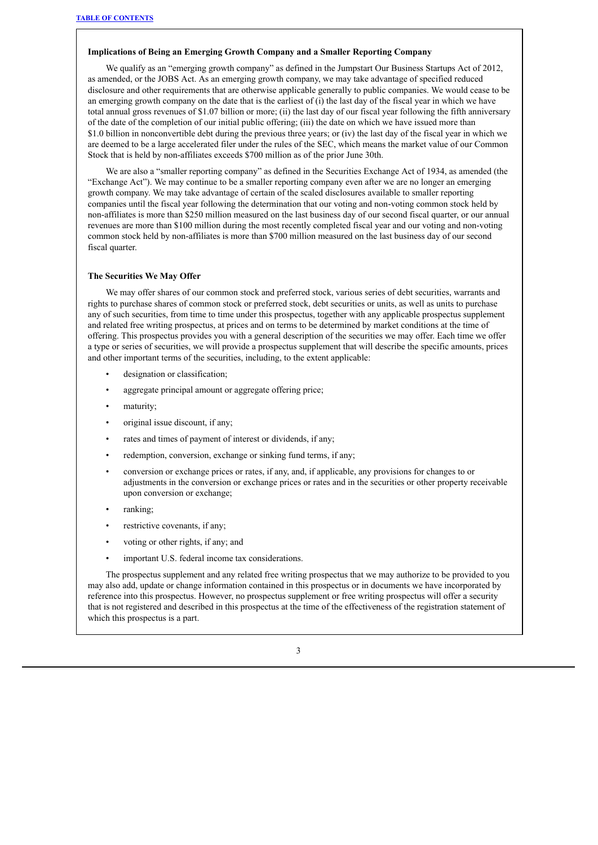## **Implications of Being an Emerging Growth Company and a Smaller Reporting Company**

We qualify as an "emerging growth company" as defined in the Jumpstart Our Business Startups Act of 2012, as amended, or the JOBS Act. As an emerging growth company, we may take advantage of specified reduced disclosure and other requirements that are otherwise applicable generally to public companies. We would cease to be an emerging growth company on the date that is the earliest of (i) the last day of the fiscal year in which we have total annual gross revenues of \$1.07 billion or more; (ii) the last day of our fiscal year following the fifth anniversary of the date of the completion of our initial public offering; (iii) the date on which we have issued more than \$1.0 billion in nonconvertible debt during the previous three years; or (iv) the last day of the fiscal year in which we are deemed to be a large accelerated filer under the rules of the SEC, which means the market value of our Common Stock that is held by non-affiliates exceeds \$700 million as of the prior June 30th.

We are also a "smaller reporting company" as defined in the Securities Exchange Act of 1934, as amended (the "Exchange Act"). We may continue to be a smaller reporting company even after we are no longer an emerging growth company. We may take advantage of certain of the scaled disclosures available to smaller reporting companies until the fiscal year following the determination that our voting and non-voting common stock held by non-affiliates is more than \$250 million measured on the last business day of our second fiscal quarter, or our annual revenues are more than \$100 million during the most recently completed fiscal year and our voting and non-voting common stock held by non-affiliates is more than \$700 million measured on the last business day of our second fiscal quarter.

#### **The Securities We May Offer**

We may offer shares of our common stock and preferred stock, various series of debt securities, warrants and rights to purchase shares of common stock or preferred stock, debt securities or units, as well as units to purchase any of such securities, from time to time under this prospectus, together with any applicable prospectus supplement and related free writing prospectus, at prices and on terms to be determined by market conditions at the time of offering. This prospectus provides you with a general description of the securities we may offer. Each time we offer a type or series of securities, we will provide a prospectus supplement that will describe the specific amounts, prices and other important terms of the securities, including, to the extent applicable:

- designation or classification;
- aggregate principal amount or aggregate offering price;
- maturity;
- original issue discount, if any;
- rates and times of payment of interest or dividends, if any;
- redemption, conversion, exchange or sinking fund terms, if any;
- conversion or exchange prices or rates, if any, and, if applicable, any provisions for changes to or adjustments in the conversion or exchange prices or rates and in the securities or other property receivable upon conversion or exchange;
- ranking;
- restrictive covenants, if any;
- voting or other rights, if any; and
- important U.S. federal income tax considerations.

The prospectus supplement and any related free writing prospectus that we may authorize to be provided to you may also add, update or change information contained in this prospectus or in documents we have incorporated by reference into this prospectus. However, no prospectus supplement or free writing prospectus will offer a security that is not registered and described in this prospectus at the time of the effectiveness of the registration statement of which this prospectus is a part.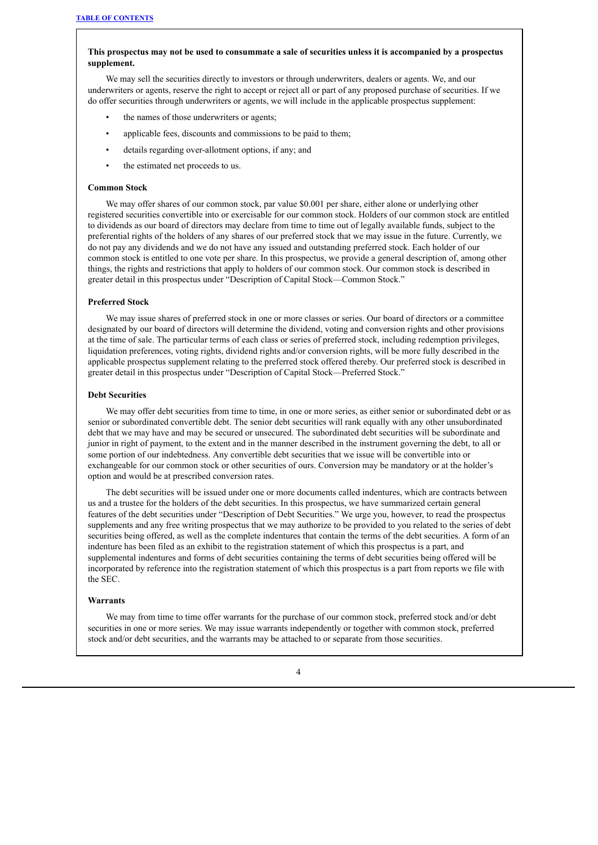## This prospectus may not be used to consummate a sale of securities unless it is accompanied by a prospectus **supplement.**

We may sell the securities directly to investors or through underwriters, dealers or agents. We, and our underwriters or agents, reserve the right to accept or reject all or part of any proposed purchase of securities. If we do offer securities through underwriters or agents, we will include in the applicable prospectus supplement:

- the names of those underwriters or agents;
- applicable fees, discounts and commissions to be paid to them;
- details regarding over-allotment options, if any; and
- the estimated net proceeds to us.

#### **Common Stock**

We may offer shares of our common stock, par value \$0.001 per share, either alone or underlying other registered securities convertible into or exercisable for our common stock. Holders of our common stock are entitled to dividends as our board of directors may declare from time to time out of legally available funds, subject to the preferential rights of the holders of any shares of our preferred stock that we may issue in the future. Currently, we do not pay any dividends and we do not have any issued and outstanding preferred stock. Each holder of our common stock is entitled to one vote per share. In this prospectus, we provide a general description of, among other things, the rights and restrictions that apply to holders of our common stock. Our common stock is described in greater detail in this prospectus under "Description of Capital Stock—Common Stock."

## **Preferred Stock**

We may issue shares of preferred stock in one or more classes or series. Our board of directors or a committee designated by our board of directors will determine the dividend, voting and conversion rights and other provisions at the time of sale. The particular terms of each class or series of preferred stock, including redemption privileges, liquidation preferences, voting rights, dividend rights and/or conversion rights, will be more fully described in the applicable prospectus supplement relating to the preferred stock offered thereby. Our preferred stock is described in greater detail in this prospectus under "Description of Capital Stock—Preferred Stock."

#### **Debt Securities**

We may offer debt securities from time to time, in one or more series, as either senior or subordinated debt or as senior or subordinated convertible debt. The senior debt securities will rank equally with any other unsubordinated debt that we may have and may be secured or unsecured. The subordinated debt securities will be subordinate and junior in right of payment, to the extent and in the manner described in the instrument governing the debt, to all or some portion of our indebtedness. Any convertible debt securities that we issue will be convertible into or exchangeable for our common stock or other securities of ours. Conversion may be mandatory or at the holder's option and would be at prescribed conversion rates.

The debt securities will be issued under one or more documents called indentures, which are contracts between us and a trustee for the holders of the debt securities. In this prospectus, we have summarized certain general features of the debt securities under "Description of Debt Securities." We urge you, however, to read the prospectus supplements and any free writing prospectus that we may authorize to be provided to you related to the series of debt securities being offered, as well as the complete indentures that contain the terms of the debt securities. A form of an indenture has been filed as an exhibit to the registration statement of which this prospectus is a part, and supplemental indentures and forms of debt securities containing the terms of debt securities being offered will be incorporated by reference into the registration statement of which this prospectus is a part from reports we file with the SEC.

#### **Warrants**

We may from time to time offer warrants for the purchase of our common stock, preferred stock and/or debt securities in one or more series. We may issue warrants independently or together with common stock, preferred stock and/or debt securities, and the warrants may be attached to or separate from those securities.

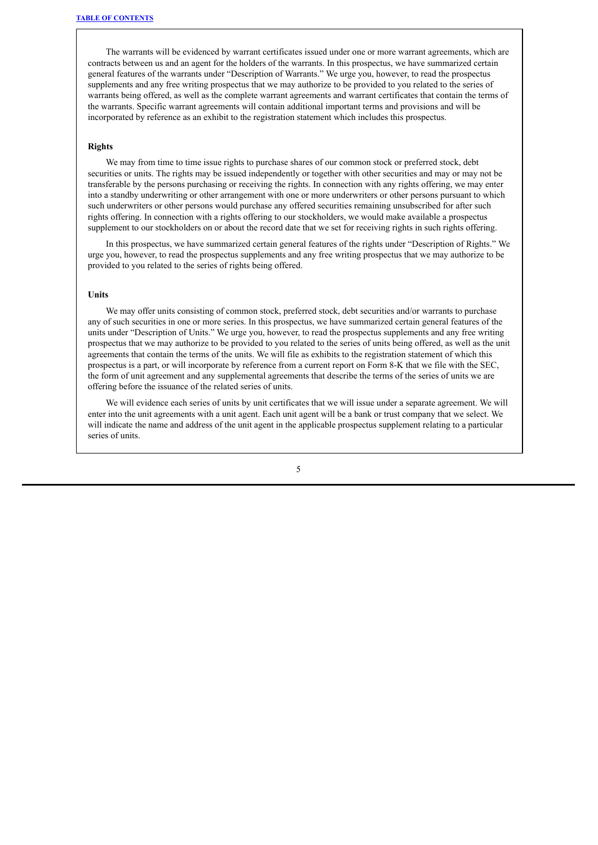The warrants will be evidenced by warrant certificates issued under one or more warrant agreements, which are contracts between us and an agent for the holders of the warrants. In this prospectus, we have summarized certain general features of the warrants under "Description of Warrants." We urge you, however, to read the prospectus supplements and any free writing prospectus that we may authorize to be provided to you related to the series of warrants being offered, as well as the complete warrant agreements and warrant certificates that contain the terms of the warrants. Specific warrant agreements will contain additional important terms and provisions and will be incorporated by reference as an exhibit to the registration statement which includes this prospectus.

#### **Rights**

We may from time to time issue rights to purchase shares of our common stock or preferred stock, debt securities or units. The rights may be issued independently or together with other securities and may or may not be transferable by the persons purchasing or receiving the rights. In connection with any rights offering, we may enter into a standby underwriting or other arrangement with one or more underwriters or other persons pursuant to which such underwriters or other persons would purchase any offered securities remaining unsubscribed for after such rights offering. In connection with a rights offering to our stockholders, we would make available a prospectus supplement to our stockholders on or about the record date that we set for receiving rights in such rights offering.

In this prospectus, we have summarized certain general features of the rights under "Description of Rights." We urge you, however, to read the prospectus supplements and any free writing prospectus that we may authorize to be provided to you related to the series of rights being offered.

#### **Units**

We may offer units consisting of common stock, preferred stock, debt securities and/or warrants to purchase any of such securities in one or more series. In this prospectus, we have summarized certain general features of the units under "Description of Units." We urge you, however, to read the prospectus supplements and any free writing prospectus that we may authorize to be provided to you related to the series of units being offered, as well as the unit agreements that contain the terms of the units. We will file as exhibits to the registration statement of which this prospectus is a part, or will incorporate by reference from a current report on Form 8-K that we file with the SEC, the form of unit agreement and any supplemental agreements that describe the terms of the series of units we are offering before the issuance of the related series of units.

We will evidence each series of units by unit certificates that we will issue under a separate agreement. We will enter into the unit agreements with a unit agent. Each unit agent will be a bank or trust company that we select. We will indicate the name and address of the unit agent in the applicable prospectus supplement relating to a particular series of units.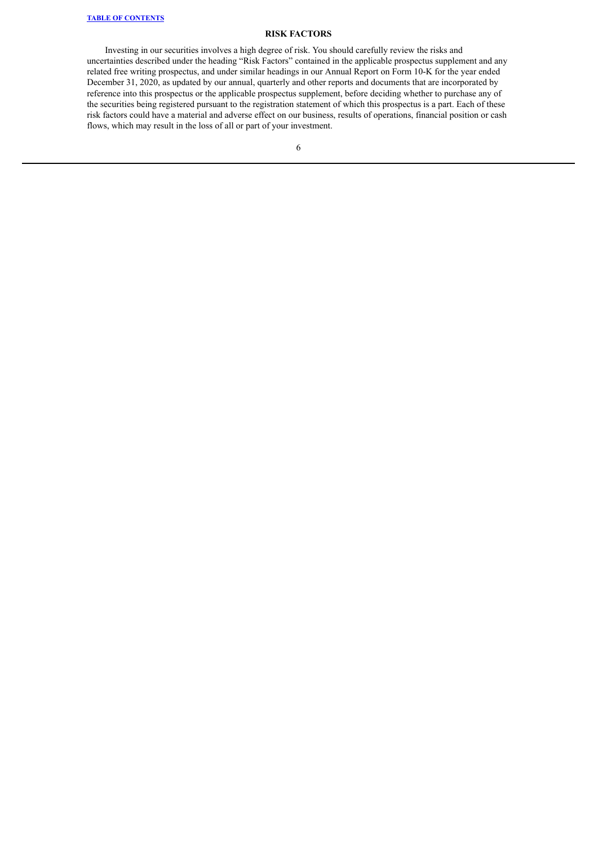## **RISK FACTORS**

<span id="page-28-0"></span>Investing in our securities involves a high degree of risk. You should carefully review the risks and uncertainties described under the heading "Risk Factors" contained in the applicable prospectus supplement and any related free writing prospectus, and under similar headings in our Annual Report on Form 10-K for the year ended December 31, 2020, as updated by our annual, quarterly and other reports and documents that are incorporated by reference into this prospectus or the applicable prospectus supplement, before deciding whether to purchase any of the securities being registered pursuant to the registration statement of which this prospectus is a part. Each of these risk factors could have a material and adverse effect on our business, results of operations, financial position or cash flows, which may result in the loss of all or part of your investment.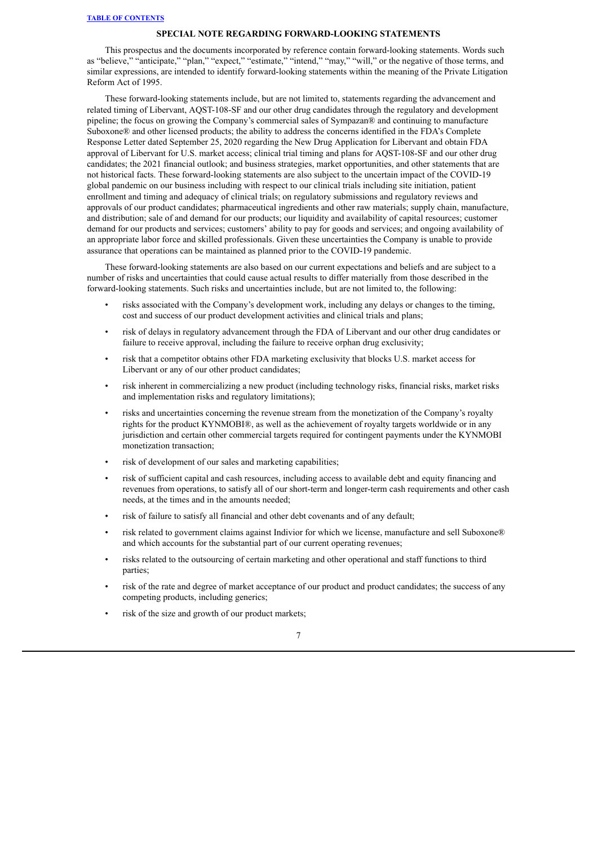## **SPECIAL NOTE REGARDING FORWARD-LOOKING STATEMENTS**

<span id="page-29-0"></span>This prospectus and the documents incorporated by reference contain forward-looking statements. Words such as "believe," "anticipate," "plan," "expect," "estimate," "intend," "may," "will," or the negative of those terms, and similar expressions, are intended to identify forward-looking statements within the meaning of the Private Litigation Reform Act of 1995.

These forward-looking statements include, but are not limited to, statements regarding the advancement and related timing of Libervant, AQST-108-SF and our other drug candidates through the regulatory and development pipeline; the focus on growing the Company's commercial sales of Sympazan® and continuing to manufacture Suboxone® and other licensed products; the ability to address the concerns identified in the FDA's Complete Response Letter dated September 25, 2020 regarding the New Drug Application for Libervant and obtain FDA approval of Libervant for U.S. market access; clinical trial timing and plans for AQST-108-SF and our other drug candidates; the 2021 financial outlook; and business strategies, market opportunities, and other statements that are not historical facts. These forward-looking statements are also subject to the uncertain impact of the COVID-19 global pandemic on our business including with respect to our clinical trials including site initiation, patient enrollment and timing and adequacy of clinical trials; on regulatory submissions and regulatory reviews and approvals of our product candidates; pharmaceutical ingredients and other raw materials; supply chain, manufacture, and distribution; sale of and demand for our products; our liquidity and availability of capital resources; customer demand for our products and services; customers' ability to pay for goods and services; and ongoing availability of an appropriate labor force and skilled professionals. Given these uncertainties the Company is unable to provide assurance that operations can be maintained as planned prior to the COVID-19 pandemic.

These forward-looking statements are also based on our current expectations and beliefs and are subject to a number of risks and uncertainties that could cause actual results to differ materially from those described in the forward-looking statements. Such risks and uncertainties include, but are not limited to, the following:

- risks associated with the Company's development work, including any delays or changes to the timing, cost and success of our product development activities and clinical trials and plans;
- risk of delays in regulatory advancement through the FDA of Libervant and our other drug candidates or failure to receive approval, including the failure to receive orphan drug exclusivity;
- risk that a competitor obtains other FDA marketing exclusivity that blocks U.S. market access for Libervant or any of our other product candidates;
- risk inherent in commercializing a new product (including technology risks, financial risks, market risks and implementation risks and regulatory limitations);
- risks and uncertainties concerning the revenue stream from the monetization of the Company's royalty rights for the product KYNMOBI®, as well as the achievement of royalty targets worldwide or in any jurisdiction and certain other commercial targets required for contingent payments under the KYNMOBI monetization transaction;
- risk of development of our sales and marketing capabilities;
- risk of sufficient capital and cash resources, including access to available debt and equity financing and revenues from operations, to satisfy all of our short-term and longer-term cash requirements and other cash needs, at the times and in the amounts needed;
- risk of failure to satisfy all financial and other debt covenants and of any default;
- risk related to government claims against Indivior for which we license, manufacture and sell Suboxone® and which accounts for the substantial part of our current operating revenues;
- risks related to the outsourcing of certain marketing and other operational and staff functions to third parties;
- risk of the rate and degree of market acceptance of our product and product candidates; the success of any competing products, including generics;
- risk of the size and growth of our product markets;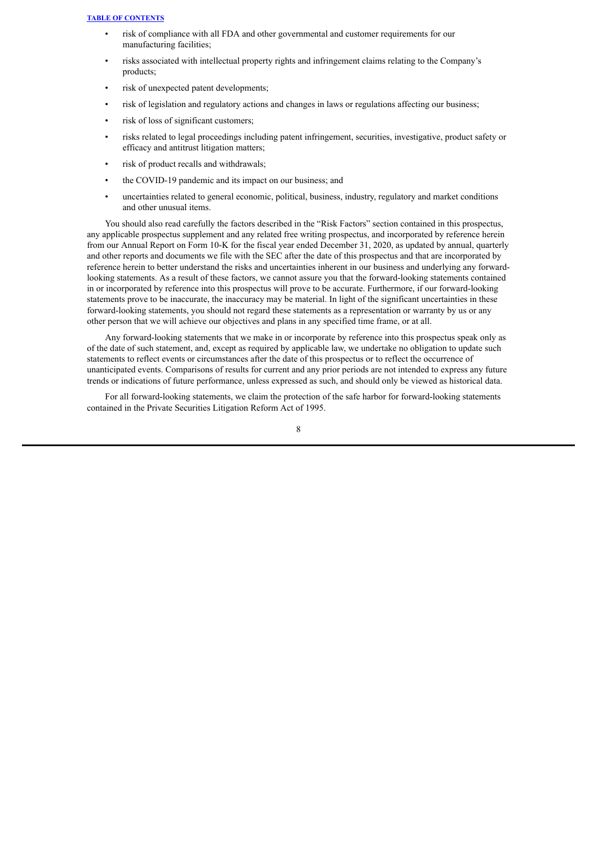- risk of compliance with all FDA and other governmental and customer requirements for our manufacturing facilities;
- risks associated with intellectual property rights and infringement claims relating to the Company's products;
- risk of unexpected patent developments;
- risk of legislation and regulatory actions and changes in laws or regulations affecting our business;
- risk of loss of significant customers;
- risks related to legal proceedings including patent infringement, securities, investigative, product safety or efficacy and antitrust litigation matters;
- risk of product recalls and withdrawals;
- the COVID-19 pandemic and its impact on our business; and
- uncertainties related to general economic, political, business, industry, regulatory and market conditions and other unusual items.

You should also read carefully the factors described in the "Risk Factors" section contained in this prospectus, any applicable prospectus supplement and any related free writing prospectus, and incorporated by reference herein from our Annual Report on Form 10-K for the fiscal year ended December 31, 2020, as updated by annual, quarterly and other reports and documents we file with the SEC after the date of this prospectus and that are incorporated by reference herein to better understand the risks and uncertainties inherent in our business and underlying any forwardlooking statements. As a result of these factors, we cannot assure you that the forward-looking statements contained in or incorporated by reference into this prospectus will prove to be accurate. Furthermore, if our forward-looking statements prove to be inaccurate, the inaccuracy may be material. In light of the significant uncertainties in these forward-looking statements, you should not regard these statements as a representation or warranty by us or any other person that we will achieve our objectives and plans in any specified time frame, or at all.

Any forward-looking statements that we make in or incorporate by reference into this prospectus speak only as of the date of such statement, and, except as required by applicable law, we undertake no obligation to update such statements to reflect events or circumstances after the date of this prospectus or to reflect the occurrence of unanticipated events. Comparisons of results for current and any prior periods are not intended to express any future trends or indications of future performance, unless expressed as such, and should only be viewed as historical data.

For all forward-looking statements, we claim the protection of the safe harbor for forward-looking statements contained in the Private Securities Litigation Reform Act of 1995.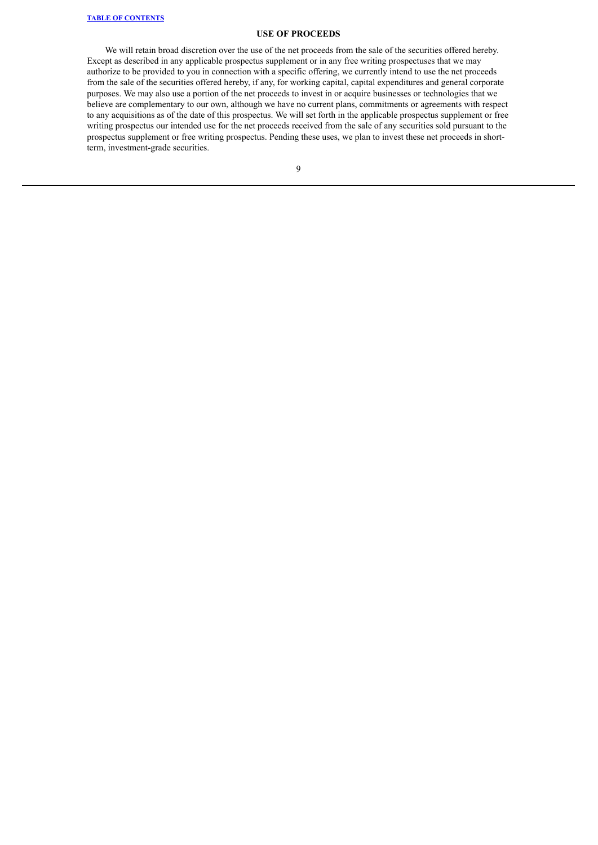#### **USE OF PROCEEDS**

<span id="page-31-0"></span>We will retain broad discretion over the use of the net proceeds from the sale of the securities offered hereby. Except as described in any applicable prospectus supplement or in any free writing prospectuses that we may authorize to be provided to you in connection with a specific offering, we currently intend to use the net proceeds from the sale of the securities offered hereby, if any, for working capital, capital expenditures and general corporate purposes. We may also use a portion of the net proceeds to invest in or acquire businesses or technologies that we believe are complementary to our own, although we have no current plans, commitments or agreements with respect to any acquisitions as of the date of this prospectus. We will set forth in the applicable prospectus supplement or free writing prospectus our intended use for the net proceeds received from the sale of any securities sold pursuant to the prospectus supplement or free writing prospectus. Pending these uses, we plan to invest these net proceeds in shortterm, investment-grade securities.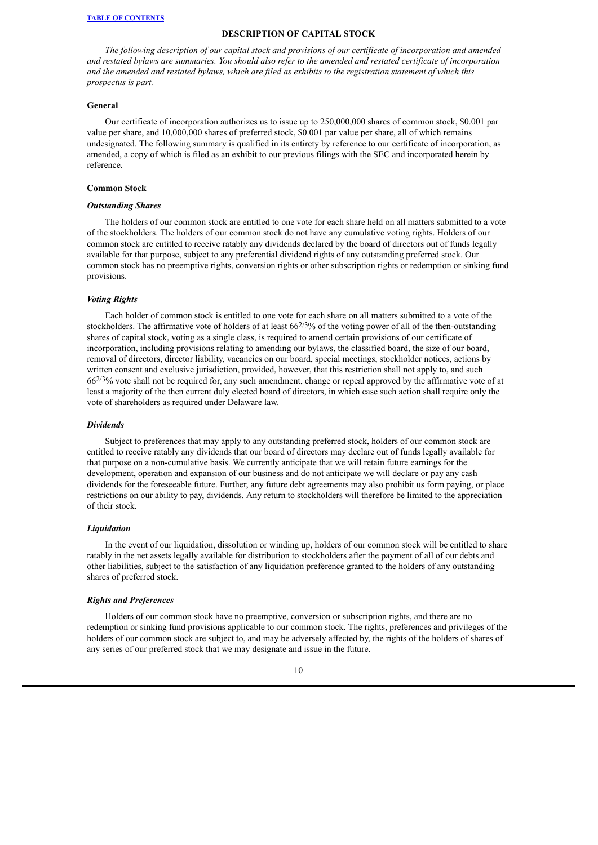## **DESCRIPTION OF CAPITAL STOCK**

<span id="page-32-0"></span>*The following description of our capital stock and provisions of our certificate of incorporation and amended* and restated bylaws are summaries. You should also refer to the amended and restated certificate of incorporation and the amended and restated bylaws, which are filed as exhibits to the registration statement of which this *prospectus is part.*

### **General**

Our certificate of incorporation authorizes us to issue up to 250,000,000 shares of common stock, \$0.001 par value per share, and 10,000,000 shares of preferred stock, \$0.001 par value per share, all of which remains undesignated. The following summary is qualified in its entirety by reference to our certificate of incorporation, as amended, a copy of which is filed as an exhibit to our previous filings with the SEC and incorporated herein by reference.

#### **Common Stock**

## *Outstanding Shares*

The holders of our common stock are entitled to one vote for each share held on all matters submitted to a vote of the stockholders. The holders of our common stock do not have any cumulative voting rights. Holders of our common stock are entitled to receive ratably any dividends declared by the board of directors out of funds legally available for that purpose, subject to any preferential dividend rights of any outstanding preferred stock. Our common stock has no preemptive rights, conversion rights or other subscription rights or redemption or sinking fund provisions.

#### *Voting Rights*

Each holder of common stock is entitled to one vote for each share on all matters submitted to a vote of the stockholders. The affirmative vote of holders of at least  $66^{2/3}\%$  of the voting power of all of the then-outstanding shares of capital stock, voting as a single class, is required to amend certain provisions of our certificate of incorporation, including provisions relating to amending our bylaws, the classified board, the size of our board, removal of directors, director liability, vacancies on our board, special meetings, stockholder notices, actions by written consent and exclusive jurisdiction, provided, however, that this restriction shall not apply to, and such  $66^{2/3}\%$  vote shall not be required for, any such amendment, change or repeal approved by the affirmative vote of at least a majority of the then current duly elected board of directors, in which case such action shall require only the vote of shareholders as required under Delaware law.

#### *Dividends*

Subject to preferences that may apply to any outstanding preferred stock, holders of our common stock are entitled to receive ratably any dividends that our board of directors may declare out of funds legally available for that purpose on a non-cumulative basis. We currently anticipate that we will retain future earnings for the development, operation and expansion of our business and do not anticipate we will declare or pay any cash dividends for the foreseeable future. Further, any future debt agreements may also prohibit us form paying, or place restrictions on our ability to pay, dividends. Any return to stockholders will therefore be limited to the appreciation of their stock.

#### *Liquidation*

In the event of our liquidation, dissolution or winding up, holders of our common stock will be entitled to share ratably in the net assets legally available for distribution to stockholders after the payment of all of our debts and other liabilities, subject to the satisfaction of any liquidation preference granted to the holders of any outstanding shares of preferred stock.

## *Rights and Preferences*

Holders of our common stock have no preemptive, conversion or subscription rights, and there are no redemption or sinking fund provisions applicable to our common stock. The rights, preferences and privileges of the holders of our common stock are subject to, and may be adversely affected by, the rights of the holders of shares of any series of our preferred stock that we may designate and issue in the future.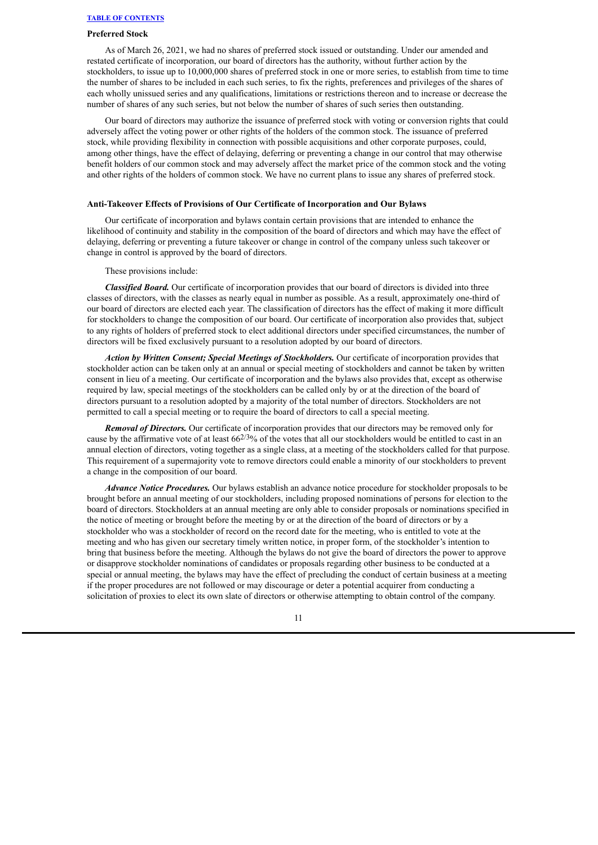## **Preferred Stock**

As of March 26, 2021, we had no shares of preferred stock issued or outstanding. Under our amended and restated certificate of incorporation, our board of directors has the authority, without further action by the stockholders, to issue up to 10,000,000 shares of preferred stock in one or more series, to establish from time to time the number of shares to be included in each such series, to fix the rights, preferences and privileges of the shares of each wholly unissued series and any qualifications, limitations or restrictions thereon and to increase or decrease the number of shares of any such series, but not below the number of shares of such series then outstanding.

Our board of directors may authorize the issuance of preferred stock with voting or conversion rights that could adversely affect the voting power or other rights of the holders of the common stock. The issuance of preferred stock, while providing flexibility in connection with possible acquisitions and other corporate purposes, could, among other things, have the effect of delaying, deferring or preventing a change in our control that may otherwise benefit holders of our common stock and may adversely affect the market price of the common stock and the voting and other rights of the holders of common stock. We have no current plans to issue any shares of preferred stock.

### **Anti-Takeover Effects of Provisions of Our Certificate of Incorporation and Our Bylaws**

Our certificate of incorporation and bylaws contain certain provisions that are intended to enhance the likelihood of continuity and stability in the composition of the board of directors and which may have the effect of delaying, deferring or preventing a future takeover or change in control of the company unless such takeover or change in control is approved by the board of directors.

These provisions include:

*Classified Board.* Our certificate of incorporation provides that our board of directors is divided into three classes of directors, with the classes as nearly equal in number as possible. As a result, approximately one-third of our board of directors are elected each year. The classification of directors has the effect of making it more difficult for stockholders to change the composition of our board. Our certificate of incorporation also provides that, subject to any rights of holders of preferred stock to elect additional directors under specified circumstances, the number of directors will be fixed exclusively pursuant to a resolution adopted by our board of directors.

*Action by Written Consent; Special Meetings of Stockholders.* Our certificate of incorporation provides that stockholder action can be taken only at an annual or special meeting of stockholders and cannot be taken by written consent in lieu of a meeting. Our certificate of incorporation and the bylaws also provides that, except as otherwise required by law, special meetings of the stockholders can be called only by or at the direction of the board of directors pursuant to a resolution adopted by a majority of the total number of directors. Stockholders are not permitted to call a special meeting or to require the board of directors to call a special meeting.

*Removal of Directors.* Our certificate of incorporation provides that our directors may be removed only for cause by the affirmative vote of at least  $66^{2/3}\%$  of the votes that all our stockholders would be entitled to cast in an annual election of directors, voting together as a single class, at a meeting of the stockholders called for that purpose. This requirement of a supermajority vote to remove directors could enable a minority of our stockholders to prevent a change in the composition of our board.

*Advance Notice Procedures.* Our bylaws establish an advance notice procedure for stockholder proposals to be brought before an annual meeting of our stockholders, including proposed nominations of persons for election to the board of directors. Stockholders at an annual meeting are only able to consider proposals or nominations specified in the notice of meeting or brought before the meeting by or at the direction of the board of directors or by a stockholder who was a stockholder of record on the record date for the meeting, who is entitled to vote at the meeting and who has given our secretary timely written notice, in proper form, of the stockholder's intention to bring that business before the meeting. Although the bylaws do not give the board of directors the power to approve or disapprove stockholder nominations of candidates or proposals regarding other business to be conducted at a special or annual meeting, the bylaws may have the effect of precluding the conduct of certain business at a meeting if the proper procedures are not followed or may discourage or deter a potential acquirer from conducting a solicitation of proxies to elect its own slate of directors or otherwise attempting to obtain control of the company.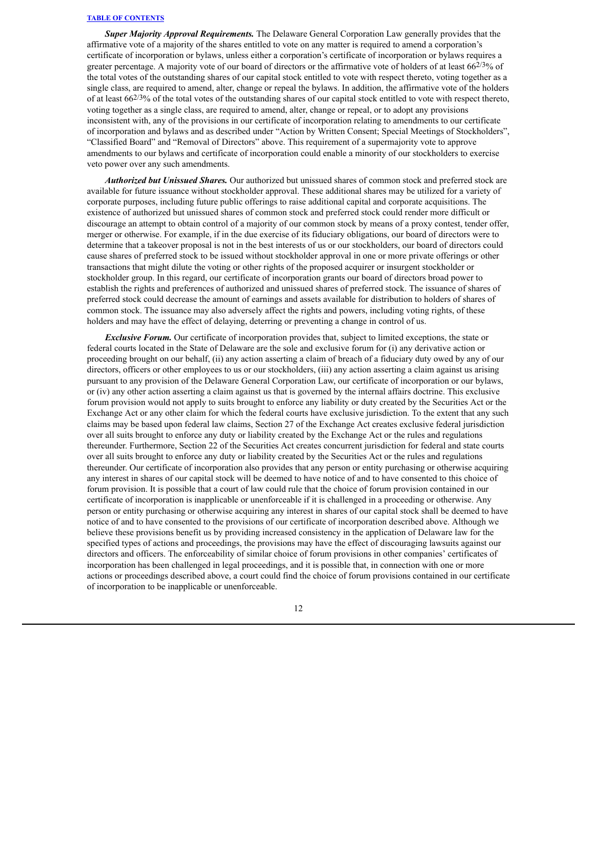*Super Majority Approval Requirements.* The Delaware General Corporation Law generally provides that the affirmative vote of a majority of the shares entitled to vote on any matter is required to amend a corporation's certificate of incorporation or bylaws, unless either a corporation's certificate of incorporation or bylaws requires a greater percentage. A majority vote of our board of directors or the affirmative vote of holders of at least 66<sup>2/3</sup>% of the total votes of the outstanding shares of our capital stock entitled to vote with respect thereto, voting together as a single class, are required to amend, alter, change or repeal the bylaws. In addition, the affirmative vote of the holders of at least  $66^{2/3}\%$  of the total votes of the outstanding shares of our capital stock entitled to vote with respect thereto. voting together as a single class, are required to amend, alter, change or repeal, or to adopt any provisions inconsistent with, any of the provisions in our certificate of incorporation relating to amendments to our certificate of incorporation and bylaws and as described under "Action by Written Consent; Special Meetings of Stockholders", "Classified Board" and "Removal of Directors" above. This requirement of a supermajority vote to approve amendments to our bylaws and certificate of incorporation could enable a minority of our stockholders to exercise veto power over any such amendments.

*Authorized but Unissued Shares.* Our authorized but unissued shares of common stock and preferred stock are available for future issuance without stockholder approval. These additional shares may be utilized for a variety of corporate purposes, including future public offerings to raise additional capital and corporate acquisitions. The existence of authorized but unissued shares of common stock and preferred stock could render more difficult or discourage an attempt to obtain control of a majority of our common stock by means of a proxy contest, tender offer, merger or otherwise. For example, if in the due exercise of its fiduciary obligations, our board of directors were to determine that a takeover proposal is not in the best interests of us or our stockholders, our board of directors could cause shares of preferred stock to be issued without stockholder approval in one or more private offerings or other transactions that might dilute the voting or other rights of the proposed acquirer or insurgent stockholder or stockholder group. In this regard, our certificate of incorporation grants our board of directors broad power to establish the rights and preferences of authorized and unissued shares of preferred stock. The issuance of shares of preferred stock could decrease the amount of earnings and assets available for distribution to holders of shares of common stock. The issuance may also adversely affect the rights and powers, including voting rights, of these holders and may have the effect of delaying, deterring or preventing a change in control of us.

*Exclusive Forum.* Our certificate of incorporation provides that, subject to limited exceptions, the state or federal courts located in the State of Delaware are the sole and exclusive forum for (i) any derivative action or proceeding brought on our behalf, (ii) any action asserting a claim of breach of a fiduciary duty owed by any of our directors, officers or other employees to us or our stockholders, (iii) any action asserting a claim against us arising pursuant to any provision of the Delaware General Corporation Law, our certificate of incorporation or our bylaws, or (iv) any other action asserting a claim against us that is governed by the internal affairs doctrine. This exclusive forum provision would not apply to suits brought to enforce any liability or duty created by the Securities Act or the Exchange Act or any other claim for which the federal courts have exclusive jurisdiction. To the extent that any such claims may be based upon federal law claims, Section 27 of the Exchange Act creates exclusive federal jurisdiction over all suits brought to enforce any duty or liability created by the Exchange Act or the rules and regulations thereunder. Furthermore, Section 22 of the Securities Act creates concurrent jurisdiction for federal and state courts over all suits brought to enforce any duty or liability created by the Securities Act or the rules and regulations thereunder. Our certificate of incorporation also provides that any person or entity purchasing or otherwise acquiring any interest in shares of our capital stock will be deemed to have notice of and to have consented to this choice of forum provision. It is possible that a court of law could rule that the choice of forum provision contained in our certificate of incorporation is inapplicable or unenforceable if it is challenged in a proceeding or otherwise. Any person or entity purchasing or otherwise acquiring any interest in shares of our capital stock shall be deemed to have notice of and to have consented to the provisions of our certificate of incorporation described above. Although we believe these provisions benefit us by providing increased consistency in the application of Delaware law for the specified types of actions and proceedings, the provisions may have the effect of discouraging lawsuits against our directors and officers. The enforceability of similar choice of forum provisions in other companies' certificates of incorporation has been challenged in legal proceedings, and it is possible that, in connection with one or more actions or proceedings described above, a court could find the choice of forum provisions contained in our certificate of incorporation to be inapplicable or unenforceable.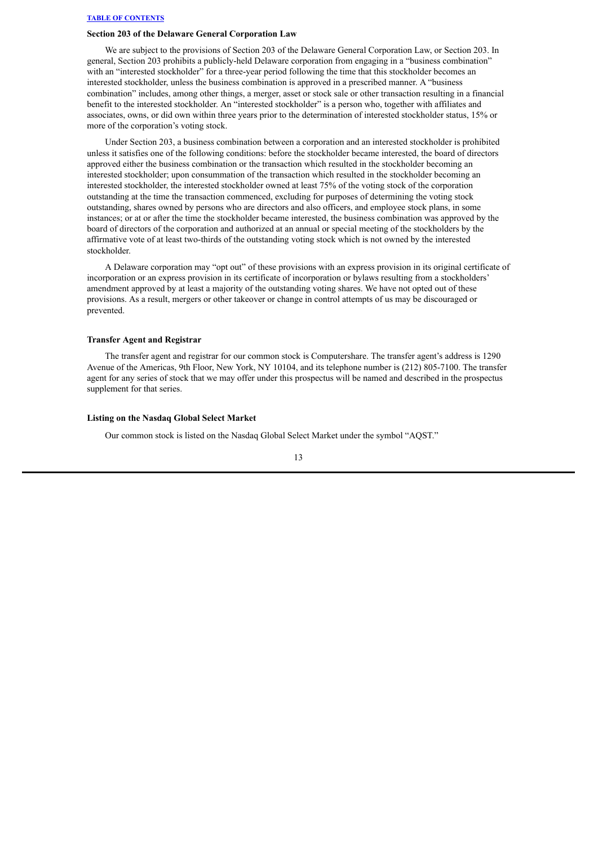### **Section 203 of the Delaware General Corporation Law**

We are subject to the provisions of Section 203 of the Delaware General Corporation Law, or Section 203. In general, Section 203 prohibits a publicly-held Delaware corporation from engaging in a "business combination" with an "interested stockholder" for a three-year period following the time that this stockholder becomes an interested stockholder, unless the business combination is approved in a prescribed manner. A "business combination" includes, among other things, a merger, asset or stock sale or other transaction resulting in a financial benefit to the interested stockholder. An "interested stockholder" is a person who, together with affiliates and associates, owns, or did own within three years prior to the determination of interested stockholder status, 15% or more of the corporation's voting stock.

Under Section 203, a business combination between a corporation and an interested stockholder is prohibited unless it satisfies one of the following conditions: before the stockholder became interested, the board of directors approved either the business combination or the transaction which resulted in the stockholder becoming an interested stockholder; upon consummation of the transaction which resulted in the stockholder becoming an interested stockholder, the interested stockholder owned at least 75% of the voting stock of the corporation outstanding at the time the transaction commenced, excluding for purposes of determining the voting stock outstanding, shares owned by persons who are directors and also officers, and employee stock plans, in some instances; or at or after the time the stockholder became interested, the business combination was approved by the board of directors of the corporation and authorized at an annual or special meeting of the stockholders by the affirmative vote of at least two-thirds of the outstanding voting stock which is not owned by the interested stockholder.

A Delaware corporation may "opt out" of these provisions with an express provision in its original certificate of incorporation or an express provision in its certificate of incorporation or bylaws resulting from a stockholders' amendment approved by at least a majority of the outstanding voting shares. We have not opted out of these provisions. As a result, mergers or other takeover or change in control attempts of us may be discouraged or prevented.

#### **Transfer Agent and Registrar**

The transfer agent and registrar for our common stock is Computershare. The transfer agent's address is 1290 Avenue of the Americas, 9th Floor, New York, NY 10104, and its telephone number is (212) 805-7100. The transfer agent for any series of stock that we may offer under this prospectus will be named and described in the prospectus supplement for that series.

#### **Listing on the Nasdaq Global Select Market**

Our common stock is listed on the Nasdaq Global Select Market under the symbol "AQST."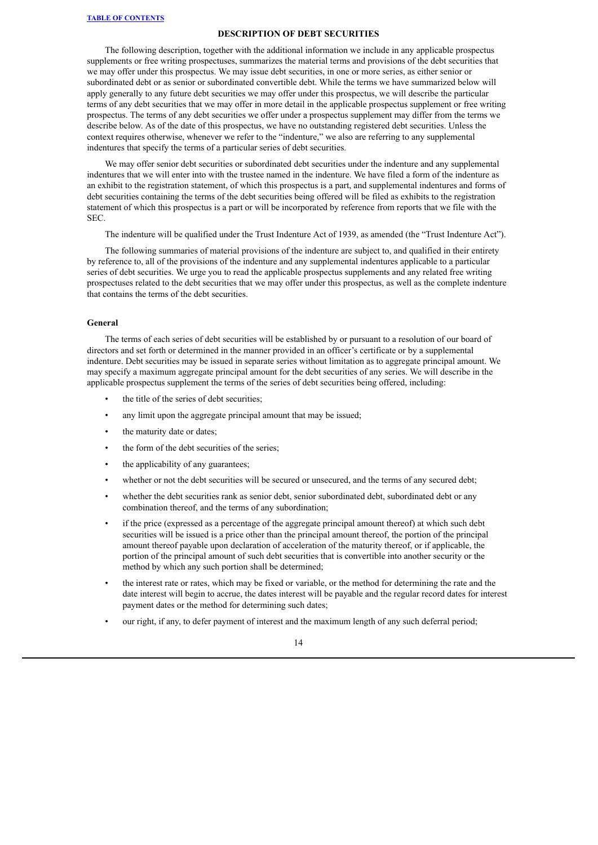#### **DESCRIPTION OF DEBT SECURITIES**

<span id="page-36-0"></span>The following description, together with the additional information we include in any applicable prospectus supplements or free writing prospectuses, summarizes the material terms and provisions of the debt securities that we may offer under this prospectus. We may issue debt securities, in one or more series, as either senior or subordinated debt or as senior or subordinated convertible debt. While the terms we have summarized below will apply generally to any future debt securities we may offer under this prospectus, we will describe the particular terms of any debt securities that we may offer in more detail in the applicable prospectus supplement or free writing prospectus. The terms of any debt securities we offer under a prospectus supplement may differ from the terms we describe below. As of the date of this prospectus, we have no outstanding registered debt securities. Unless the context requires otherwise, whenever we refer to the "indenture," we also are referring to any supplemental indentures that specify the terms of a particular series of debt securities.

We may offer senior debt securities or subordinated debt securities under the indenture and any supplemental indentures that we will enter into with the trustee named in the indenture. We have filed a form of the indenture as an exhibit to the registration statement, of which this prospectus is a part, and supplemental indentures and forms of debt securities containing the terms of the debt securities being offered will be filed as exhibits to the registration statement of which this prospectus is a part or will be incorporated by reference from reports that we file with the SEC.

The indenture will be qualified under the Trust Indenture Act of 1939, as amended (the "Trust Indenture Act").

The following summaries of material provisions of the indenture are subject to, and qualified in their entirety by reference to, all of the provisions of the indenture and any supplemental indentures applicable to a particular series of debt securities. We urge you to read the applicable prospectus supplements and any related free writing prospectuses related to the debt securities that we may offer under this prospectus, as well as the complete indenture that contains the terms of the debt securities.

### **General**

The terms of each series of debt securities will be established by or pursuant to a resolution of our board of directors and set forth or determined in the manner provided in an officer's certificate or by a supplemental indenture. Debt securities may be issued in separate series without limitation as to aggregate principal amount. We may specify a maximum aggregate principal amount for the debt securities of any series. We will describe in the applicable prospectus supplement the terms of the series of debt securities being offered, including:

- the title of the series of debt securities;
- any limit upon the aggregate principal amount that may be issued;
- the maturity date or dates;
- the form of the debt securities of the series;
- the applicability of any guarantees;
- whether or not the debt securities will be secured or unsecured, and the terms of any secured debt;
- whether the debt securities rank as senior debt, senior subordinated debt, subordinated debt or any combination thereof, and the terms of any subordination;
- if the price (expressed as a percentage of the aggregate principal amount thereof) at which such debt securities will be issued is a price other than the principal amount thereof, the portion of the principal amount thereof payable upon declaration of acceleration of the maturity thereof, or if applicable, the portion of the principal amount of such debt securities that is convertible into another security or the method by which any such portion shall be determined;
- the interest rate or rates, which may be fixed or variable, or the method for determining the rate and the date interest will begin to accrue, the dates interest will be payable and the regular record dates for interest payment dates or the method for determining such dates;
- our right, if any, to defer payment of interest and the maximum length of any such deferral period;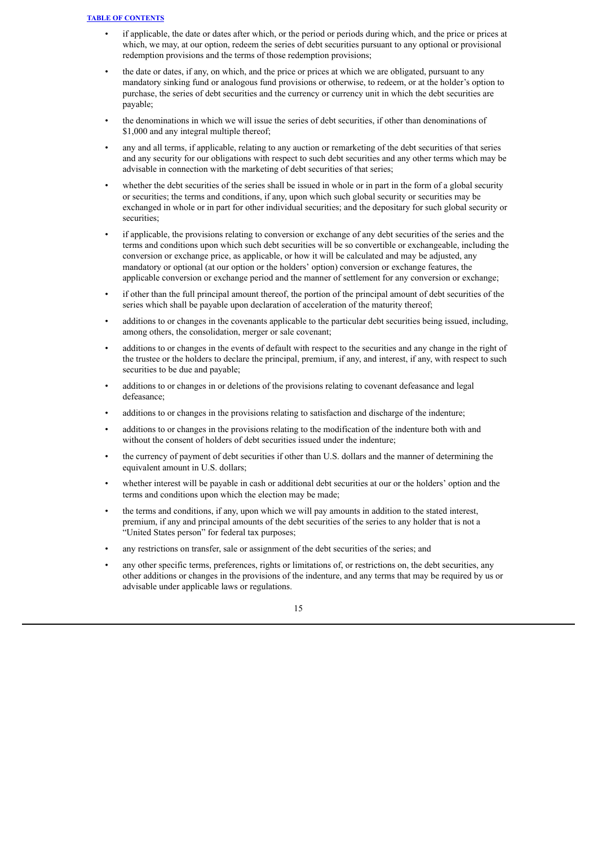- if applicable, the date or dates after which, or the period or periods during which, and the price or prices at which, we may, at our option, redeem the series of debt securities pursuant to any optional or provisional redemption provisions and the terms of those redemption provisions;
- the date or dates, if any, on which, and the price or prices at which we are obligated, pursuant to any mandatory sinking fund or analogous fund provisions or otherwise, to redeem, or at the holder's option to purchase, the series of debt securities and the currency or currency unit in which the debt securities are payable;
- the denominations in which we will issue the series of debt securities, if other than denominations of \$1,000 and any integral multiple thereof;
- any and all terms, if applicable, relating to any auction or remarketing of the debt securities of that series and any security for our obligations with respect to such debt securities and any other terms which may be advisable in connection with the marketing of debt securities of that series;
- whether the debt securities of the series shall be issued in whole or in part in the form of a global security or securities; the terms and conditions, if any, upon which such global security or securities may be exchanged in whole or in part for other individual securities; and the depositary for such global security or securities:
- if applicable, the provisions relating to conversion or exchange of any debt securities of the series and the terms and conditions upon which such debt securities will be so convertible or exchangeable, including the conversion or exchange price, as applicable, or how it will be calculated and may be adjusted, any mandatory or optional (at our option or the holders' option) conversion or exchange features, the applicable conversion or exchange period and the manner of settlement for any conversion or exchange;
- if other than the full principal amount thereof, the portion of the principal amount of debt securities of the series which shall be payable upon declaration of acceleration of the maturity thereof;
- additions to or changes in the covenants applicable to the particular debt securities being issued, including, among others, the consolidation, merger or sale covenant;
- additions to or changes in the events of default with respect to the securities and any change in the right of the trustee or the holders to declare the principal, premium, if any, and interest, if any, with respect to such securities to be due and payable;
- additions to or changes in or deletions of the provisions relating to covenant defeasance and legal defeasance;
- additions to or changes in the provisions relating to satisfaction and discharge of the indenture;
- additions to or changes in the provisions relating to the modification of the indenture both with and without the consent of holders of debt securities issued under the indenture;
- the currency of payment of debt securities if other than U.S. dollars and the manner of determining the equivalent amount in U.S. dollars;
- whether interest will be payable in cash or additional debt securities at our or the holders' option and the terms and conditions upon which the election may be made;
- the terms and conditions, if any, upon which we will pay amounts in addition to the stated interest, premium, if any and principal amounts of the debt securities of the series to any holder that is not a "United States person" for federal tax purposes;
- any restrictions on transfer, sale or assignment of the debt securities of the series; and
- any other specific terms, preferences, rights or limitations of, or restrictions on, the debt securities, any other additions or changes in the provisions of the indenture, and any terms that may be required by us or advisable under applicable laws or regulations.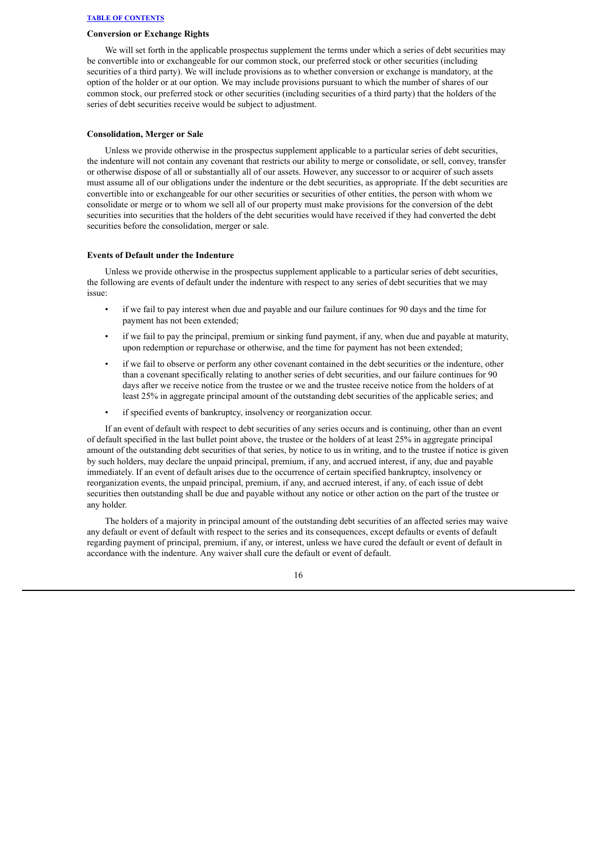## **Conversion or Exchange Rights**

We will set forth in the applicable prospectus supplement the terms under which a series of debt securities may be convertible into or exchangeable for our common stock, our preferred stock or other securities (including securities of a third party). We will include provisions as to whether conversion or exchange is mandatory, at the option of the holder or at our option. We may include provisions pursuant to which the number of shares of our common stock, our preferred stock or other securities (including securities of a third party) that the holders of the series of debt securities receive would be subject to adjustment.

#### **Consolidation, Merger or Sale**

Unless we provide otherwise in the prospectus supplement applicable to a particular series of debt securities, the indenture will not contain any covenant that restricts our ability to merge or consolidate, or sell, convey, transfer or otherwise dispose of all or substantially all of our assets. However, any successor to or acquirer of such assets must assume all of our obligations under the indenture or the debt securities, as appropriate. If the debt securities are convertible into or exchangeable for our other securities or securities of other entities, the person with whom we consolidate or merge or to whom we sell all of our property must make provisions for the conversion of the debt securities into securities that the holders of the debt securities would have received if they had converted the debt securities before the consolidation, merger or sale.

### **Events of Default under the Indenture**

Unless we provide otherwise in the prospectus supplement applicable to a particular series of debt securities, the following are events of default under the indenture with respect to any series of debt securities that we may issue:

- if we fail to pay interest when due and payable and our failure continues for 90 days and the time for payment has not been extended;
- if we fail to pay the principal, premium or sinking fund payment, if any, when due and payable at maturity, upon redemption or repurchase or otherwise, and the time for payment has not been extended;
- if we fail to observe or perform any other covenant contained in the debt securities or the indenture, other than a covenant specifically relating to another series of debt securities, and our failure continues for 90 days after we receive notice from the trustee or we and the trustee receive notice from the holders of at least 25% in aggregate principal amount of the outstanding debt securities of the applicable series; and
- if specified events of bankruptcy, insolvency or reorganization occur.

If an event of default with respect to debt securities of any series occurs and is continuing, other than an event of default specified in the last bullet point above, the trustee or the holders of at least 25% in aggregate principal amount of the outstanding debt securities of that series, by notice to us in writing, and to the trustee if notice is given by such holders, may declare the unpaid principal, premium, if any, and accrued interest, if any, due and payable immediately. If an event of default arises due to the occurrence of certain specified bankruptcy, insolvency or reorganization events, the unpaid principal, premium, if any, and accrued interest, if any, of each issue of debt securities then outstanding shall be due and payable without any notice or other action on the part of the trustee or any holder.

The holders of a majority in principal amount of the outstanding debt securities of an affected series may waive any default or event of default with respect to the series and its consequences, except defaults or events of default regarding payment of principal, premium, if any, or interest, unless we have cured the default or event of default in accordance with the indenture. Any waiver shall cure the default or event of default.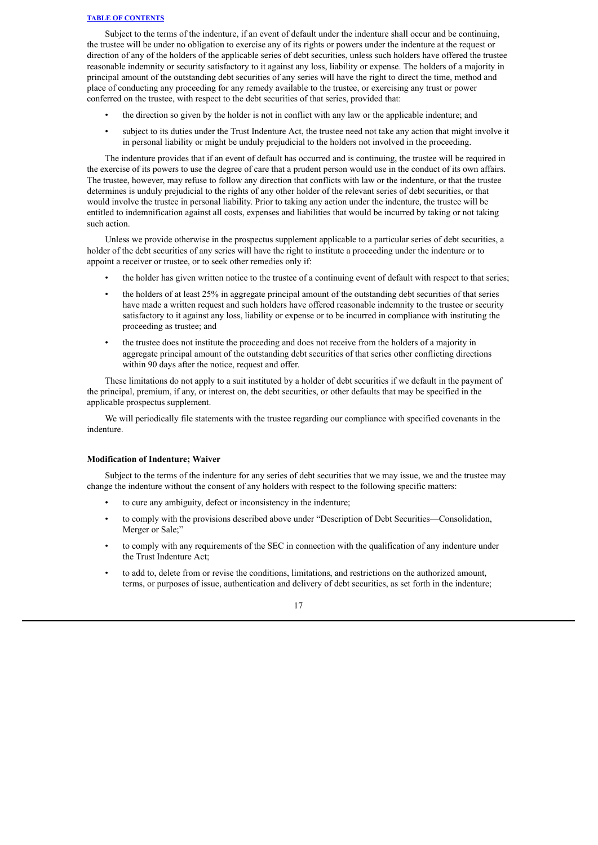Subject to the terms of the indenture, if an event of default under the indenture shall occur and be continuing, the trustee will be under no obligation to exercise any of its rights or powers under the indenture at the request or direction of any of the holders of the applicable series of debt securities, unless such holders have offered the trustee reasonable indemnity or security satisfactory to it against any loss, liability or expense. The holders of a majority in principal amount of the outstanding debt securities of any series will have the right to direct the time, method and place of conducting any proceeding for any remedy available to the trustee, or exercising any trust or power conferred on the trustee, with respect to the debt securities of that series, provided that:

- the direction so given by the holder is not in conflict with any law or the applicable indenture; and
- subject to its duties under the Trust Indenture Act, the trustee need not take any action that might involve it in personal liability or might be unduly prejudicial to the holders not involved in the proceeding.

The indenture provides that if an event of default has occurred and is continuing, the trustee will be required in the exercise of its powers to use the degree of care that a prudent person would use in the conduct of its own affairs. The trustee, however, may refuse to follow any direction that conflicts with law or the indenture, or that the trustee determines is unduly prejudicial to the rights of any other holder of the relevant series of debt securities, or that would involve the trustee in personal liability. Prior to taking any action under the indenture, the trustee will be entitled to indemnification against all costs, expenses and liabilities that would be incurred by taking or not taking such action.

Unless we provide otherwise in the prospectus supplement applicable to a particular series of debt securities, a holder of the debt securities of any series will have the right to institute a proceeding under the indenture or to appoint a receiver or trustee, or to seek other remedies only if:

- the holder has given written notice to the trustee of a continuing event of default with respect to that series;
- the holders of at least 25% in aggregate principal amount of the outstanding debt securities of that series have made a written request and such holders have offered reasonable indemnity to the trustee or security satisfactory to it against any loss, liability or expense or to be incurred in compliance with instituting the proceeding as trustee; and
- the trustee does not institute the proceeding and does not receive from the holders of a majority in aggregate principal amount of the outstanding debt securities of that series other conflicting directions within 90 days after the notice, request and offer.

These limitations do not apply to a suit instituted by a holder of debt securities if we default in the payment of the principal, premium, if any, or interest on, the debt securities, or other defaults that may be specified in the applicable prospectus supplement.

We will periodically file statements with the trustee regarding our compliance with specified covenants in the indenture.

#### **Modification of Indenture; Waiver**

Subject to the terms of the indenture for any series of debt securities that we may issue, we and the trustee may change the indenture without the consent of any holders with respect to the following specific matters:

- to cure any ambiguity, defect or inconsistency in the indenture;
- to comply with the provisions described above under "Description of Debt Securities—Consolidation, Merger or Sale;"
- to comply with any requirements of the SEC in connection with the qualification of any indenture under the Trust Indenture Act;
- to add to, delete from or revise the conditions, limitations, and restrictions on the authorized amount, terms, or purposes of issue, authentication and delivery of debt securities, as set forth in the indenture;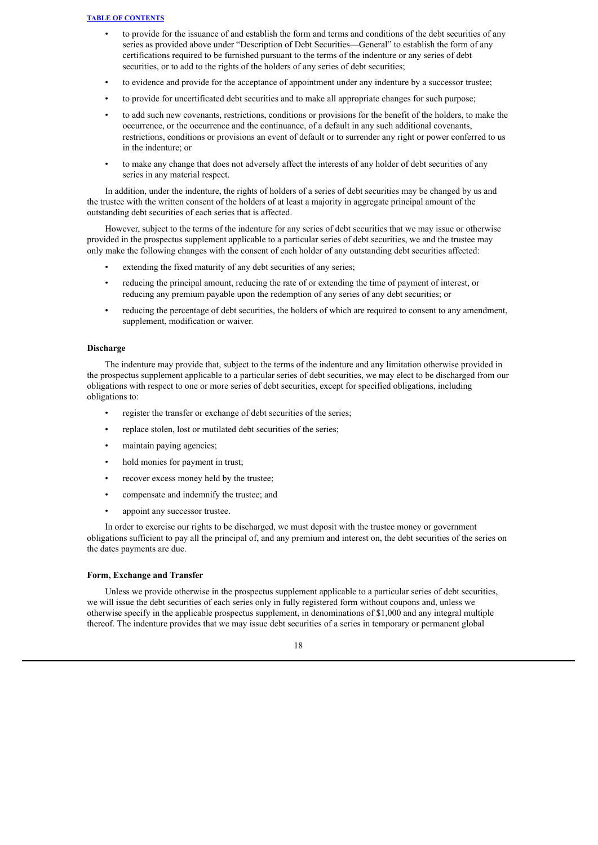- to provide for the issuance of and establish the form and terms and conditions of the debt securities of any series as provided above under "Description of Debt Securities—General" to establish the form of any certifications required to be furnished pursuant to the terms of the indenture or any series of debt securities, or to add to the rights of the holders of any series of debt securities;
- to evidence and provide for the acceptance of appointment under any indenture by a successor trustee;
- to provide for uncertificated debt securities and to make all appropriate changes for such purpose;
- to add such new covenants, restrictions, conditions or provisions for the benefit of the holders, to make the occurrence, or the occurrence and the continuance, of a default in any such additional covenants, restrictions, conditions or provisions an event of default or to surrender any right or power conferred to us in the indenture; or
- to make any change that does not adversely affect the interests of any holder of debt securities of any series in any material respect.

In addition, under the indenture, the rights of holders of a series of debt securities may be changed by us and the trustee with the written consent of the holders of at least a majority in aggregate principal amount of the outstanding debt securities of each series that is affected.

However, subject to the terms of the indenture for any series of debt securities that we may issue or otherwise provided in the prospectus supplement applicable to a particular series of debt securities, we and the trustee may only make the following changes with the consent of each holder of any outstanding debt securities affected:

- extending the fixed maturity of any debt securities of any series;
- reducing the principal amount, reducing the rate of or extending the time of payment of interest, or reducing any premium payable upon the redemption of any series of any debt securities; or
- reducing the percentage of debt securities, the holders of which are required to consent to any amendment, supplement, modification or waiver.

#### **Discharge**

The indenture may provide that, subject to the terms of the indenture and any limitation otherwise provided in the prospectus supplement applicable to a particular series of debt securities, we may elect to be discharged from our obligations with respect to one or more series of debt securities, except for specified obligations, including obligations to:

- register the transfer or exchange of debt securities of the series;
- replace stolen, lost or mutilated debt securities of the series;
- maintain paying agencies;
- hold monies for payment in trust;
- recover excess money held by the trustee;
- compensate and indemnify the trustee; and
- appoint any successor trustee.

In order to exercise our rights to be discharged, we must deposit with the trustee money or government obligations sufficient to pay all the principal of, and any premium and interest on, the debt securities of the series on the dates payments are due.

#### **Form, Exchange and Transfer**

Unless we provide otherwise in the prospectus supplement applicable to a particular series of debt securities, we will issue the debt securities of each series only in fully registered form without coupons and, unless we otherwise specify in the applicable prospectus supplement, in denominations of \$1,000 and any integral multiple thereof. The indenture provides that we may issue debt securities of a series in temporary or permanent global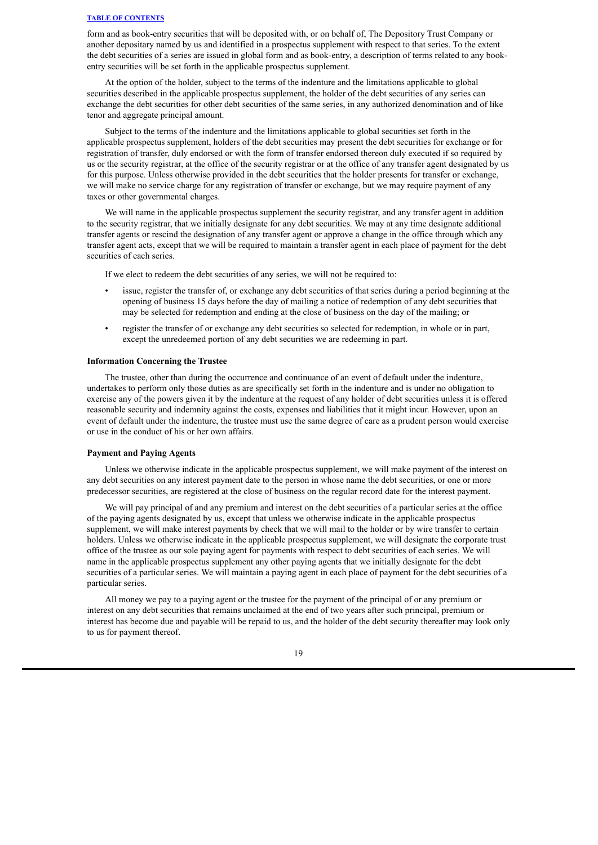form and as book-entry securities that will be deposited with, or on behalf of, The Depository Trust Company or another depositary named by us and identified in a prospectus supplement with respect to that series. To the extent the debt securities of a series are issued in global form and as book-entry, a description of terms related to any bookentry securities will be set forth in the applicable prospectus supplement.

At the option of the holder, subject to the terms of the indenture and the limitations applicable to global securities described in the applicable prospectus supplement, the holder of the debt securities of any series can exchange the debt securities for other debt securities of the same series, in any authorized denomination and of like tenor and aggregate principal amount.

Subject to the terms of the indenture and the limitations applicable to global securities set forth in the applicable prospectus supplement, holders of the debt securities may present the debt securities for exchange or for registration of transfer, duly endorsed or with the form of transfer endorsed thereon duly executed if so required by us or the security registrar, at the office of the security registrar or at the office of any transfer agent designated by us for this purpose. Unless otherwise provided in the debt securities that the holder presents for transfer or exchange, we will make no service charge for any registration of transfer or exchange, but we may require payment of any taxes or other governmental charges.

We will name in the applicable prospectus supplement the security registrar, and any transfer agent in addition to the security registrar, that we initially designate for any debt securities. We may at any time designate additional transfer agents or rescind the designation of any transfer agent or approve a change in the office through which any transfer agent acts, except that we will be required to maintain a transfer agent in each place of payment for the debt securities of each series.

If we elect to redeem the debt securities of any series, we will not be required to:

- issue, register the transfer of, or exchange any debt securities of that series during a period beginning at the opening of business 15 days before the day of mailing a notice of redemption of any debt securities that may be selected for redemption and ending at the close of business on the day of the mailing; or
- register the transfer of or exchange any debt securities so selected for redemption, in whole or in part, except the unredeemed portion of any debt securities we are redeeming in part.

#### **Information Concerning the Trustee**

The trustee, other than during the occurrence and continuance of an event of default under the indenture, undertakes to perform only those duties as are specifically set forth in the indenture and is under no obligation to exercise any of the powers given it by the indenture at the request of any holder of debt securities unless it is offered reasonable security and indemnity against the costs, expenses and liabilities that it might incur. However, upon an event of default under the indenture, the trustee must use the same degree of care as a prudent person would exercise or use in the conduct of his or her own affairs.

#### **Payment and Paying Agents**

Unless we otherwise indicate in the applicable prospectus supplement, we will make payment of the interest on any debt securities on any interest payment date to the person in whose name the debt securities, or one or more predecessor securities, are registered at the close of business on the regular record date for the interest payment.

We will pay principal of and any premium and interest on the debt securities of a particular series at the office of the paying agents designated by us, except that unless we otherwise indicate in the applicable prospectus supplement, we will make interest payments by check that we will mail to the holder or by wire transfer to certain holders. Unless we otherwise indicate in the applicable prospectus supplement, we will designate the corporate trust office of the trustee as our sole paying agent for payments with respect to debt securities of each series. We will name in the applicable prospectus supplement any other paying agents that we initially designate for the debt securities of a particular series. We will maintain a paying agent in each place of payment for the debt securities of a particular series.

All money we pay to a paying agent or the trustee for the payment of the principal of or any premium or interest on any debt securities that remains unclaimed at the end of two years after such principal, premium or interest has become due and payable will be repaid to us, and the holder of the debt security thereafter may look only to us for payment thereof.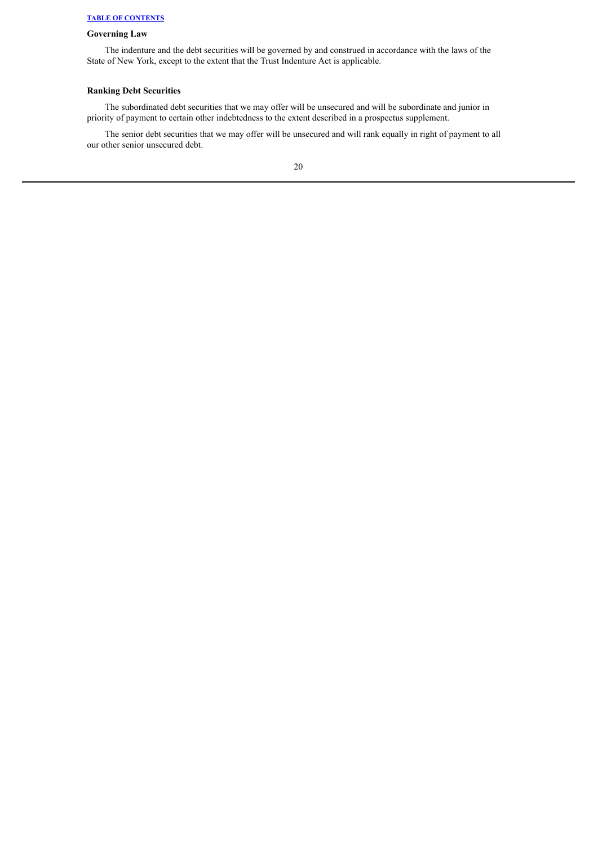## **Governing Law**

The indenture and the debt securities will be governed by and construed in accordance with the laws of the State of New York, except to the extent that the Trust Indenture Act is applicable.

## **Ranking Debt Securities**

The subordinated debt securities that we may offer will be unsecured and will be subordinate and junior in priority of payment to certain other indebtedness to the extent described in a prospectus supplement.

The senior debt securities that we may offer will be unsecured and will rank equally in right of payment to all our other senior unsecured debt.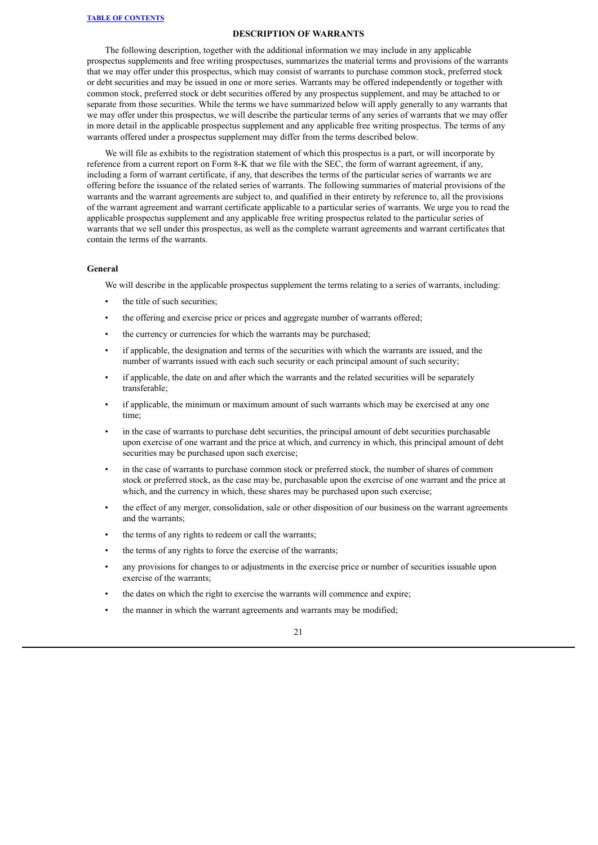#### **DESCRIPTION OF WARRANTS**

<span id="page-43-0"></span>The following description, together with the additional information we may include in any applicable prospectus supplements and free writing prospectuses, summarizes the material terms and provisions of the warrants that we may offer under this prospectus, which may consist of warrants to purchase common stock, preferred stock or debt securities and may be issued in one or more series. Warrants may be offered independently or together with common stock, preferred stock or debt securities offered by any prospectus supplement, and may be attached to or separate from those securities. While the terms we have summarized below will apply generally to any warrants that we may offer under this prospectus, we will describe the particular terms of any series of warrants that we may offer in more detail in the applicable prospectus supplement and any applicable free writing prospectus. The terms of any warrants offered under a prospectus supplement may differ from the terms described below.

We will file as exhibits to the registration statement of which this prospectus is a part, or will incorporate by reference from a current report on Form 8-K that we file with the SEC, the form of warrant agreement, if any, including a form of warrant certificate, if any, that describes the terms of the particular series of warrants we are offering before the issuance of the related series of warrants. The following summaries of material provisions of the warrants and the warrant agreements are subject to, and qualified in their entirety by reference to, all the provisions of the warrant agreement and warrant certificate applicable to a particular series of warrants. We urge you to read the applicable prospectus supplement and any applicable free writing prospectus related to the particular series of warrants that we sell under this prospectus, as well as the complete warrant agreements and warrant certificates that contain the terms of the warrants.

## **General**

We will describe in the applicable prospectus supplement the terms relating to a series of warrants, including:

- the title of such securities;
- the offering and exercise price or prices and aggregate number of warrants offered;
- the currency or currencies for which the warrants may be purchased;
- if applicable, the designation and terms of the securities with which the warrants are issued, and the number of warrants issued with each such security or each principal amount of such security;
- if applicable, the date on and after which the warrants and the related securities will be separately transferable;
- if applicable, the minimum or maximum amount of such warrants which may be exercised at any one time;
- in the case of warrants to purchase debt securities, the principal amount of debt securities purchasable upon exercise of one warrant and the price at which, and currency in which, this principal amount of debt securities may be purchased upon such exercise;
- in the case of warrants to purchase common stock or preferred stock, the number of shares of common stock or preferred stock, as the case may be, purchasable upon the exercise of one warrant and the price at which, and the currency in which, these shares may be purchased upon such exercise;
- the effect of any merger, consolidation, sale or other disposition of our business on the warrant agreements and the warrants;
- the terms of any rights to redeem or call the warrants:
- the terms of any rights to force the exercise of the warrants;
- any provisions for changes to or adjustments in the exercise price or number of securities issuable upon exercise of the warrants;
- the dates on which the right to exercise the warrants will commence and expire;
- the manner in which the warrant agreements and warrants may be modified;

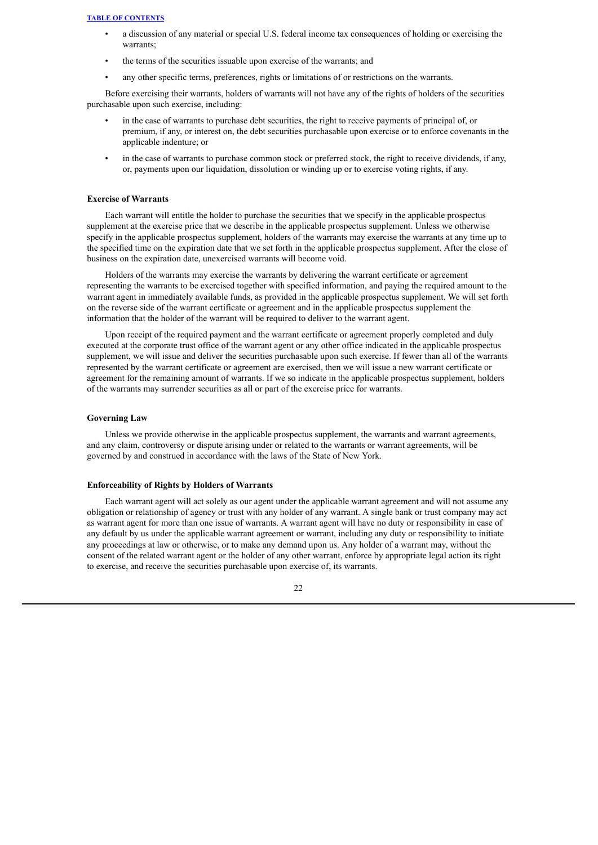- a discussion of any material or special U.S. federal income tax consequences of holding or exercising the warrants;
- the terms of the securities issuable upon exercise of the warrants; and
- any other specific terms, preferences, rights or limitations of or restrictions on the warrants.

Before exercising their warrants, holders of warrants will not have any of the rights of holders of the securities purchasable upon such exercise, including:

- in the case of warrants to purchase debt securities, the right to receive payments of principal of, or premium, if any, or interest on, the debt securities purchasable upon exercise or to enforce covenants in the applicable indenture; or
- in the case of warrants to purchase common stock or preferred stock, the right to receive dividends, if any, or, payments upon our liquidation, dissolution or winding up or to exercise voting rights, if any.

#### **Exercise of Warrants**

Each warrant will entitle the holder to purchase the securities that we specify in the applicable prospectus supplement at the exercise price that we describe in the applicable prospectus supplement. Unless we otherwise specify in the applicable prospectus supplement, holders of the warrants may exercise the warrants at any time up to the specified time on the expiration date that we set forth in the applicable prospectus supplement. After the close of business on the expiration date, unexercised warrants will become void.

Holders of the warrants may exercise the warrants by delivering the warrant certificate or agreement representing the warrants to be exercised together with specified information, and paying the required amount to the warrant agent in immediately available funds, as provided in the applicable prospectus supplement. We will set forth on the reverse side of the warrant certificate or agreement and in the applicable prospectus supplement the information that the holder of the warrant will be required to deliver to the warrant agent.

Upon receipt of the required payment and the warrant certificate or agreement properly completed and duly executed at the corporate trust office of the warrant agent or any other office indicated in the applicable prospectus supplement, we will issue and deliver the securities purchasable upon such exercise. If fewer than all of the warrants represented by the warrant certificate or agreement are exercised, then we will issue a new warrant certificate or agreement for the remaining amount of warrants. If we so indicate in the applicable prospectus supplement, holders of the warrants may surrender securities as all or part of the exercise price for warrants.

#### **Governing Law**

Unless we provide otherwise in the applicable prospectus supplement, the warrants and warrant agreements, and any claim, controversy or dispute arising under or related to the warrants or warrant agreements, will be governed by and construed in accordance with the laws of the State of New York.

## **Enforceability of Rights by Holders of Warrants**

Each warrant agent will act solely as our agent under the applicable warrant agreement and will not assume any obligation or relationship of agency or trust with any holder of any warrant. A single bank or trust company may act as warrant agent for more than one issue of warrants. A warrant agent will have no duty or responsibility in case of any default by us under the applicable warrant agreement or warrant, including any duty or responsibility to initiate any proceedings at law or otherwise, or to make any demand upon us. Any holder of a warrant may, without the consent of the related warrant agent or the holder of any other warrant, enforce by appropriate legal action its right to exercise, and receive the securities purchasable upon exercise of, its warrants.

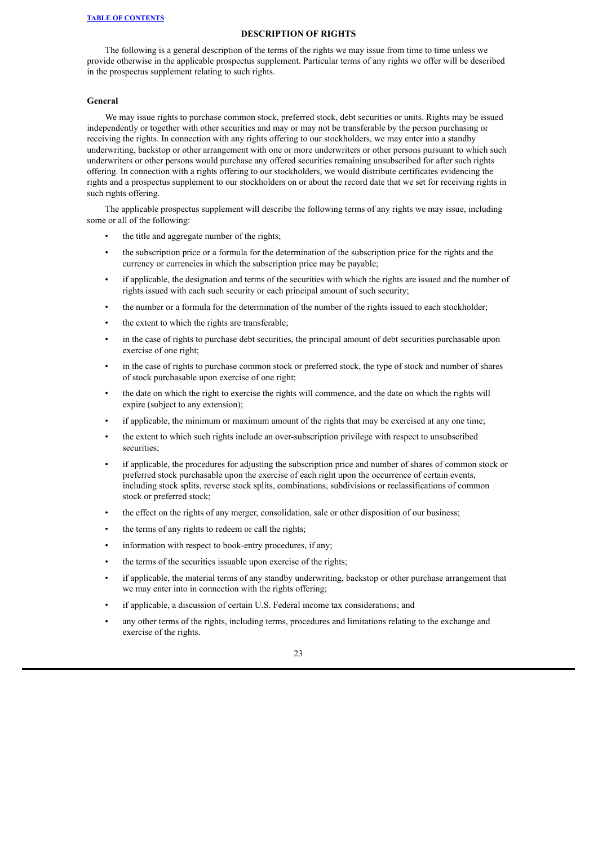## **DESCRIPTION OF RIGHTS**

<span id="page-45-0"></span>The following is a general description of the terms of the rights we may issue from time to time unless we provide otherwise in the applicable prospectus supplement. Particular terms of any rights we offer will be described in the prospectus supplement relating to such rights.

#### **General**

We may issue rights to purchase common stock, preferred stock, debt securities or units. Rights may be issued independently or together with other securities and may or may not be transferable by the person purchasing or receiving the rights. In connection with any rights offering to our stockholders, we may enter into a standby underwriting, backstop or other arrangement with one or more underwriters or other persons pursuant to which such underwriters or other persons would purchase any offered securities remaining unsubscribed for after such rights offering. In connection with a rights offering to our stockholders, we would distribute certificates evidencing the rights and a prospectus supplement to our stockholders on or about the record date that we set for receiving rights in such rights offering.

The applicable prospectus supplement will describe the following terms of any rights we may issue, including some or all of the following:

- the title and aggregate number of the rights;
- the subscription price or a formula for the determination of the subscription price for the rights and the currency or currencies in which the subscription price may be payable;
- if applicable, the designation and terms of the securities with which the rights are issued and the number of rights issued with each such security or each principal amount of such security;
- the number or a formula for the determination of the number of the rights issued to each stockholder;
- the extent to which the rights are transferable;
- in the case of rights to purchase debt securities, the principal amount of debt securities purchasable upon exercise of one right;
- in the case of rights to purchase common stock or preferred stock, the type of stock and number of shares of stock purchasable upon exercise of one right;
- the date on which the right to exercise the rights will commence, and the date on which the rights will expire (subject to any extension);
- if applicable, the minimum or maximum amount of the rights that may be exercised at any one time;
- the extent to which such rights include an over-subscription privilege with respect to unsubscribed securities;
- if applicable, the procedures for adjusting the subscription price and number of shares of common stock or preferred stock purchasable upon the exercise of each right upon the occurrence of certain events, including stock splits, reverse stock splits, combinations, subdivisions or reclassifications of common stock or preferred stock;
- the effect on the rights of any merger, consolidation, sale or other disposition of our business;
- the terms of any rights to redeem or call the rights;
- information with respect to book-entry procedures, if any;
- the terms of the securities issuable upon exercise of the rights;
- if applicable, the material terms of any standby underwriting, backstop or other purchase arrangement that we may enter into in connection with the rights offering;
- if applicable, a discussion of certain U.S. Federal income tax considerations; and
- any other terms of the rights, including terms, procedures and limitations relating to the exchange and exercise of the rights.

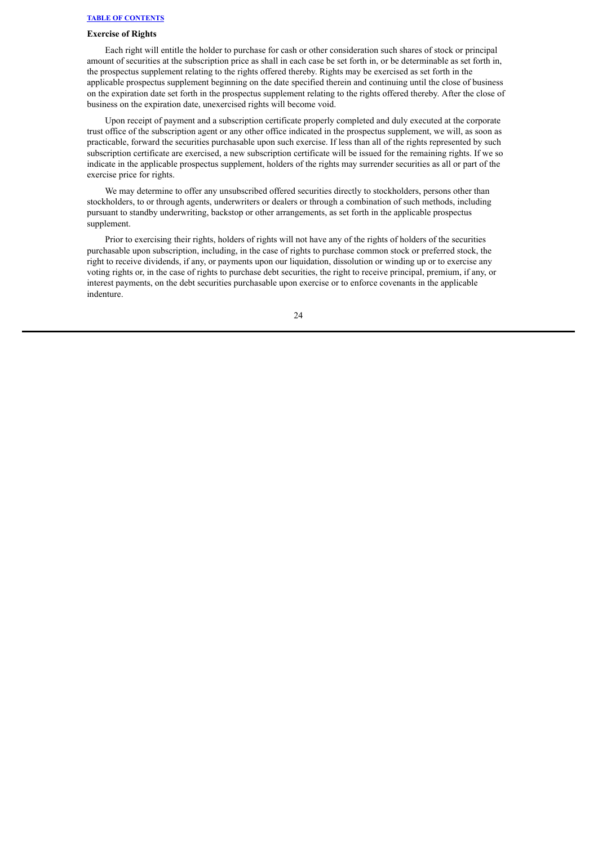## **Exercise of Rights**

Each right will entitle the holder to purchase for cash or other consideration such shares of stock or principal amount of securities at the subscription price as shall in each case be set forth in, or be determinable as set forth in, the prospectus supplement relating to the rights offered thereby. Rights may be exercised as set forth in the applicable prospectus supplement beginning on the date specified therein and continuing until the close of business on the expiration date set forth in the prospectus supplement relating to the rights offered thereby. After the close of business on the expiration date, unexercised rights will become void.

Upon receipt of payment and a subscription certificate properly completed and duly executed at the corporate trust office of the subscription agent or any other office indicated in the prospectus supplement, we will, as soon as practicable, forward the securities purchasable upon such exercise. If less than all of the rights represented by such subscription certificate are exercised, a new subscription certificate will be issued for the remaining rights. If we so indicate in the applicable prospectus supplement, holders of the rights may surrender securities as all or part of the exercise price for rights.

We may determine to offer any unsubscribed offered securities directly to stockholders, persons other than stockholders, to or through agents, underwriters or dealers or through a combination of such methods, including pursuant to standby underwriting, backstop or other arrangements, as set forth in the applicable prospectus supplement.

Prior to exercising their rights, holders of rights will not have any of the rights of holders of the securities purchasable upon subscription, including, in the case of rights to purchase common stock or preferred stock, the right to receive dividends, if any, or payments upon our liquidation, dissolution or winding up or to exercise any voting rights or, in the case of rights to purchase debt securities, the right to receive principal, premium, if any, or interest payments, on the debt securities purchasable upon exercise or to enforce covenants in the applicable indenture.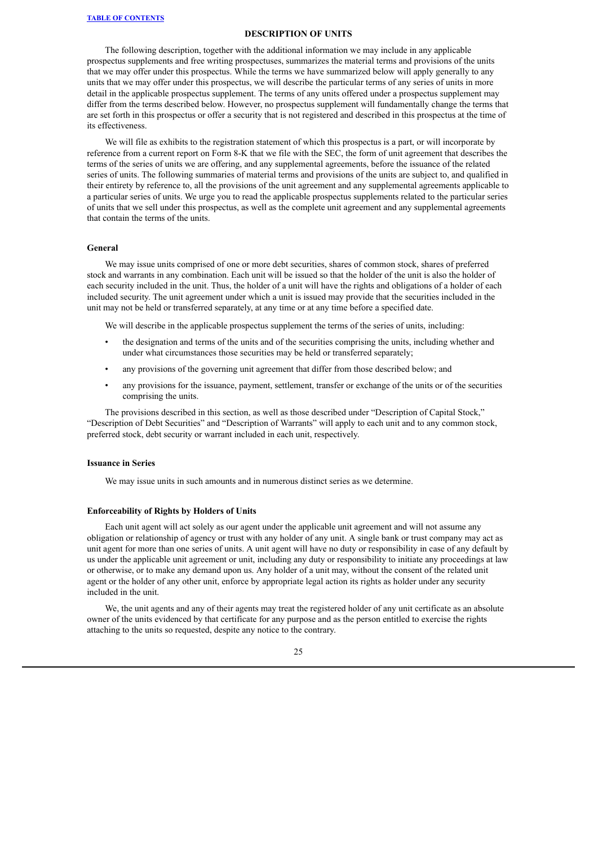#### **DESCRIPTION OF UNITS**

<span id="page-47-0"></span>The following description, together with the additional information we may include in any applicable prospectus supplements and free writing prospectuses, summarizes the material terms and provisions of the units that we may offer under this prospectus. While the terms we have summarized below will apply generally to any units that we may offer under this prospectus, we will describe the particular terms of any series of units in more detail in the applicable prospectus supplement. The terms of any units offered under a prospectus supplement may differ from the terms described below. However, no prospectus supplement will fundamentally change the terms that are set forth in this prospectus or offer a security that is not registered and described in this prospectus at the time of its effectiveness.

We will file as exhibits to the registration statement of which this prospectus is a part, or will incorporate by reference from a current report on Form 8-K that we file with the SEC, the form of unit agreement that describes the terms of the series of units we are offering, and any supplemental agreements, before the issuance of the related series of units. The following summaries of material terms and provisions of the units are subject to, and qualified in their entirety by reference to, all the provisions of the unit agreement and any supplemental agreements applicable to a particular series of units. We urge you to read the applicable prospectus supplements related to the particular series of units that we sell under this prospectus, as well as the complete unit agreement and any supplemental agreements that contain the terms of the units.

#### **General**

We may issue units comprised of one or more debt securities, shares of common stock, shares of preferred stock and warrants in any combination. Each unit will be issued so that the holder of the unit is also the holder of each security included in the unit. Thus, the holder of a unit will have the rights and obligations of a holder of each included security. The unit agreement under which a unit is issued may provide that the securities included in the unit may not be held or transferred separately, at any time or at any time before a specified date.

We will describe in the applicable prospectus supplement the terms of the series of units, including:

- the designation and terms of the units and of the securities comprising the units, including whether and under what circumstances those securities may be held or transferred separately;
- any provisions of the governing unit agreement that differ from those described below; and
- any provisions for the issuance, payment, settlement, transfer or exchange of the units or of the securities comprising the units.

The provisions described in this section, as well as those described under "Description of Capital Stock," "Description of Debt Securities" and "Description of Warrants" will apply to each unit and to any common stock, preferred stock, debt security or warrant included in each unit, respectively.

#### **Issuance in Series**

We may issue units in such amounts and in numerous distinct series as we determine.

## **Enforceability of Rights by Holders of Units**

Each unit agent will act solely as our agent under the applicable unit agreement and will not assume any obligation or relationship of agency or trust with any holder of any unit. A single bank or trust company may act as unit agent for more than one series of units. A unit agent will have no duty or responsibility in case of any default by us under the applicable unit agreement or unit, including any duty or responsibility to initiate any proceedings at law or otherwise, or to make any demand upon us. Any holder of a unit may, without the consent of the related unit agent or the holder of any other unit, enforce by appropriate legal action its rights as holder under any security included in the unit.

We, the unit agents and any of their agents may treat the registered holder of any unit certificate as an absolute owner of the units evidenced by that certificate for any purpose and as the person entitled to exercise the rights attaching to the units so requested, despite any notice to the contrary.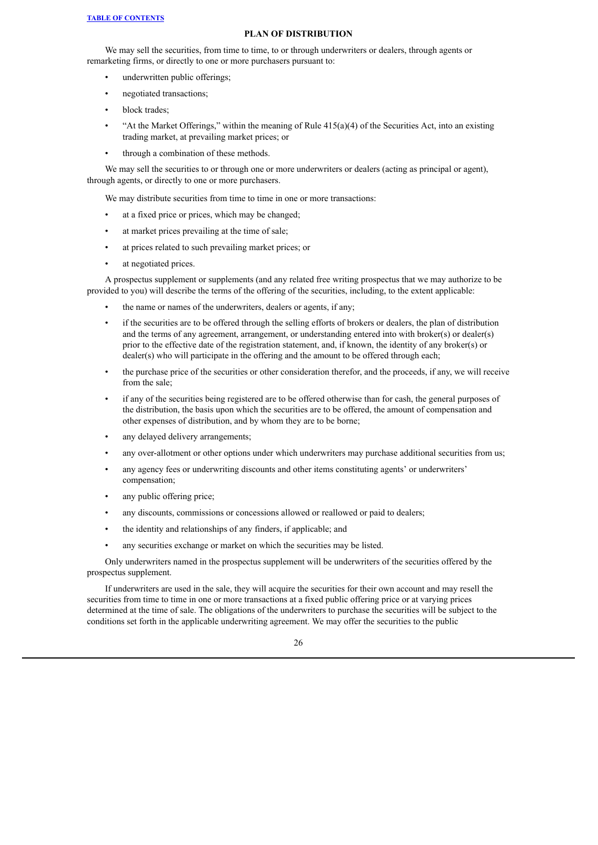#### **PLAN OF DISTRIBUTION**

<span id="page-48-0"></span>We may sell the securities, from time to time, to or through underwriters or dealers, through agents or remarketing firms, or directly to one or more purchasers pursuant to:

- underwritten public offerings;
- negotiated transactions;
- block trades;
- "At the Market Offerings," within the meaning of Rule  $415(a)(4)$  of the Securities Act, into an existing trading market, at prevailing market prices; or
- through a combination of these methods.

We may sell the securities to or through one or more underwriters or dealers (acting as principal or agent), through agents, or directly to one or more purchasers.

We may distribute securities from time to time in one or more transactions:

- at a fixed price or prices, which may be changed;
- at market prices prevailing at the time of sale;
- at prices related to such prevailing market prices; or
- at negotiated prices.

A prospectus supplement or supplements (and any related free writing prospectus that we may authorize to be provided to you) will describe the terms of the offering of the securities, including, to the extent applicable:

- the name or names of the underwriters, dealers or agents, if any;
- if the securities are to be offered through the selling efforts of brokers or dealers, the plan of distribution and the terms of any agreement, arrangement, or understanding entered into with broker(s) or dealer(s) prior to the effective date of the registration statement, and, if known, the identity of any broker(s) or dealer(s) who will participate in the offering and the amount to be offered through each;
- the purchase price of the securities or other consideration therefor, and the proceeds, if any, we will receive from the sale;
- if any of the securities being registered are to be offered otherwise than for cash, the general purposes of the distribution, the basis upon which the securities are to be offered, the amount of compensation and other expenses of distribution, and by whom they are to be borne;
- any delayed delivery arrangements;
- any over-allotment or other options under which underwriters may purchase additional securities from us;
- any agency fees or underwriting discounts and other items constituting agents' or underwriters' compensation;
- any public offering price;
- any discounts, commissions or concessions allowed or reallowed or paid to dealers;
- the identity and relationships of any finders, if applicable; and
- any securities exchange or market on which the securities may be listed.

Only underwriters named in the prospectus supplement will be underwriters of the securities offered by the prospectus supplement.

If underwriters are used in the sale, they will acquire the securities for their own account and may resell the securities from time to time in one or more transactions at a fixed public offering price or at varying prices determined at the time of sale. The obligations of the underwriters to purchase the securities will be subject to the conditions set forth in the applicable underwriting agreement. We may offer the securities to the public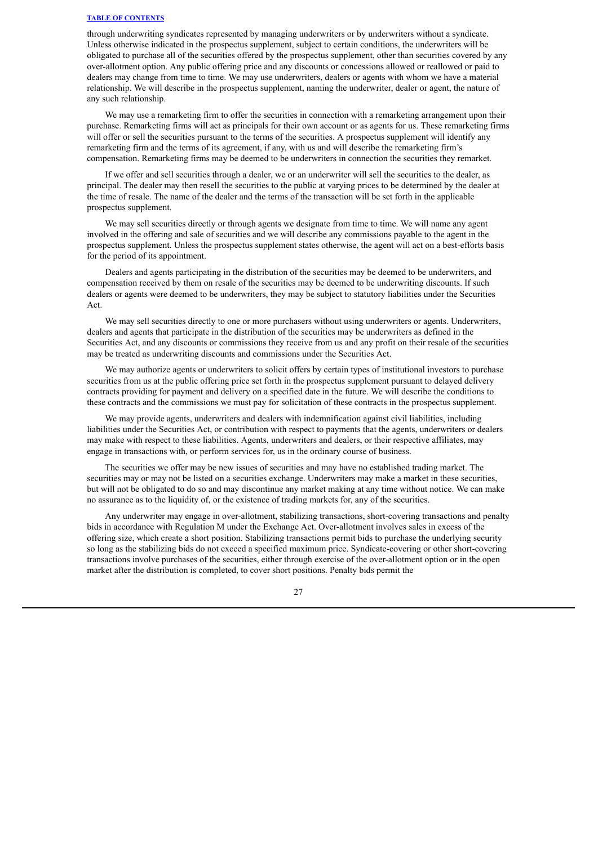through underwriting syndicates represented by managing underwriters or by underwriters without a syndicate. Unless otherwise indicated in the prospectus supplement, subject to certain conditions, the underwriters will be obligated to purchase all of the securities offered by the prospectus supplement, other than securities covered by any over-allotment option. Any public offering price and any discounts or concessions allowed or reallowed or paid to dealers may change from time to time. We may use underwriters, dealers or agents with whom we have a material relationship. We will describe in the prospectus supplement, naming the underwriter, dealer or agent, the nature of any such relationship.

We may use a remarketing firm to offer the securities in connection with a remarketing arrangement upon their purchase. Remarketing firms will act as principals for their own account or as agents for us. These remarketing firms will offer or sell the securities pursuant to the terms of the securities. A prospectus supplement will identify any remarketing firm and the terms of its agreement, if any, with us and will describe the remarketing firm's compensation. Remarketing firms may be deemed to be underwriters in connection the securities they remarket.

If we offer and sell securities through a dealer, we or an underwriter will sell the securities to the dealer, as principal. The dealer may then resell the securities to the public at varying prices to be determined by the dealer at the time of resale. The name of the dealer and the terms of the transaction will be set forth in the applicable prospectus supplement.

We may sell securities directly or through agents we designate from time to time. We will name any agent involved in the offering and sale of securities and we will describe any commissions payable to the agent in the prospectus supplement. Unless the prospectus supplement states otherwise, the agent will act on a best-efforts basis for the period of its appointment.

Dealers and agents participating in the distribution of the securities may be deemed to be underwriters, and compensation received by them on resale of the securities may be deemed to be underwriting discounts. If such dealers or agents were deemed to be underwriters, they may be subject to statutory liabilities under the Securities Act.

We may sell securities directly to one or more purchasers without using underwriters or agents. Underwriters, dealers and agents that participate in the distribution of the securities may be underwriters as defined in the Securities Act, and any discounts or commissions they receive from us and any profit on their resale of the securities may be treated as underwriting discounts and commissions under the Securities Act.

We may authorize agents or underwriters to solicit offers by certain types of institutional investors to purchase securities from us at the public offering price set forth in the prospectus supplement pursuant to delayed delivery contracts providing for payment and delivery on a specified date in the future. We will describe the conditions to these contracts and the commissions we must pay for solicitation of these contracts in the prospectus supplement.

We may provide agents, underwriters and dealers with indemnification against civil liabilities, including liabilities under the Securities Act, or contribution with respect to payments that the agents, underwriters or dealers may make with respect to these liabilities. Agents, underwriters and dealers, or their respective affiliates, may engage in transactions with, or perform services for, us in the ordinary course of business.

The securities we offer may be new issues of securities and may have no established trading market. The securities may or may not be listed on a securities exchange. Underwriters may make a market in these securities, but will not be obligated to do so and may discontinue any market making at any time without notice. We can make no assurance as to the liquidity of, or the existence of trading markets for, any of the securities.

Any underwriter may engage in over-allotment, stabilizing transactions, short-covering transactions and penalty bids in accordance with Regulation M under the Exchange Act. Over-allotment involves sales in excess of the offering size, which create a short position. Stabilizing transactions permit bids to purchase the underlying security so long as the stabilizing bids do not exceed a specified maximum price. Syndicate-covering or other short-covering transactions involve purchases of the securities, either through exercise of the over-allotment option or in the open market after the distribution is completed, to cover short positions. Penalty bids permit the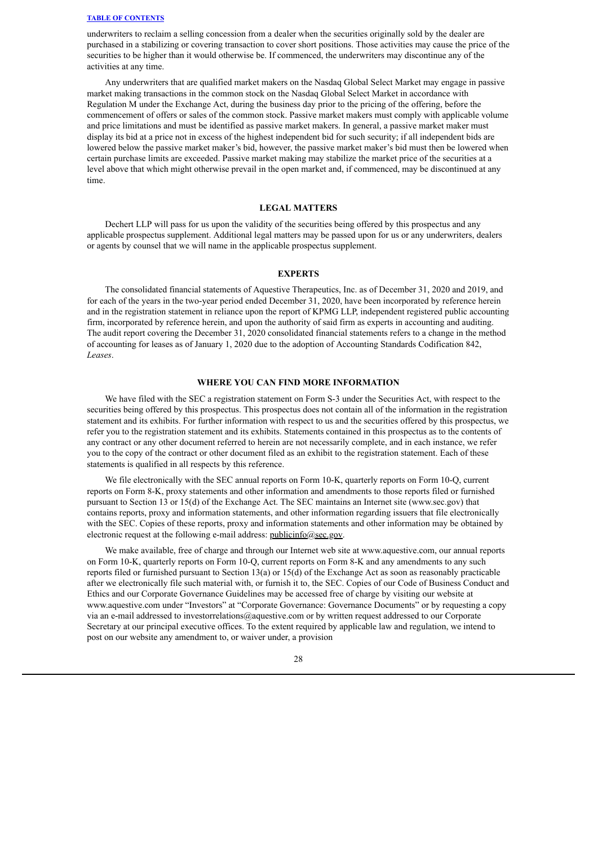underwriters to reclaim a selling concession from a dealer when the securities originally sold by the dealer are purchased in a stabilizing or covering transaction to cover short positions. Those activities may cause the price of the securities to be higher than it would otherwise be. If commenced, the underwriters may discontinue any of the activities at any time.

Any underwriters that are qualified market makers on the Nasdaq Global Select Market may engage in passive market making transactions in the common stock on the Nasdaq Global Select Market in accordance with Regulation M under the Exchange Act, during the business day prior to the pricing of the offering, before the commencement of offers or sales of the common stock. Passive market makers must comply with applicable volume and price limitations and must be identified as passive market makers. In general, a passive market maker must display its bid at a price not in excess of the highest independent bid for such security; if all independent bids are lowered below the passive market maker's bid, however, the passive market maker's bid must then be lowered when certain purchase limits are exceeded. Passive market making may stabilize the market price of the securities at a level above that which might otherwise prevail in the open market and, if commenced, may be discontinued at any time.

#### **LEGAL MATTERS**

<span id="page-50-0"></span>Dechert LLP will pass for us upon the validity of the securities being offered by this prospectus and any applicable prospectus supplement. Additional legal matters may be passed upon for us or any underwriters, dealers or agents by counsel that we will name in the applicable prospectus supplement.

#### **EXPERTS**

<span id="page-50-1"></span>The consolidated financial statements of Aquestive Therapeutics, Inc. as of December 31, 2020 and 2019, and for each of the years in the two-year period ended December 31, 2020, have been incorporated by reference herein and in the registration statement in reliance upon the report of KPMG LLP, independent registered public accounting firm, incorporated by reference herein, and upon the authority of said firm as experts in accounting and auditing. The audit report covering the December 31, 2020 consolidated financial statements refers to a change in the method of accounting for leases as of January 1, 2020 due to the adoption of Accounting Standards Codification 842, *Leases*.

### **WHERE YOU CAN FIND MORE INFORMATION**

<span id="page-50-2"></span>We have filed with the SEC a registration statement on Form S-3 under the Securities Act, with respect to the securities being offered by this prospectus. This prospectus does not contain all of the information in the registration statement and its exhibits. For further information with respect to us and the securities offered by this prospectus, we refer you to the registration statement and its exhibits. Statements contained in this prospectus as to the contents of any contract or any other document referred to herein are not necessarily complete, and in each instance, we refer you to the copy of the contract or other document filed as an exhibit to the registration statement. Each of these statements is qualified in all respects by this reference.

We file electronically with the SEC annual reports on Form 10-K, quarterly reports on Form 10-Q, current reports on Form 8-K, proxy statements and other information and amendments to those reports filed or furnished pursuant to Section 13 or 15(d) of the Exchange Act. The SEC maintains an Internet site (www.sec.gov) that contains reports, proxy and information statements, and other information regarding issuers that file electronically with the SEC. Copies of these reports, proxy and information statements and other information may be obtained by electronic request at the following e-mail address: publicinfo@sec.gov.

We make available, free of charge and through our Internet web site at www.aquestive.com, our annual reports on Form 10-K, quarterly reports on Form 10-Q, current reports on Form 8-K and any amendments to any such reports filed or furnished pursuant to Section 13(a) or 15(d) of the Exchange Act as soon as reasonably practicable after we electronically file such material with, or furnish it to, the SEC. Copies of our Code of Business Conduct and Ethics and our Corporate Governance Guidelines may be accessed free of charge by visiting our website at www.aquestive.com under "Investors" at "Corporate Governance: Governance Documents" or by requesting a copy via an e-mail addressed to investorrelations@aquestive.com or by written request addressed to our Corporate Secretary at our principal executive offices. To the extent required by applicable law and regulation, we intend to post on our website any amendment to, or waiver under, a provision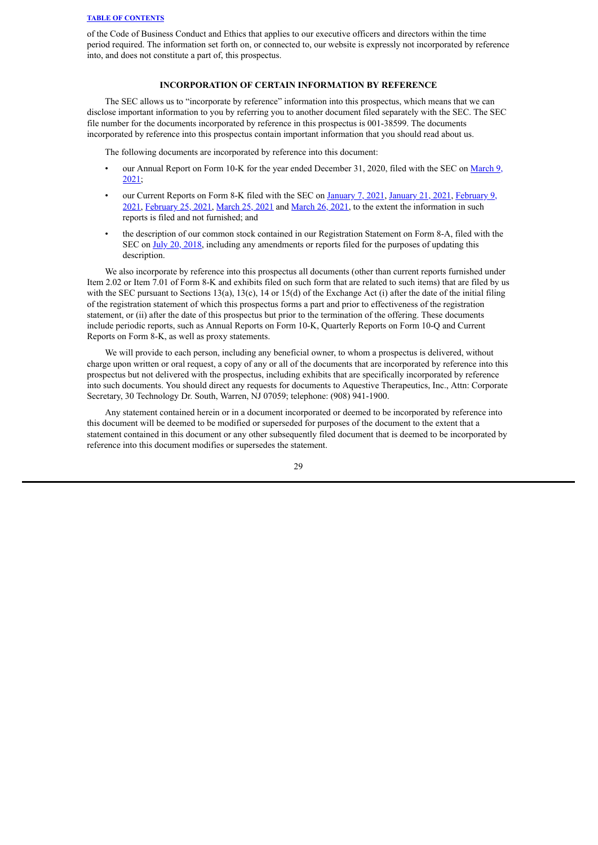of the Code of Business Conduct and Ethics that applies to our executive officers and directors within the time period required. The information set forth on, or connected to, our website is expressly not incorporated by reference into, and does not constitute a part of, this prospectus.

## **INCORPORATION OF CERTAIN INFORMATION BY REFERENCE**

<span id="page-51-0"></span>The SEC allows us to "incorporate by reference" information into this prospectus, which means that we can disclose important information to you by referring you to another document filed separately with the SEC. The SEC file number for the documents incorporated by reference in this prospectus is 001-38599. The documents incorporated by reference into this prospectus contain important information that you should read about us.

The following documents are incorporated by reference into this document:

- our Annual Report on Form 10-K for the year ended [December](https://www.sec.gov/Archives/edgar/data/1398733/000114036121007811/brhc10021358_10k.htm) 31, 2020, filed with the SEC on March 9, 2021;
- our Current Reports on Form 8-K filed with the SEC on [January](https://www.sec.gov/Archives/edgar/data/1398733/000114036121000430/brhc10018719_8k.htm) 7, 2021, [January](https://www.sec.gov/Archives/edgar/data/1398733/000114036121001692/brhc10019084_8k.htm) 21, 2021, February 9, 2021, [February](https://www.sec.gov/Archives/edgar/data/1398733/000114036121006099/brhc10020850_8k.htm) 25, 2021, [March](https://www.sec.gov/Archives/edgar/data/1398733/000114036121009914/brhc10022248_8k.htm) 25, 2021 and [March](https://www.sec.gov/Archives/edgar/data/0001398733/000114036121010128/nt10022087x3_8k.htm) 26, 2021, to the extent the [information](https://www.sec.gov/Archives/edgar/data/1398733/000114036121003824/brhc10019904_8k.htm) in such reports is filed and not furnished; and
- the description of our common stock contained in our Registration Statement on Form 8-A, filed with the SEC on July 20, [2018,](https://www.sec.gov/Archives/edgar/data/1398733/000114036118033010/s002128x10_8a12b.htm) including any amendments or reports filed for the purposes of updating this description.

We also incorporate by reference into this prospectus all documents (other than current reports furnished under Item 2.02 or Item 7.01 of Form 8-K and exhibits filed on such form that are related to such items) that are filed by us with the SEC pursuant to Sections 13(a), 13(c), 14 or 15(d) of the Exchange Act (i) after the date of the initial filing of the registration statement of which this prospectus forms a part and prior to effectiveness of the registration statement, or (ii) after the date of this prospectus but prior to the termination of the offering. These documents include periodic reports, such as Annual Reports on Form 10-K, Quarterly Reports on Form 10-Q and Current Reports on Form 8-K, as well as proxy statements.

We will provide to each person, including any beneficial owner, to whom a prospectus is delivered, without charge upon written or oral request, a copy of any or all of the documents that are incorporated by reference into this prospectus but not delivered with the prospectus, including exhibits that are specifically incorporated by reference into such documents. You should direct any requests for documents to Aquestive Therapeutics, Inc., Attn: Corporate Secretary, 30 Technology Dr. South, Warren, NJ 07059; telephone: (908) 941-1900.

Any statement contained herein or in a document incorporated or deemed to be incorporated by reference into this document will be deemed to be modified or superseded for purposes of the document to the extent that a statement contained in this document or any other subsequently filed document that is deemed to be incorporated by reference into this document modifies or supersedes the statement.